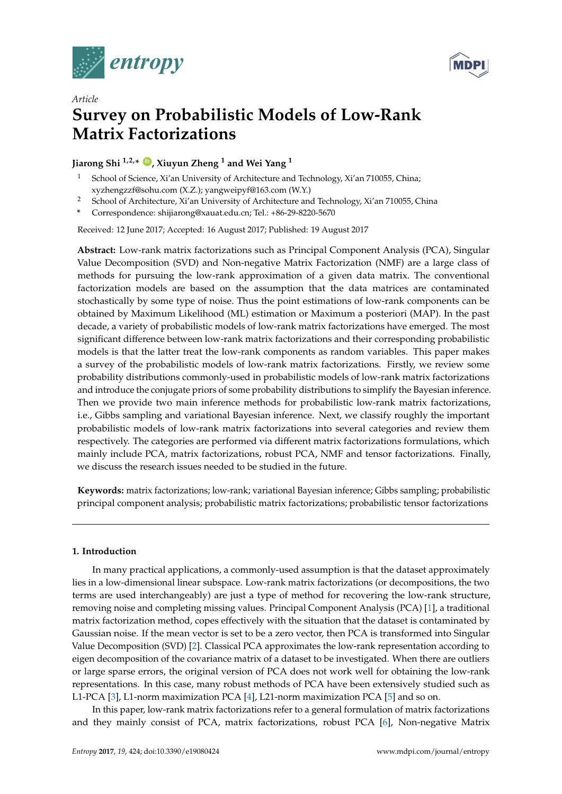



# *Article* **Survey on Probabilistic Models of Low-Rank Matrix Factorizations**

# **Jiarong Shi 1,2,\* [ID](https://orcid.org/0000-0002-4315-8655) , Xiuyun Zheng <sup>1</sup> and Wei Yang <sup>1</sup>**

- School of Science, Xi'an University of Architecture and Technology, Xi'an 710055, China; xyzhengzzf@sohu.com (X.Z.); yangweipyf@163.com (W.Y.)
- <sup>2</sup> School of Architecture, Xi'an University of Architecture and Technology, Xi'an 710055, China
- **\*** Correspondence: shijiarong@xauat.edu.cn; Tel.: +86-29-8220-5670

Received: 12 June 2017; Accepted: 16 August 2017; Published: 19 August 2017

**Abstract:** Low-rank matrix factorizations such as Principal Component Analysis (PCA), Singular Value Decomposition (SVD) and Non-negative Matrix Factorization (NMF) are a large class of methods for pursuing the low-rank approximation of a given data matrix. The conventional factorization models are based on the assumption that the data matrices are contaminated stochastically by some type of noise. Thus the point estimations of low-rank components can be obtained by Maximum Likelihood (ML) estimation or Maximum a posteriori (MAP). In the past decade, a variety of probabilistic models of low-rank matrix factorizations have emerged. The most significant difference between low-rank matrix factorizations and their corresponding probabilistic models is that the latter treat the low-rank components as random variables. This paper makes a survey of the probabilistic models of low-rank matrix factorizations. Firstly, we review some probability distributions commonly-used in probabilistic models of low-rank matrix factorizations and introduce the conjugate priors of some probability distributions to simplify the Bayesian inference. Then we provide two main inference methods for probabilistic low-rank matrix factorizations, i.e., Gibbs sampling and variational Bayesian inference. Next, we classify roughly the important probabilistic models of low-rank matrix factorizations into several categories and review them respectively. The categories are performed via different matrix factorizations formulations, which mainly include PCA, matrix factorizations, robust PCA, NMF and tensor factorizations. Finally, we discuss the research issues needed to be studied in the future.

**Keywords:** matrix factorizations; low-rank; variational Bayesian inference; Gibbs sampling; probabilistic principal component analysis; probabilistic matrix factorizations; probabilistic tensor factorizations

# **1. Introduction**

In many practical applications, a commonly-used assumption is that the dataset approximately lies in a low-dimensional linear subspace. Low-rank matrix factorizations (or decompositions, the two terms are used interchangeably) are just a type of method for recovering the low-rank structure, removing noise and completing missing values. Principal Component Analysis (PCA) [\[1\]](#page-27-0), a traditional matrix factorization method, copes effectively with the situation that the dataset is contaminated by Gaussian noise. If the mean vector is set to be a zero vector, then PCA is transformed into Singular Value Decomposition (SVD) [\[2\]](#page-27-1). Classical PCA approximates the low-rank representation according to eigen decomposition of the covariance matrix of a dataset to be investigated. When there are outliers or large sparse errors, the original version of PCA does not work well for obtaining the low-rank representations. In this case, many robust methods of PCA have been extensively studied such as L1-PCA [\[3\]](#page-27-2), L1-norm maximization PCA [\[4\]](#page-27-3), L21-norm maximization PCA [\[5\]](#page-27-4) and so on.

In this paper, low-rank matrix factorizations refer to a general formulation of matrix factorizations and they mainly consist of PCA, matrix factorizations, robust PCA [\[6\]](#page-27-5), Non-negative Matrix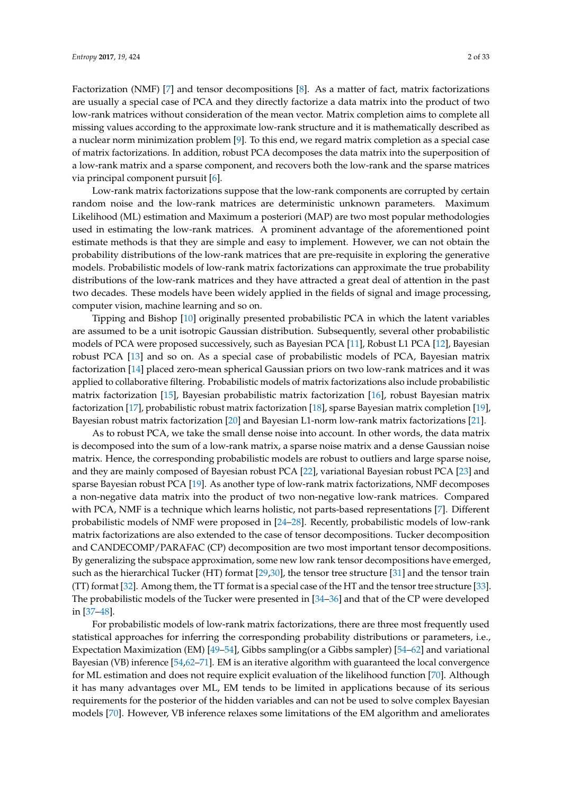Factorization (NMF) [\[7\]](#page-27-6) and tensor decompositions [\[8\]](#page-27-7). As a matter of fact, matrix factorizations are usually a special case of PCA and they directly factorize a data matrix into the product of two low-rank matrices without consideration of the mean vector. Matrix completion aims to complete all missing values according to the approximate low-rank structure and it is mathematically described as a nuclear norm minimization problem [\[9\]](#page-27-8). To this end, we regard matrix completion as a special case of matrix factorizations. In addition, robust PCA decomposes the data matrix into the superposition of a low-rank matrix and a sparse component, and recovers both the low-rank and the sparse matrices via principal component pursuit [\[6\]](#page-27-5).

Low-rank matrix factorizations suppose that the low-rank components are corrupted by certain random noise and the low-rank matrices are deterministic unknown parameters. Maximum Likelihood (ML) estimation and Maximum a posteriori (MAP) are two most popular methodologies used in estimating the low-rank matrices. A prominent advantage of the aforementioned point estimate methods is that they are simple and easy to implement. However, we can not obtain the probability distributions of the low-rank matrices that are pre-requisite in exploring the generative models. Probabilistic models of low-rank matrix factorizations can approximate the true probability distributions of the low-rank matrices and they have attracted a great deal of attention in the past two decades. These models have been widely applied in the fields of signal and image processing, computer vision, machine learning and so on.

Tipping and Bishop [\[10\]](#page-27-9) originally presented probabilistic PCA in which the latent variables are assumed to be a unit isotropic Gaussian distribution. Subsequently, several other probabilistic models of PCA were proposed successively, such as Bayesian PCA [\[11\]](#page-27-10), Robust L1 PCA [\[12\]](#page-27-11), Bayesian robust PCA [\[13\]](#page-28-0) and so on. As a special case of probabilistic models of PCA, Bayesian matrix factorization [\[14\]](#page-28-1) placed zero-mean spherical Gaussian priors on two low-rank matrices and it was applied to collaborative filtering. Probabilistic models of matrix factorizations also include probabilistic matrix factorization [\[15\]](#page-28-2), Bayesian probabilistic matrix factorization [\[16\]](#page-28-3), robust Bayesian matrix factorization [\[17\]](#page-28-4), probabilistic robust matrix factorization [\[18\]](#page-28-5), sparse Bayesian matrix completion [\[19\]](#page-28-6), Bayesian robust matrix factorization [\[20\]](#page-28-7) and Bayesian L1-norm low-rank matrix factorizations [\[21\]](#page-28-8).

As to robust PCA, we take the small dense noise into account. In other words, the data matrix is decomposed into the sum of a low-rank matrix, a sparse noise matrix and a dense Gaussian noise matrix. Hence, the corresponding probabilistic models are robust to outliers and large sparse noise, and they are mainly composed of Bayesian robust PCA [\[22\]](#page-28-9), variational Bayesian robust PCA [\[23\]](#page-28-10) and sparse Bayesian robust PCA [\[19\]](#page-28-6). As another type of low-rank matrix factorizations, NMF decomposes a non-negative data matrix into the product of two non-negative low-rank matrices. Compared with PCA, NMF is a technique which learns holistic, not parts-based representations [\[7\]](#page-27-6). Different probabilistic models of NMF were proposed in [\[24–](#page-28-11)[28\]](#page-28-12). Recently, probabilistic models of low-rank matrix factorizations are also extended to the case of tensor decompositions. Tucker decomposition and CANDECOMP/PARAFAC (CP) decomposition are two most important tensor decompositions. By generalizing the subspace approximation, some new low rank tensor decompositions have emerged, such as the hierarchical Tucker (HT) format [\[29,](#page-28-13)[30\]](#page-28-14), the tensor tree structure [\[31\]](#page-28-15) and the tensor train (TT) format [\[32\]](#page-28-16). Among them, the TT format is a special case of the HT and the tensor tree structure [\[33\]](#page-28-17). The probabilistic models of the Tucker were presented in [\[34–](#page-28-18)[36\]](#page-28-19) and that of the CP were developed in [\[37–](#page-29-0)[48\]](#page-29-1).

For probabilistic models of low-rank matrix factorizations, there are three most frequently used statistical approaches for inferring the corresponding probability distributions or parameters, i.e., Expectation Maximization (EM) [\[49–](#page-29-2)[54\]](#page-29-3), Gibbs sampling(or a Gibbs sampler) [\[54–](#page-29-3)[62\]](#page-29-4) and variational Bayesian (VB) inference [\[54,](#page-29-3)[62](#page-29-4)[–71\]](#page-30-0). EM is an iterative algorithm with guaranteed the local convergence for ML estimation and does not require explicit evaluation of the likelihood function [\[70\]](#page-30-1). Although it has many advantages over ML, EM tends to be limited in applications because of its serious requirements for the posterior of the hidden variables and can not be used to solve complex Bayesian models [\[70\]](#page-30-1). However, VB inference relaxes some limitations of the EM algorithm and ameliorates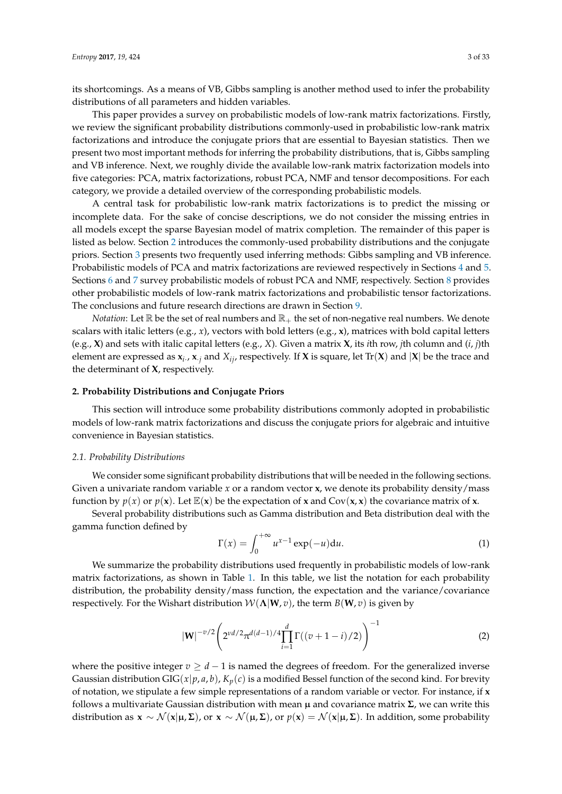its shortcomings. As a means of VB, Gibbs sampling is another method used to infer the probability distributions of all parameters and hidden variables.

This paper provides a survey on probabilistic models of low-rank matrix factorizations. Firstly, we review the significant probability distributions commonly-used in probabilistic low-rank matrix factorizations and introduce the conjugate priors that are essential to Bayesian statistics. Then we present two most important methods for inferring the probability distributions, that is, Gibbs sampling and VB inference. Next, we roughly divide the available low-rank matrix factorization models into five categories: PCA, matrix factorizations, robust PCA, NMF and tensor decompositions. For each category, we provide a detailed overview of the corresponding probabilistic models.

A central task for probabilistic low-rank matrix factorizations is to predict the missing or incomplete data. For the sake of concise descriptions, we do not consider the missing entries in all models except the sparse Bayesian model of matrix completion. The remainder of this paper is listed as below. Section [2](#page-2-0) introduces the commonly-used probability distributions and the conjugate priors. Section [3](#page-7-0) presents two frequently used inferring methods: Gibbs sampling and VB inference. Probabilistic models of PCA and matrix factorizations are reviewed respectively in Sections [4](#page-10-0) and [5.](#page-15-0) Sections [6](#page-22-0) and [7](#page-24-0) survey probabilistic models of robust PCA and NMF, respectively. Section [8](#page-26-0) provides other probabilistic models of low-rank matrix factorizations and probabilistic tensor factorizations. The conclusions and future research directions are drawn in Section [9.](#page-26-1)

*Notation*: Let  $\mathbb R$  be the set of real numbers and  $\mathbb R_+$  the set of non-negative real numbers. We denote scalars with italic letters (e.g., *x*), vectors with bold letters (e.g., **x**), matrices with bold capital letters (e.g., **X**) and sets with italic capital letters (e.g., *X*). Given a matrix **X**, its *i*th row, *j*th column and (*i*, *j*)th element are expressed as  $x_i$ .,  $x_j$  and  $X_{ij}$ , respectively. If  $X$  is square, let  $Tr(X)$  and  $|X|$  be the trace and the determinant of **X**, respectively.

## <span id="page-2-0"></span>**2. Probability Distributions and Conjugate Priors**

This section will introduce some probability distributions commonly adopted in probabilistic models of low-rank matrix factorizations and discuss the conjugate priors for algebraic and intuitive convenience in Bayesian statistics.

# <span id="page-2-1"></span>*2.1. Probability Distributions*

We consider some significant probability distributions that will be needed in the following sections. Given a univariate random variable *x* or a random vector **x**, we denote its probability density/mass function by  $p(x)$  or  $p(x)$ . Let  $E(x)$  be the expectation of **x** and Cov(**x**, **x**) the covariance matrix of **x**.

Several probability distributions such as Gamma distribution and Beta distribution deal with the gamma function defined by

$$
\Gamma(x) = \int_0^{+\infty} u^{x-1} \exp(-u) \mathrm{d}u.
$$
 (1)

We summarize the probability distributions used frequently in probabilistic models of low-rank matrix factorizations, as shown in Table [1.](#page-4-0) In this table, we list the notation for each probability distribution, the probability density/mass function, the expectation and the variance/covariance respectively. For the Wishart distribution  $W(\Lambda|W,v)$ , the term  $B(W,v)$  is given by

$$
|\mathbf{W}|^{-v/2} \left( 2^{v d/2} \pi^{d(d-1)/4} \prod_{i=1}^d \Gamma((v+1-i)/2) \right)^{-1}
$$
 (2)

where the positive integer  $v \geq d-1$  is named the degrees of freedom. For the generalized inverse Gaussian distribution GIG( $x|p$ ,  $a$ ,  $b$ ),  $K_p(c)$  is a modified Bessel function of the second kind. For brevity of notation, we stipulate a few simple representations of a random variable or vector. For instance, if **x** follows a multivariate Gaussian distribution with mean µ and covariance matrix **Σ**, we can write this distribution as  $\mathbf{x} \sim \mathcal{N}(\mathbf{x}|\boldsymbol{\mu}, \boldsymbol{\Sigma})$ , or  $\mathbf{x} \sim \mathcal{N}(\boldsymbol{\mu}, \boldsymbol{\Sigma})$ , or  $p(\mathbf{x}) = \mathcal{N}(\mathbf{x}|\boldsymbol{\mu}, \boldsymbol{\Sigma})$ . In addition, some probability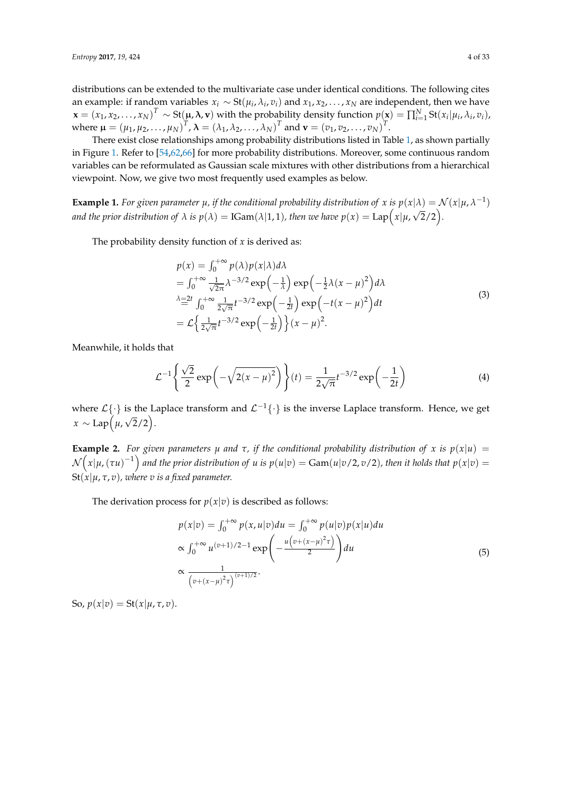distributions can be extended to the multivariate case under identical conditions. The following cites an example: if random variables  $x_i \sim St(\mu_i, \lambda_i, v_i)$  and  $x_1, x_2, \ldots, x_N$  are independent, then we have  $\mathbf{x} = (x_1, x_2, \dots, x_N)^T \sim \text{St}(\mu, \lambda, \mathbf{v})$  with the probability density function  $p(\mathbf{x}) = \prod_{i=1}^N \text{St}(x_i | \mu_i, \lambda_i, v_i)$ , where  $\mu = (\mu_1, \mu_2, ..., \mu_N)^T$ ,  $\lambda = (\lambda_1, \lambda_2, ..., \lambda_N)^T$  and  $\mathbf{v} = (v_1, v_2, ..., v_N)^T$ .

There exist close relationships among probability distributions listed in Table [1,](#page-4-0) as shown partially in Figure [1.](#page-5-0) Refer to [\[54,](#page-29-3)[62,](#page-29-4)[66\]](#page-30-2) for more probability distributions. Moreover, some continuous random variables can be reformulated as Gaussian scale mixtures with other distributions from a hierarchical viewpoint. Now, we give two most frequently used examples as below.

**Example 1.** *For given parameter*  $\mu$ , if the conditional probability distribution of *x* is  $p(x|\lambda) = \mathcal{N}(x|\mu, \lambda^{-1})$ and the prior distribution of  $\lambda$  is  $p(\lambda) = \text{IGam}(\lambda|1,1)$ , then we have  $p(x) = \text{Lap}\Big(\textstyle{x|\mu,\sqrt{2}/2}\Big).$ 

The probability density function of  $x$  is derived as:

$$
p(x) = \int_0^{+\infty} p(\lambda) p(x|\lambda) d\lambda
$$
  
\n
$$
= \int_0^{+\infty} \frac{1}{\sqrt{2\pi}} \lambda^{-3/2} \exp\left(-\frac{1}{\lambda}\right) \exp\left(-\frac{1}{2}\lambda(x-\mu)^2\right) d\lambda
$$
  
\n
$$
\lambda = 2t \int_0^{+\infty} \frac{1}{2\sqrt{\pi}} t^{-3/2} \exp\left(-\frac{1}{2t}\right) \exp\left(-t(x-\mu)^2\right) dt
$$
  
\n
$$
= \mathcal{L}\left\{\frac{1}{2\sqrt{\pi}} t^{-3/2} \exp\left(-\frac{1}{2t}\right)\right\} (x-\mu)^2.
$$
\n(3)

Meanwhile, it holds that

$$
\mathcal{L}^{-1}\left\{\frac{\sqrt{2}}{2}\exp\left(-\sqrt{2(x-\mu)^2}\right)\right\}(t) = \frac{1}{2\sqrt{\pi}}t^{-3/2}\exp\left(-\frac{1}{2t}\right)
$$
(4)

where  $\mathcal{L}\{\cdot\}$  is the Laplace transform and  $\mathcal{L}^{-1}\{\cdot\}$  is the inverse Laplace transform. Hence, we get *<sup>x</sup>* ∼ Lap *µ*,  $\sqrt{2}/2$ .

**Example 2.** For given parameters  $\mu$  and  $\tau$ , if the conditional probability distribution of  $x$  is  $p(x|u)$  =  $\mathcal{N}\Big(x|\mu,(\tau u)^{-1}\Big)$  and the prior distribution of  $u$  is  $p(u|v) = \text{Gam}(u|v/2,v/2)$ , then it holds that  $p(x|v) =$  $St(x|\mu, \tau, v)$ , where v is a fixed parameter.

The derivation process for  $p(x|v)$  is described as follows:

$$
p(x|v) = \int_0^{+\infty} p(x, u|v) du = \int_0^{+\infty} p(u|v) p(x|u) du
$$
  
\n
$$
\propto \int_0^{+\infty} u^{(v+1)/2 - 1} \exp\left(-\frac{u(v + (x - \mu)^2 \tau)}{2}\right) du
$$
  
\n
$$
\propto \frac{1}{(v + (x - \mu)^2 \tau)^{(v+1)/2}}.
$$
\n(5)

So,  $p(x|v) = \text{St}(x|\mu, \tau, v)$ .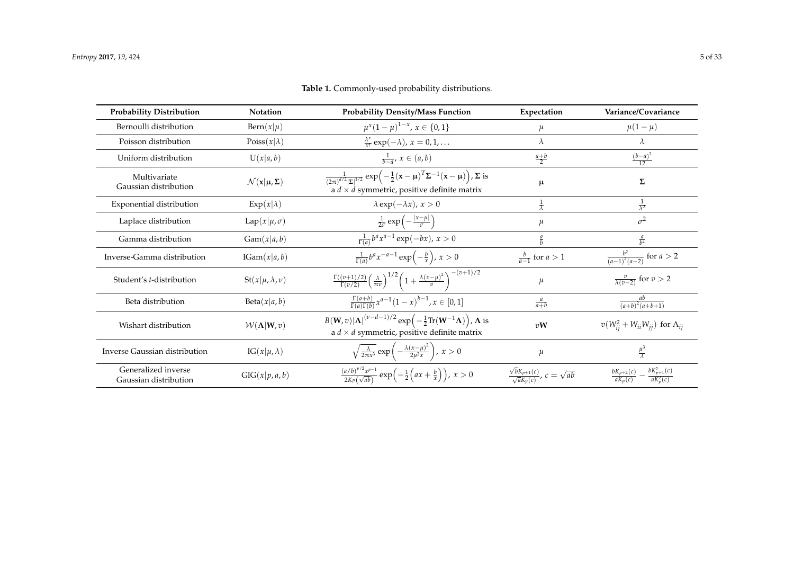<span id="page-4-0"></span>

| <b>Probability Distribution</b>              | <b>Notation</b>                                         | <b>Probability Density/Mass Function</b>                                                                                                                                                                      | Expectation                                                   | Variance/Covariance                                          |  |
|----------------------------------------------|---------------------------------------------------------|---------------------------------------------------------------------------------------------------------------------------------------------------------------------------------------------------------------|---------------------------------------------------------------|--------------------------------------------------------------|--|
| Bernoulli distribution                       | $\text{Bern}(x \mu)$                                    | $\mu^x(1-\mu)^{1-x}$ , $x \in \{0,1\}$                                                                                                                                                                        | $\mu$                                                         | $\mu(1-\mu)$                                                 |  |
| Poisson distribution                         | Poiss $(x \lambda)$                                     | $\frac{\lambda^x}{x!}$ exp( $-\lambda$ ), $x = 0, 1, \ldots$                                                                                                                                                  | $\lambda$                                                     | $\lambda$                                                    |  |
| Uniform distribution                         | U(x a, b)                                               | $\frac{1}{b-a}$ , $x \in (a, b)$                                                                                                                                                                              | $rac{a+b}{2}$                                                 | $\frac{(b-a)^2}{12}$                                         |  |
| Multivariate<br>Gaussian distribution        | $\mathcal{N}(\mathbf{x} \mathbf{\mu}, \mathbf{\Sigma})$ | $\frac{1}{(2\pi)^{d/2} \Sigma ^{1/2}} \exp\left(-\frac{1}{2}(\mathbf{x}-\boldsymbol{\mu})^T \Sigma^{-1}(\mathbf{x}-\boldsymbol{\mu})\right), \Sigma$ is<br>a $d \times d$ symmetric, positive definite matrix | μ                                                             | Σ                                                            |  |
| Exponential distribution                     | $Exp(x \lambda)$                                        | $\lambda \exp(-\lambda x), x > 0$                                                                                                                                                                             | $\frac{1}{\lambda}$                                           | $\frac{1}{\lambda^2}$                                        |  |
| Laplace distribution                         | $Lap(x \mu,\sigma)$                                     | $\frac{1}{2\sigma}$ exp $\left(-\frac{ x-\mu }{\sigma}\right)$                                                                                                                                                | $\mu$                                                         | $\sigma^2$                                                   |  |
| Gamma distribution                           | Gam(x a, b)                                             | $\frac{1}{\Gamma(a)}b^ax^{a-1}\exp(-bx), x>0$                                                                                                                                                                 | $rac{a}{b}$                                                   | $rac{a}{b^2}$                                                |  |
| Inverse-Gamma distribution                   | IGam(x a, b)                                            | $\frac{1}{\Gamma(a)}b^ax^{-a-1}\exp\left(-\frac{b}{x}\right), x>0$                                                                                                                                            | $\frac{b}{a-1}$ for $a > 1$                                   | $\frac{b^2}{(a-1)^2(a-2)}$ for $a > 2$                       |  |
| Student's t-distribution                     | $St(x \mu,\lambda,\nu)$                                 | $\frac{\Gamma((v+1)/2)}{\Gamma(v/2)}\left(\frac{\lambda}{\pi v}\right)^{1/2}\left(1+\frac{\lambda(x-\mu)^2}{v}\right)^{-(v+1)/2}$                                                                             | $\mu$                                                         | $\frac{v}{\lambda(v-2)}$ for $v > 2$                         |  |
| Beta distribution                            | Beta(x a, b)                                            | $\frac{\Gamma(a+b)}{\Gamma(a)\Gamma(b)}x^{a-1}(1-x)^{b-1}, x \in [0,1]$                                                                                                                                       | $rac{a}{a+b}$                                                 | ab<br>$\overline{(a+b)^2(a+b+1)}$                            |  |
| Wishart distribution                         | $W(\Lambda W,v)$                                        | $B(\mathbf{W}, v) \mathbf{\Lambda} ^{(\nu-d-1)/2} \exp\left(-\frac{1}{2}\text{Tr}(\mathbf{W}^{-1}\mathbf{\Lambda})\right)$ , $\mathbf{\Lambda}$ is<br>a $d \times d$ symmetric, positive definite matrix      | vW                                                            | $v(W_{ii}^2 + W_{ii}W_{jj})$ for $\Lambda_{ij}$              |  |
| Inverse Gaussian distribution                | $IG(x \mu,\lambda)$                                     | $\sqrt{\frac{\lambda}{2\pi x^3}} \exp\left(-\frac{\lambda(x-\mu)^2}{2\mu^2 x}\right), x > 0$                                                                                                                  | $\mu$                                                         | $\frac{\mu^3}{\lambda}$                                      |  |
| Generalized inverse<br>Gaussian distribution | GIG(x p, a, b)                                          | $\frac{(a/b)^{p/2}x^{p-1}}{2K_P(\sqrt{ab})}\exp\left(-\frac{1}{2}\left(ax+\frac{b}{x}\right)\right), x>0$                                                                                                     | $\frac{\sqrt{bK_{p+1}(c)}}{\sqrt{aK_p(c)}}$ , $c = \sqrt{ab}$ | $bK_{p+1}^2(c)$<br>$bK_{p+2}(c)$<br>$aK_p^2(c)$<br>$aK_n(c)$ |  |

**Table 1.** Commonly-used probability distributions.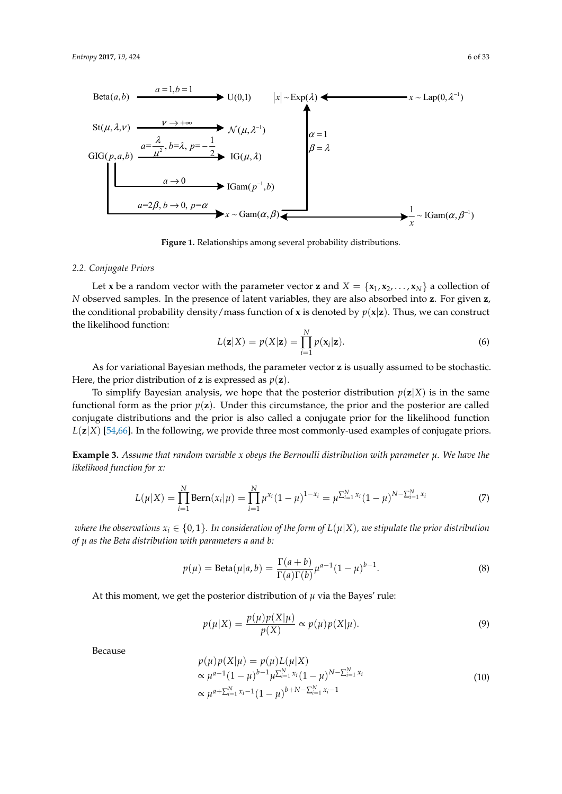<span id="page-5-0"></span>

**Figure 1.** Relationships among several probability distributions. **Figure 1.** Relationships among several probability distributions.

# *2.2. Conjugate Priors 2.2. Conjugate Priors*

Let **x** be a random vector with the parameter vector **z** and  $X = \{x_1, x_2, ..., x_N\}$  a collection of N observed samples. In the presence of latent variables, they are also absorbed into  $z$ . For given  $z$ , the conditional probability density/mass function of **x** is denoted by  $p(x|z)$ . Thus, we can construct the likelihood function: the likelihood function:

$$
L(\mathbf{z}|X) = p(X|\mathbf{z}) = \prod_{i=1}^{N} p(\mathbf{x}_i|\mathbf{z}).
$$
\n(6)

1 *i* = As for variational Bayesian methods, the parameter vector **z** is usually assumed to be stochastic. Here, the prior distribution of **z** is expressed as  $p(\mathbf{z})$ .

To simplify Bayesian analysis, we hope that the posterior distribution  $p(\mathbf{z}|X)$  is in the same functional form as the prior  $p(z)$ . Under this circumstance, the prior and the posterior are called  $L(z|X)$  [\[54](#page-29-3)[,66\]](#page-30-2). In the following, we provide three most commonly-used examples of conjugate priors. conjugate distributions and the prior is also called a conjugate prior for the likelihood function *L X* (| ) **z** conjugate distributions and the prior is also called a conjugate prior for the likelihood function

**Example 3.** Assume that random variable x obeys the Bernoulli distribution with parameter  $\mu$ . We have the *likelihood function for x:*

$$
L(\mu|X) = \prod_{i=1}^{N} \text{Bern}(x_i|\mu) = \prod_{i=1}^{N} \mu^{x_i} (1-\mu)^{1-x_i} = \mu^{\sum_{i=1}^{N} x_i} (1-\mu)^{N-\sum_{i=1}^{N} x_i}
$$
(7)

where the observations  $x_i \in \{0,1\}.$  In consideration of the form of  $L(\mu | X)$ , we stipulate the prior distribution 1 1 *i i of µ as the Beta distribution with parameters a and b:*

$$
p(\mu) = \text{Beta}(\mu|a, b) = \frac{\Gamma(a+b)}{\Gamma(a)\Gamma(b)} \mu^{a-1} (1-\mu)^{b-1}.
$$
 (8)

At this moment, we get the posterior distribution of  $\mu$  via the Bayes' rule:

$$
p(\mu|X) = \frac{p(\mu)p(X|\mu)}{p(X)} \propto p(\mu)p(X|\mu).
$$
\n(9)

Because

$$
p(\mu)p(X|\mu) = p(\mu)L(\mu|X) \n\propto \mu^{a-1}(1-\mu)^{b-1}\mu^{\sum_{i=1}^{N}x_i}(1-\mu)^{N-\sum_{i=1}^{N}x_i} \n\propto \mu^{a+\sum_{i=1}^{N}x_i-1}(1-\mu)^{b+N-\sum_{i=1}^{N}x_i-1}
$$
\n(10)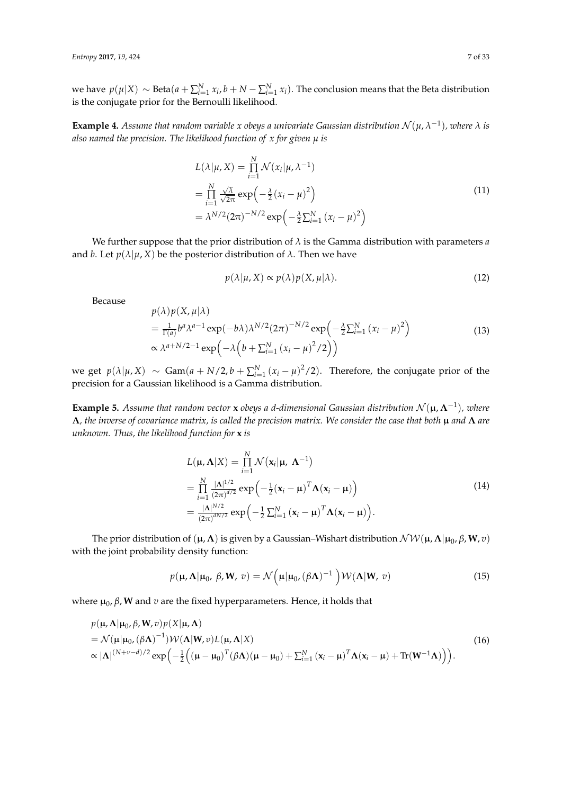*we* have  $p(\mu|X)$  ∼ Beta $(a + \sum_{i=1}^{N} x_i, b + N - \sum_{i=1}^{N} x_i)$ . The conclusion means that the Beta distribution is the conjugate prior for the Bernoulli likelihood.

**Example 4.** Assume that random variable x obeys a univariate Gaussian distribution  $\mathcal{N}(\mu, \lambda^{-1})$ , where  $\lambda$  is *also named the precision. The likelihood function of x for given µ is*

$$
L(\lambda|\mu, X) = \prod_{i=1}^{N} \mathcal{N}(x_i|\mu, \lambda^{-1})
$$
  
= 
$$
\prod_{i=1}^{N} \frac{\sqrt{\lambda}}{\sqrt{2\pi}} \exp\left(-\frac{\lambda}{2}(x_i - \mu)^2\right)
$$
  
= 
$$
\lambda^{N/2} (2\pi)^{-N/2} \exp\left(-\frac{\lambda}{2} \sum_{i=1}^{N} (x_i - \mu)^2\right)
$$
 (11)

We further suppose that the prior distribution of *λ* is the Gamma distribution with parameters *a* and *b*. Let  $p(\lambda | \mu, X)$  be the posterior distribution of  $\lambda$ . Then we have

$$
p(\lambda|\mu, X) \propto p(\lambda)p(X, \mu|\lambda). \tag{12}
$$

Because

$$
p(\lambda)p(X,\mu|\lambda)
$$
  
=  $\frac{1}{\Gamma(a)}b^a\lambda^{a-1}\exp(-b\lambda)\lambda^{N/2}(2\pi)^{-N/2}\exp\left(-\frac{\lambda}{2}\sum_{i=1}^N(x_i-\mu)^2\right)$   
 $\propto \lambda^{a+N/2-1}\exp\left(-\lambda\left(b+\sum_{i=1}^N(x_i-\mu)^2/2\right)\right)$  (13)

we get  $p(\lambda|\mu, X) \sim \text{Gam}(a + N/2, b + \sum_{i=1}^{N} (x_i - \mu)^2/2)$ . Therefore, the conjugate prior of the precision for a Gaussian likelihood is a Gamma distribution.

**Example 5.** Assume that random vector **x** obeys a d-dimensional Gaussian distribution  $\mathcal{N}(\mu, \mathbf{\Lambda}^{-1})$ , where **Λ***, the inverse of covariance matrix, is called the precision matrix. We consider the case that both* µ *and* **Λ** *are unknown. Thus, the likelihood function for* **x** *is*

$$
L(\mu, \Lambda | X) = \prod_{i=1}^{N} \mathcal{N}(\mathbf{x}_i | \mu, \Lambda^{-1})
$$
  
= 
$$
\prod_{i=1}^{N} \frac{|\Lambda|^{1/2}}{(2\pi)^{d/2}} \exp\left(-\frac{1}{2}(\mathbf{x}_i - \mu)^T \Lambda(\mathbf{x}_i - \mu)\right)
$$
  
= 
$$
\frac{|\Lambda|^{N/2}}{(2\pi)^{dN/2}} \exp\left(-\frac{1}{2} \sum_{i=1}^{N} (\mathbf{x}_i - \mu)^T \Lambda(\mathbf{x}_i - \mu)\right).
$$
 (14)

The prior distribution of  $(\mu, \Lambda)$  is given by a Gaussian–Wishart distribution  $\mathcal{NW}(\mu, \Lambda | \mu_0, \beta, W, v)$ with the joint probability density function:

$$
p(\mathbf{\mu}, \mathbf{\Lambda} | \mathbf{\mu}_0, \beta, \mathbf{W}, v) = \mathcal{N}\left(\mathbf{\mu} | \mathbf{\mu}_0, (\beta \mathbf{\Lambda})^{-1}\right) \mathcal{W}(\mathbf{\Lambda} | \mathbf{W}, v)
$$
(15)

where  $\mu_0$ , *β*, **W** and *v* are the fixed hyperparameters. Hence, it holds that

$$
p(\mathbf{\mu}, \mathbf{\Lambda} | \mathbf{\mu}_0, \beta, \mathbf{W}, v) p(X | \mathbf{\mu}, \mathbf{\Lambda})
$$
  
=  $\mathcal{N}(\mathbf{\mu} | \mathbf{\mu}_0, (\beta \mathbf{\Lambda})^{-1}) \mathcal{W}(\mathbf{\Lambda} | \mathbf{W}, v) L(\mathbf{\mu}, \mathbf{\Lambda} | X)$   
 $\propto |\mathbf{\Lambda}|^{(N+\nu-d)/2} \exp\left(-\frac{1}{2} \left((\mathbf{\mu} - \mathbf{\mu}_0)^T (\beta \mathbf{\Lambda})(\mathbf{\mu} - \mathbf{\mu}_0) + \sum_{i=1}^N (\mathbf{x}_i - \mathbf{\mu})^T \mathbf{\Lambda} (\mathbf{x}_i - \mathbf{\mu}) + \text{Tr}(\mathbf{W}^{-1} \mathbf{\Lambda})\right)\right).$  (16)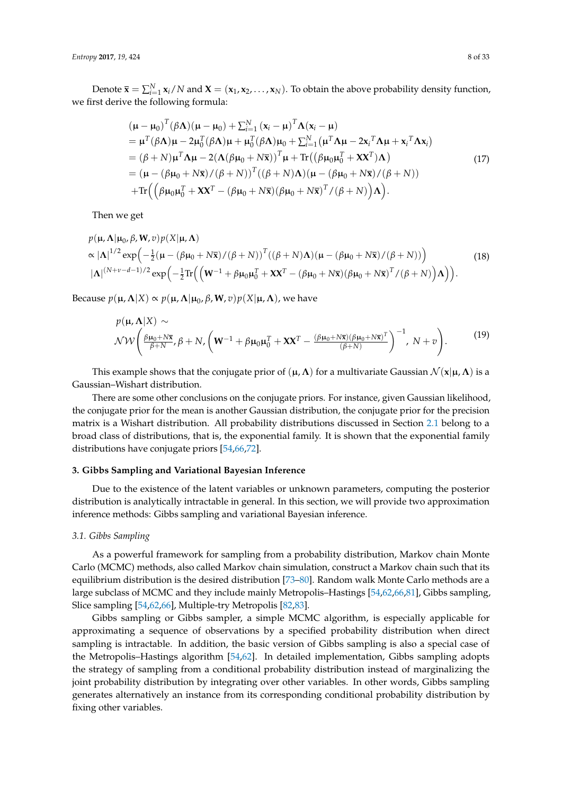Denote  $\bar{\mathbf{x}} = \sum_{i=1}^{N} \mathbf{x}_i/N$  and  $\mathbf{X} = (\mathbf{x}_1, \mathbf{x}_2, ..., \mathbf{x}_N)$ . To obtain the above probability density function, we first derive the following formula:

$$
(\mu - \mu_0)^T (\beta \Lambda) (\mu - \mu_0) + \sum_{i=1}^N (\mathbf{x}_i - \mu)^T \Lambda (\mathbf{x}_i - \mu)
$$
  
\n
$$
= \mu^T (\beta \Lambda) \mu - 2\mu_0^T (\beta \Lambda) \mu + \mu_0^T (\beta \Lambda) \mu_0 + \sum_{i=1}^N (\mu^T \Lambda \mu - 2\mathbf{x}_i^T \Lambda \mu + \mathbf{x}_i^T \Lambda \mathbf{x}_i)
$$
  
\n
$$
= (\beta + N) \mu^T \Lambda \mu - 2(\Lambda (\beta \mu_0 + N\overline{\mathbf{x}}))^T \mu + \text{Tr}((\beta \mu_0 \mu_0^T + \mathbf{X} \mathbf{X}^T) \Lambda)
$$
  
\n
$$
= (\mu - (\beta \mu_0 + N\overline{\mathbf{x}})/(\beta + N))^T ((\beta + N) \Lambda) (\mu - (\beta \mu_0 + N\overline{\mathbf{x}})/(\beta + N))
$$
  
\n
$$
+ \text{Tr}((\beta \mu_0 \mu_0^T + \mathbf{X} \mathbf{X}^T - (\beta \mu_0 + N\overline{\mathbf{x}})(\beta \mu_0 + N\overline{\mathbf{x}})^T / (\beta + N)) \Lambda).
$$
 (17)

Then we get

$$
p(\mathbf{\mu}, \mathbf{\Lambda}|\mathbf{\mu}_0, \beta, \mathbf{W}, v)p(X|\mathbf{\mu}, \mathbf{\Lambda})
$$
  
\n
$$
\propto |\mathbf{\Lambda}|^{1/2} \exp\left(-\frac{1}{2}(\mathbf{\mu} - (\beta\mathbf{\mu}_0 + N\overline{\mathbf{x}})/(\beta + N))^T((\beta + N)\mathbf{\Lambda})(\mathbf{\mu} - (\beta\mathbf{\mu}_0 + N\overline{\mathbf{x}})/(\beta + N))\right)
$$
  
\n
$$
|\mathbf{\Lambda}|^{(N+\nu-d-1)/2} \exp\left(-\frac{1}{2} \text{Tr}\left(\left(\mathbf{W}^{-1} + \beta\mathbf{\mu}_0\mathbf{\mu}_0^T + \mathbf{X}\mathbf{X}^T - (\beta\mathbf{\mu}_0 + N\overline{\mathbf{x}})(\beta\mathbf{\mu}_0 + N\overline{\mathbf{x}})^T/(\beta + N)\right)\mathbf{\Lambda}\right)\right).
$$
\n(18)

Because  $p(\mathbf{\mu}, \mathbf{\Lambda} | X) \propto p(\mathbf{\mu}, \mathbf{\Lambda} | \mathbf{\mu}_0, \beta, \mathbf{W}, v) p(X | \mathbf{\mu}, \mathbf{\Lambda})$ , we have

$$
p(\mathbf{\mu}, \mathbf{\Lambda} | X) \sim
$$
  
\n
$$
\mathcal{NW}\left(\frac{\beta \mathbf{\mu}_0 + N\bar{\mathbf{x}}}{\beta + N}, \beta + N, \left(\mathbf{W}^{-1} + \beta \mathbf{\mu}_0 \mathbf{\mu}_0^T + \mathbf{X} \mathbf{X}^T - \frac{(\beta \mathbf{\mu}_0 + N\bar{\mathbf{x}})(\beta \mathbf{\mu}_0 + N\bar{\mathbf{x}})^T}{(\beta + N)}\right)^{-1}, N + v\right).
$$
\n(19)

This example shows that the conjugate prior of  $(\mu, \Lambda)$  for a multivariate Gaussian  $\mathcal{N}(x|\mu, \Lambda)$  is a Gaussian–Wishart distribution.

There are some other conclusions on the conjugate priors. For instance, given Gaussian likelihood, the conjugate prior for the mean is another Gaussian distribution, the conjugate prior for the precision matrix is a Wishart distribution. All probability distributions discussed in Section [2.1](#page-2-1) belong to a broad class of distributions, that is, the exponential family. It is shown that the exponential family distributions have conjugate priors [\[54](#page-29-3)[,66](#page-30-2)[,72\]](#page-30-3).

# <span id="page-7-0"></span>**3. Gibbs Sampling and Variational Bayesian Inference**

Due to the existence of the latent variables or unknown parameters, computing the posterior distribution is analytically intractable in general. In this section, we will provide two approximation inference methods: Gibbs sampling and variational Bayesian inference.

#### *3.1. Gibbs Sampling*

As a powerful framework for sampling from a probability distribution, Markov chain Monte Carlo (MCMC) methods, also called Markov chain simulation, construct a Markov chain such that its equilibrium distribution is the desired distribution [\[73](#page-30-4)[–80\]](#page-30-5). Random walk Monte Carlo methods are a large subclass of MCMC and they include mainly Metropolis–Hastings [\[54](#page-29-3)[,62](#page-29-4)[,66](#page-30-2)[,81\]](#page-30-6), Gibbs sampling, Slice sampling [\[54,](#page-29-3)[62,](#page-29-4)[66\]](#page-30-2), Multiple-try Metropolis [\[82](#page-30-7)[,83\]](#page-30-8).

Gibbs sampling or Gibbs sampler, a simple MCMC algorithm, is especially applicable for approximating a sequence of observations by a specified probability distribution when direct sampling is intractable. In addition, the basic version of Gibbs sampling is also a special case of the Metropolis–Hastings algorithm [\[54,](#page-29-3)[62\]](#page-29-4). In detailed implementation, Gibbs sampling adopts the strategy of sampling from a conditional probability distribution instead of marginalizing the joint probability distribution by integrating over other variables. In other words, Gibbs sampling generates alternatively an instance from its corresponding conditional probability distribution by fixing other variables.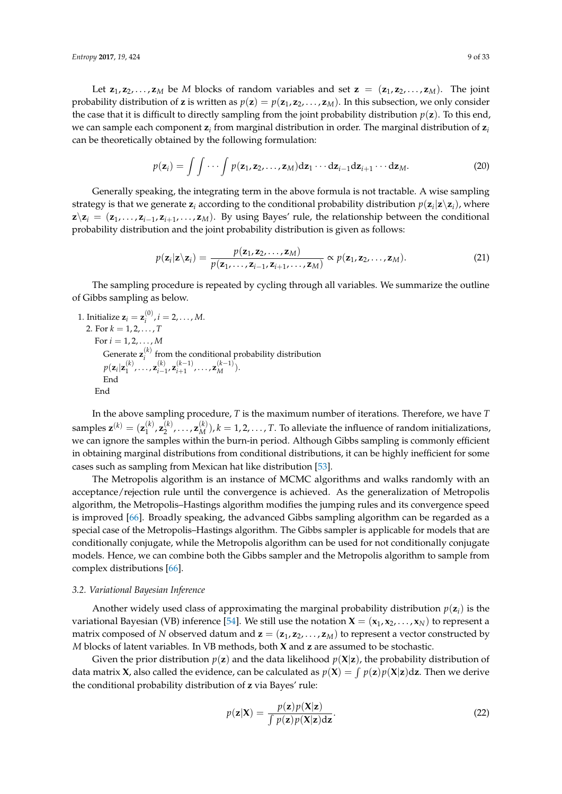Let  $z_1, z_2, \ldots, z_M$  be *M* blocks of random variables and set  $z = (z_1, z_2, \ldots, z_M)$ . The joint probability distribution of **z** is written as  $p(\mathbf{z}) = p(\mathbf{z}_1, \mathbf{z}_2, \dots, \mathbf{z}_M)$ . In this subsection, we only consider the case that it is difficult to directly sampling from the joint probability distribution  $p(z)$ . To this end, we can sample each component **z***<sup>i</sup>* from marginal distribution in order. The marginal distribution of **z***<sup>i</sup>* can be theoretically obtained by the following formulation:

$$
p(\mathbf{z}_i) = \int \int \cdots \int p(\mathbf{z}_1, \mathbf{z}_2, \dots, \mathbf{z}_M) d\mathbf{z}_1 \cdots d\mathbf{z}_{i-1} d\mathbf{z}_{i+1} \cdots d\mathbf{z}_M.
$$
 (20)

Generally speaking, the integrating term in the above formula is not tractable. A wise sampling strategy is that we generate  $z_i$  according to the conditional probability distribution  $p(z_i|z\rangle z_i)$ , where  $\mathbf{z}\backslash \mathbf{z}_i = (\mathbf{z}_1,\ldots,\mathbf{z}_{i-1},\mathbf{z}_{i+1},\ldots,\mathbf{z}_M)$ . By using Bayes' rule, the relationship between the conditional probability distribution and the joint probability distribution is given as follows:

$$
p(\mathbf{z}_i|\mathbf{z}\backslash \mathbf{z}_i)=\frac{p(\mathbf{z}_1,\mathbf{z}_2,\ldots,\mathbf{z}_M)}{p(\mathbf{z}_1,\ldots,\mathbf{z}_{i-1},\mathbf{z}_{i+1},\ldots,\mathbf{z}_M)}\propto p(\mathbf{z}_1,\mathbf{z}_2,\ldots,\mathbf{z}_M).
$$
 (21)

The sampling procedure is repeated by cycling through all variables. We summarize the outline of Gibbs sampling as below.

1. Initialize  $\mathbf{z}_i = \mathbf{z}_i^{(0)}$  $i^{(0)}$ ,  $i = 2, \ldots, M$ . 2. For  $k = 1, 2, ..., T$ For  $i = 1, 2, ..., M$ Generate **z** (*k*)  $i'$  from the conditional probability distribution  $p(\mathbf{z}_i|\mathbf{z}_1^{(k)})$  $\mathbf{z}_{i-1}^{(k)}, \ldots, \mathbf{z}_{i-1}^{(k)}$  $\sum_{i=1}^{(k)}$ , **z**<sub>i+1</sub>  $\binom{(k-1)}{i+1}, \ldots, \mathbf{z}_M^{(k-1)}$ . End End

In the above sampling procedure, *T* is the maximum number of iterations. Therefore, we have *T* samples  $\mathbf{z}^{(k)} = (\mathbf{z}_1^{(k)})$  $\binom{k}{1}$ ,  $\mathbf{z}_2^{(k)}$  $\mathbf{z}_2^{(k)}, \ldots, \mathbf{z}_M^{(k)}$ ,  $k = 1, 2, \ldots, T$ . To alleviate the influence of random initializations, we can ignore the samples within the burn-in period. Although Gibbs sampling is commonly efficient in obtaining marginal distributions from conditional distributions, it can be highly inefficient for some cases such as sampling from Mexican hat like distribution [\[53\]](#page-29-5).

The Metropolis algorithm is an instance of MCMC algorithms and walks randomly with an acceptance/rejection rule until the convergence is achieved. As the generalization of Metropolis algorithm, the Metropolis–Hastings algorithm modifies the jumping rules and its convergence speed is improved [\[66\]](#page-30-2). Broadly speaking, the advanced Gibbs sampling algorithm can be regarded as a special case of the Metropolis–Hastings algorithm. The Gibbs sampler is applicable for models that are conditionally conjugate, while the Metropolis algorithm can be used for not conditionally conjugate models. Hence, we can combine both the Gibbs sampler and the Metropolis algorithm to sample from complex distributions [\[66\]](#page-30-2).

#### *3.2. Variational Bayesian Inference*

Another widely used class of approximating the marginal probability distribution  $p(\mathbf{z}_i)$  is the variational Bayesian (VB) inference [\[54\]](#page-29-3). We still use the notation  $\mathbf{X} = (\mathbf{x}_1, \mathbf{x}_2, \dots, \mathbf{x}_N)$  to represent a matrix composed of *N* observed datum and  $z = (z_1, z_2, \ldots, z_M)$  to represent a vector constructed by *M* blocks of latent variables. In VB methods, both **X** and **z** are assumed to be stochastic.

Given the prior distribution  $p(z)$  and the data likelihood  $p(X|z)$ , the probability distribution of data matrix **X**, also called the evidence, can be calculated as  $p(X) = \int p(z)p(X|z)dz$ . Then we derive the conditional probability distribution of **z** via Bayes' rule:

$$
p(\mathbf{z}|\mathbf{X}) = \frac{p(\mathbf{z})p(\mathbf{X}|\mathbf{z})}{\int p(\mathbf{z})p(\mathbf{X}|\mathbf{z})d\mathbf{z}}.
$$
 (22)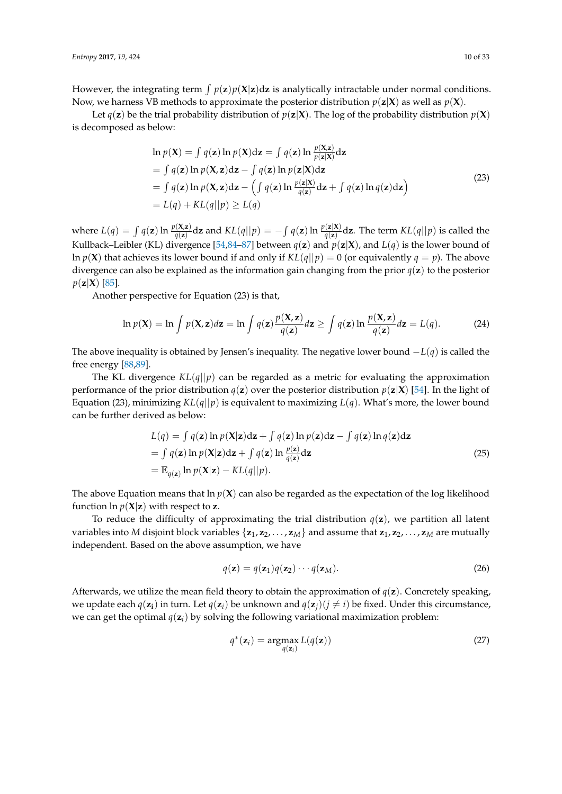However, the integrating term  $\int p(\mathbf{z})p(\mathbf{X}|\mathbf{z})d\mathbf{z}$  is analytically intractable under normal conditions. Now, we harness VB methods to approximate the posterior distribution  $p(z|X)$  as well as  $p(X)$ .

Let  $q(\mathbf{z})$  be the trial probability distribution of  $p(\mathbf{z}|\mathbf{X})$ . The log of the probability distribution  $p(\mathbf{X})$ is decomposed as below:

$$
\ln p(\mathbf{X}) = \int q(\mathbf{z}) \ln p(\mathbf{X}) d\mathbf{z} = \int q(\mathbf{z}) \ln \frac{p(\mathbf{X}|\mathbf{z})}{p(\mathbf{z}|\mathbf{X})} d\mathbf{z}
$$
  
=  $\int q(\mathbf{z}) \ln p(\mathbf{X}, \mathbf{z}) d\mathbf{z} - \int q(\mathbf{z}) \ln p(\mathbf{z}|\mathbf{X}) d\mathbf{z}$   
=  $\int q(\mathbf{z}) \ln p(\mathbf{X}, \mathbf{z}) d\mathbf{z} - (\int q(\mathbf{z}) \ln \frac{p(\mathbf{z}|\mathbf{X})}{q(\mathbf{z})} d\mathbf{z} + \int q(\mathbf{z}) \ln q(\mathbf{z}) d\mathbf{z})$  (23)  
=  $L(q) + KL(q||p) \ge L(q)$ 

where  $L(q) = \int q(\mathbf{z}) \ln \frac{p(\mathbf{X}, \mathbf{z})}{q(\mathbf{z})} d\mathbf{z}$  and  $KL(q||p) = -\int q(\mathbf{z}) \ln \frac{p(\mathbf{z}|\mathbf{X})}{q(\mathbf{z})} d\mathbf{z}$ . The term  $KL(q||p)$  is called the Kullback–Leibler (KL) divergence [\[54](#page-29-3)[,84](#page-30-9)[–87\]](#page-30-10) between  $q(z)$  and  $p(z|X)$ , and  $L(q)$  is the lower bound of ln  $p(X)$  that achieves its lower bound if and only if  $KL(q||p) = 0$  (or equivalently  $q = p$ ). The above divergence can also be explained as the information gain changing from the prior *q*(**z**) to the posterior  $p(z|X)$  [\[85\]](#page-30-11).

Another perspective for Equation (23) is that,

$$
\ln p(\mathbf{X}) = \ln \int p(\mathbf{X}, \mathbf{z}) d\mathbf{z} = \ln \int q(\mathbf{z}) \frac{p(\mathbf{X}, \mathbf{z})}{q(\mathbf{z})} d\mathbf{z} \ge \int q(\mathbf{z}) \ln \frac{p(\mathbf{X}, \mathbf{z})}{q(\mathbf{z})} d\mathbf{z} = L(q).
$$
 (24)

The above inequality is obtained by Jensen's inequality. The negative lower bound −*L*(*q*) is called the free energy [\[88,](#page-30-12)[89\]](#page-30-13).

The KL divergence  $KL(q||p)$  can be regarded as a metric for evaluating the approximation performance of the prior distribution  $q(\mathbf{z})$  over the posterior distribution  $p(\mathbf{z}|\mathbf{X})$  [\[54\]](#page-29-3). In the light of Equation (23), minimizing  $KL(q||p)$  is equivalent to maximizing  $L(q)$ . What's more, the lower bound can be further derived as below:

$$
L(q) = \int q(\mathbf{z}) \ln p(\mathbf{X}|\mathbf{z}) d\mathbf{z} + \int q(\mathbf{z}) \ln p(\mathbf{z}) d\mathbf{z} - \int q(\mathbf{z}) \ln q(\mathbf{z}) d\mathbf{z}
$$
  
= 
$$
\int q(\mathbf{z}) \ln p(\mathbf{X}|\mathbf{z}) d\mathbf{z} + \int q(\mathbf{z}) \ln \frac{p(\mathbf{z})}{q(\mathbf{z})} d\mathbf{z}
$$
  
= 
$$
\mathbb{E}_{q(\mathbf{z})} \ln p(\mathbf{X}|\mathbf{z}) - KL(q||p).
$$
 (25)

The above Equation means that  $\ln p(\mathbf{X})$  can also be regarded as the expectation of the log likelihood function  $\ln p(X|z)$  with respect to **z**.

To reduce the difficulty of approximating the trial distribution  $q(z)$ , we partition all latent variables into *M* disjoint block variables  $\{z_1, z_2, \ldots, z_M\}$  and assume that  $z_1, z_2, \ldots, z_M$  are mutually independent. Based on the above assumption, we have

$$
q(\mathbf{z}) = q(\mathbf{z}_1)q(\mathbf{z}_2)\cdots q(\mathbf{z}_M).
$$
 (26)

Afterwards, we utilize the mean field theory to obtain the approximation of  $q(\mathbf{z})$ . Concretely speaking, we update each  $q(\mathbf{z}_i)$  in turn. Let  $q(\mathbf{z}_i)$  be unknown and  $q(\mathbf{z}_i)(j \neq i)$  be fixed. Under this circumstance, we can get the optimal  $q(\mathbf{z}_i)$  by solving the following variational maximization problem:

$$
q^*(\mathbf{z}_i) = \underset{q(\mathbf{z}_i)}{\operatorname{argmax}} L(q(\mathbf{z}))
$$
\n(27)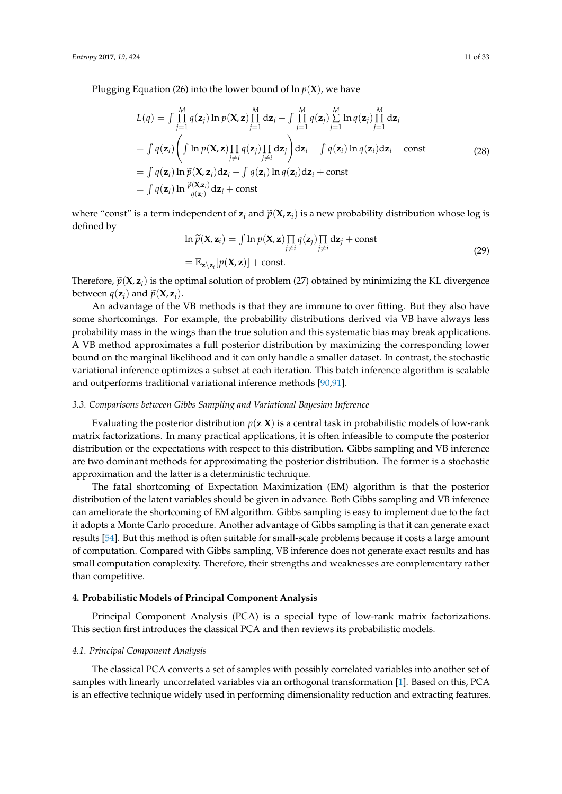Plugging Equation (26) into the lower bound of  $\ln p(\mathbf{X})$ , we have

$$
L(q) = \int \prod_{j=1}^{M} q(\mathbf{z}_{j}) \ln p(\mathbf{X}, \mathbf{z}) \prod_{j=1}^{M} d\mathbf{z}_{j} - \int \prod_{j=1}^{M} q(\mathbf{z}_{j}) \sum_{j=1}^{M} \ln q(\mathbf{z}_{j}) \prod_{j=1}^{M} d\mathbf{z}_{j}
$$
  
\n
$$
= \int q(\mathbf{z}_{i}) \left( \int \ln p(\mathbf{X}, \mathbf{z}) \prod_{j \neq i} q(\mathbf{z}_{j}) \prod_{j \neq i} d\mathbf{z}_{j} \right) d\mathbf{z}_{i} - \int q(\mathbf{z}_{i}) \ln q(\mathbf{z}_{i}) d\mathbf{z}_{i} + \text{const}
$$
  
\n
$$
= \int q(\mathbf{z}_{i}) \ln \widetilde{p}(\mathbf{X}, \mathbf{z}_{i}) d\mathbf{z}_{i} - \int q(\mathbf{z}_{i}) \ln q(\mathbf{z}_{i}) d\mathbf{z}_{i} + \text{const}
$$
  
\n
$$
= \int q(\mathbf{z}_{i}) \ln \frac{\widetilde{p}(\mathbf{X}, \mathbf{z}_{i})}{q(\mathbf{z}_{i})} d\mathbf{z}_{i} + \text{const}
$$
  
\n(28)

where "const" is a term independent of  $z_i$  and  $\tilde{p}(X, z_i)$  is a new probability distribution whose log is defined by

$$
\ln \widetilde{p}(\mathbf{X}, \mathbf{z}_i) = \int \ln p(\mathbf{X}, \mathbf{z}) \prod_{j \neq i} q(\mathbf{z}_j) \prod_{j \neq i} d\mathbf{z}_j + \text{const}
$$
\n
$$
= \mathbb{E}_{\mathbf{z} \setminus \mathbf{z}_i} [p(\mathbf{X}, \mathbf{z})] + \text{const.}
$$
\n(29)

Therefore,  $\tilde{p}(\mathbf{X}, \mathbf{z}_i)$  is the optimal solution of problem (27) obtained by minimizing the KL divergence between  $q(\mathbf{z}_i)$  and  $\widetilde{p}(\mathbf{X}, \mathbf{z}_i)$ .

An advantage of the VB methods is that they are immune to over fitting. But they also have some shortcomings. For example, the probability distributions derived via VB have always less probability mass in the wings than the true solution and this systematic bias may break applications. A VB method approximates a full posterior distribution by maximizing the corresponding lower bound on the marginal likelihood and it can only handle a smaller dataset. In contrast, the stochastic variational inference optimizes a subset at each iteration. This batch inference algorithm is scalable and outperforms traditional variational inference methods [\[90,](#page-30-14)[91\]](#page-30-15).

# *3.3. Comparisons between Gibbs Sampling and Variational Bayesian Inference*

Evaluating the posterior distribution  $p(z|X)$  is a central task in probabilistic models of low-rank matrix factorizations. In many practical applications, it is often infeasible to compute the posterior distribution or the expectations with respect to this distribution. Gibbs sampling and VB inference are two dominant methods for approximating the posterior distribution. The former is a stochastic approximation and the latter is a deterministic technique.

The fatal shortcoming of Expectation Maximization (EM) algorithm is that the posterior distribution of the latent variables should be given in advance. Both Gibbs sampling and VB inference can ameliorate the shortcoming of EM algorithm. Gibbs sampling is easy to implement due to the fact it adopts a Monte Carlo procedure. Another advantage of Gibbs sampling is that it can generate exact results [\[54\]](#page-29-3). But this method is often suitable for small-scale problems because it costs a large amount of computation. Compared with Gibbs sampling, VB inference does not generate exact results and has small computation complexity. Therefore, their strengths and weaknesses are complementary rather than competitive.

## <span id="page-10-0"></span>**4. Probabilistic Models of Principal Component Analysis**

Principal Component Analysis (PCA) is a special type of low-rank matrix factorizations. This section first introduces the classical PCA and then reviews its probabilistic models.

## *4.1. Principal Component Analysis*

The classical PCA converts a set of samples with possibly correlated variables into another set of samples with linearly uncorrelated variables via an orthogonal transformation [\[1\]](#page-27-0). Based on this, PCA is an effective technique widely used in performing dimensionality reduction and extracting features.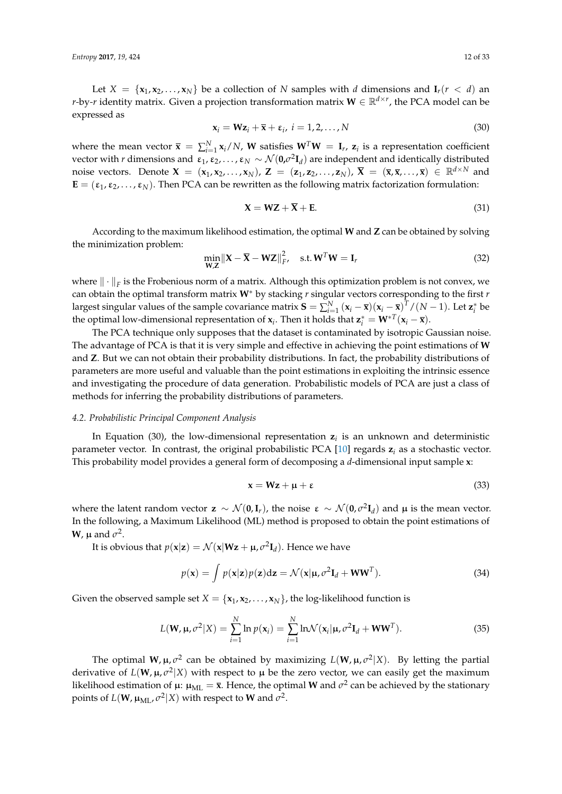Let  $X = \{x_1, x_2, \ldots, x_N\}$  be a collection of *N* samples with *d* dimensions and  $I_r(r < d)$  and *r*-by-*r* identity matrix. Given a projection transformation matrix  $\mathbf{W} \in \mathbb{R}^{d \times r}$ , the PCA model can be expressed as

$$
\mathbf{x}_i = \mathbf{W} \mathbf{z}_i + \overline{\mathbf{x}} + \varepsilon_i, \ i = 1, 2, \dots, N
$$
 (30)

where the mean vector  $\bar{\mathbf{x}} = \sum_{i=1}^{N} \mathbf{x}_i / N$ , **W** satisfies  $\mathbf{W}^T \mathbf{W} = \mathbf{I}_r$ ,  $\mathbf{z}_i$  is a representation coefficient vector with *r* dimensions and  $\epsilon_1, \epsilon_2, \ldots, \epsilon_N \sim \mathcal{N}(0, \sigma^2 \mathbf{I}_d)$  are independent and identically distributed noise vectors. Denote  $X = (x_1, x_2, \ldots, x_N)$ ,  $Z = (z_1, z_2, \ldots, z_N)$ ,  $\overline{X} = (\overline{x}, \overline{x}, \ldots, \overline{x}) \in \mathbb{R}^{d \times N}$  and **. Then PCA can be rewritten as the following matrix factorization formulation:** 

$$
X = WZ + \overline{X} + E. \tag{31}
$$

According to the maximum likelihood estimation, the optimal **W** and **Z** can be obtained by solving the minimization problem:

$$
\min_{\mathbf{W},\mathbf{Z}} \|\mathbf{X} - \overline{\mathbf{X}} - \mathbf{W}\mathbf{Z}\|_{F}^{2}, \quad \text{s.t. } \mathbf{W}^{T}\mathbf{W} = \mathbf{I}_{r}
$$
\n(32)

where  $\|\cdot\|_F$  is the Frobenious norm of a matrix. Although this optimization problem is not convex, we can obtain the optimal transform matrix **W**<sup>∗</sup> by stacking *r* singular vectors corresponding to the first *r* largest singular values of the sample covariance matrix  $S = \sum_{i=1}^{N} (x_i - \overline{x})(x_i - \overline{x})^T/(N-1)$ . Let  $z_i^*$  be the optimal low-dimensional representation of  $\mathbf{x}_i$ . Then it holds that  $\mathbf{z}_i^* = \mathbf{W}^{*T}(\mathbf{x}_i - \overline{\mathbf{x}})$ .

The PCA technique only supposes that the dataset is contaminated by isotropic Gaussian noise. The advantage of PCA is that it is very simple and effective in achieving the point estimations of **W** and **Z**. But we can not obtain their probability distributions. In fact, the probability distributions of parameters are more useful and valuable than the point estimations in exploiting the intrinsic essence and investigating the procedure of data generation. Probabilistic models of PCA are just a class of methods for inferring the probability distributions of parameters.

## *4.2. Probabilistic Principal Component Analysis*

In Equation (30), the low-dimensional representation **z***<sup>i</sup>* is an unknown and deterministic parameter vector. In contrast, the original probabilistic PCA [\[10\]](#page-27-9) regards **z***<sup>i</sup>* as a stochastic vector. This probability model provides a general form of decomposing a *d*-dimensional input sample **x**:

$$
x = Wz + \mu + \varepsilon \tag{33}
$$

where the latent random vector  $z \sim \mathcal{N}(0, I_r)$ , the noise  $\epsilon \sim \mathcal{N}(0, \sigma^2 I_d)$  and  $\mu$  is the mean vector. In the following, a Maximum Likelihood (ML) method is proposed to obtain the point estimations of **W**,  $\mu$  and  $\sigma^2$ .

It is obvious that  $p(\mathbf{x}|\mathbf{z}) = \mathcal{N}(\mathbf{x}|\mathbf{W}\mathbf{z} + \mathbf{\mu}, \sigma^2 \mathbf{I}_d)$ . Hence we have

$$
p(\mathbf{x}) = \int p(\mathbf{x}|\mathbf{z})p(\mathbf{z})d\mathbf{z} = \mathcal{N}(\mathbf{x}|\mathbf{\mu}, \sigma^2 \mathbf{I}_d + \mathbf{W}\mathbf{W}^T).
$$
 (34)

Given the observed sample set  $X = \{x_1, x_2, \ldots, x_N\}$ , the log-likelihood function is

$$
L(\mathbf{W}, \mu, \sigma^2 | X) = \sum_{i=1}^{N} \ln p(\mathbf{x}_i) = \sum_{i=1}^{N} \ln \mathcal{N}(\mathbf{x}_i | \mu, \sigma^2 \mathbf{I}_d + \mathbf{W} \mathbf{W}^T).
$$
 (35)

The optimal  $W$ ,  $\mu$ ,  $\sigma^2$  can be obtained by maximizing  $L(W, \mu, \sigma^2|X)$ . By letting the partial derivative of  $L(\mathbf{W}, \mu, \sigma^2 | X)$  with respect to  $\mu$  be the zero vector, we can easily get the maximum likelihood estimation of  $\mu$ :  $\mu_{ML} = \bar{x}$ . Hence, the optimal **W** and  $\sigma^2$  can be achieved by the stationary points of  $L(W, \mu_{\text{ML}}, \sigma^2 | X)$  with respect to **W** and  $\sigma^2$ .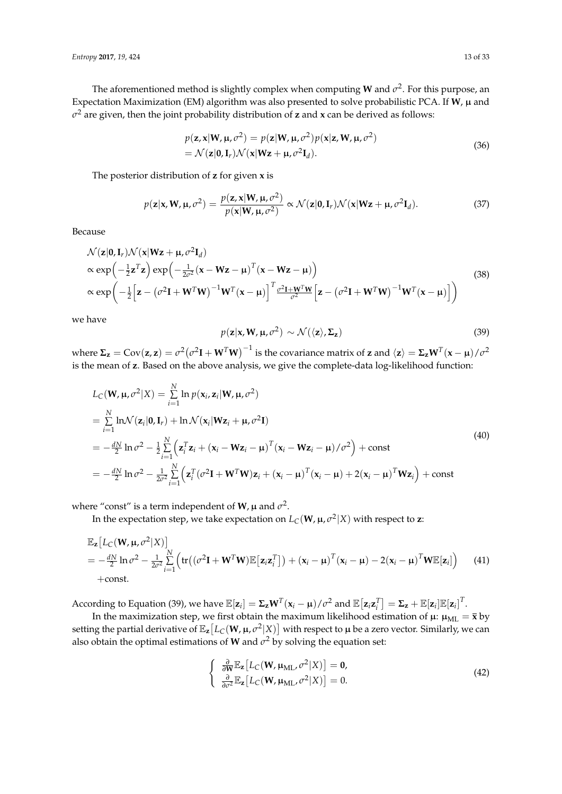The aforementioned method is slightly complex when computing **W** and  $\sigma^2$ . For this purpose, an Expectation Maximization (EM) algorithm was also presented to solve probabilistic PCA. If  $W$ ,  $\mu$  and *σ* <sup>2</sup> are given, then the joint probability distribution of **z** and **x** can be derived as follows:

$$
p(\mathbf{z}, \mathbf{x} | \mathbf{W}, \mathbf{\mu}, \sigma^2) = p(\mathbf{z} | \mathbf{W}, \mathbf{\mu}, \sigma^2) p(\mathbf{x} | \mathbf{z}, \mathbf{W}, \mathbf{\mu}, \sigma^2)
$$
  
=  $\mathcal{N}(\mathbf{z} | \mathbf{0}, \mathbf{I}_r) \mathcal{N}(\mathbf{x} | \mathbf{Wz} + \mathbf{\mu}, \sigma^2 \mathbf{I}_d).$  (36)

The posterior distribution of **z** for given **x** is

$$
p(\mathbf{z}|\mathbf{x}, \mathbf{W}, \mathbf{\mu}, \sigma^2) = \frac{p(\mathbf{z}, \mathbf{x}|\mathbf{W}, \mathbf{\mu}, \sigma^2)}{p(\mathbf{x}|\mathbf{W}, \mathbf{\mu}, \sigma^2)} \propto \mathcal{N}(\mathbf{z}|\mathbf{0}, \mathbf{I}_r) \mathcal{N}(\mathbf{x}|\mathbf{W}\mathbf{z} + \mathbf{\mu}, \sigma^2 \mathbf{I}_d).
$$
 (37)

Because

$$
\mathcal{N}(\mathbf{z}|\mathbf{0}, \mathbf{I}_r) \mathcal{N}(\mathbf{x}|\mathbf{W}\mathbf{z} + \mathbf{\mu}, \sigma^2 \mathbf{I}_d) \n\propto \exp\left(-\frac{1}{2}\mathbf{z}^T\mathbf{z}\right) \exp\left(-\frac{1}{2\sigma^2}(\mathbf{x} - \mathbf{W}\mathbf{z} - \mathbf{\mu})^T(\mathbf{x} - \mathbf{W}\mathbf{z} - \mathbf{\mu})\right) \n\propto \exp\left(-\frac{1}{2}\left[\mathbf{z} - (\sigma^2\mathbf{I} + \mathbf{W}^T\mathbf{W})^{-1}\mathbf{W}^T(\mathbf{x} - \mathbf{\mu})\right]^T \frac{\sigma^2 \mathbf{I} + \mathbf{W}^T\mathbf{W}}{\sigma^2} \left[\mathbf{z} - (\sigma^2\mathbf{I} + \mathbf{W}^T\mathbf{W})^{-1}\mathbf{W}^T(\mathbf{x} - \mathbf{\mu})\right]\right)
$$
\n(38)

we have

$$
p(\mathbf{z}|\mathbf{x}, \mathbf{W}, \mathbf{\mu}, \sigma^2) \sim \mathcal{N}(\langle \mathbf{z} \rangle, \Sigma_{\mathbf{z}})
$$
\n(39)

where  $\Sigma_{\mathbf{z}}=\text{Cov}(\mathbf{z},\mathbf{z})=\sigma^2\big(\sigma^2\mathbf{I}+\mathbf{W}^T\mathbf{W}\big)^{-1}$  is the covariance matrix of  $\mathbf{z}$  and  $\langle \mathbf{z}\rangle=\Sigma_{\mathbf{z}}\mathbf{W}^T(\mathbf{x}-\mathbf{\mu})/\sigma^2$ is the mean of **z**. Based on the above analysis, we give the complete-data log-likelihood function:

$$
L_{C}(\mathbf{W}, \mu, \sigma^{2} | X) = \sum_{i=1}^{N} \ln p(\mathbf{x}_{i}, \mathbf{z}_{i} | \mathbf{W}, \mu, \sigma^{2})
$$
  
\n
$$
= \sum_{i=1}^{N} \ln \mathcal{N}(\mathbf{z}_{i} | \mathbf{0}, \mathbf{I}_{r}) + \ln \mathcal{N}(\mathbf{x}_{i} | \mathbf{W} \mathbf{z}_{i} + \mu, \sigma^{2} \mathbf{I})
$$
  
\n
$$
= -\frac{dN}{2} \ln \sigma^{2} - \frac{1}{2} \sum_{i=1}^{N} (\mathbf{z}_{i}^{T} \mathbf{z}_{i} + (\mathbf{x}_{i} - \mathbf{W} \mathbf{z}_{i} - \mu)^{T} (\mathbf{x}_{i} - \mathbf{W} \mathbf{z}_{i} - \mu) / \sigma^{2}) + \text{const}
$$
  
\n
$$
= -\frac{dN}{2} \ln \sigma^{2} - \frac{1}{2\sigma^{2}} \sum_{i=1}^{N} (\mathbf{z}_{i}^{T} (\sigma^{2} \mathbf{I} + \mathbf{W}^{T} \mathbf{W}) \mathbf{z}_{i} + (\mathbf{x}_{i} - \mu)^{T} (\mathbf{x}_{i} - \mu) + 2(\mathbf{x}_{i} - \mu)^{T} \mathbf{W} \mathbf{z}_{i}) + \text{const}
$$
\n(40)

where "const" is a term independent of **W**,  $\mu$  and  $\sigma^2$ .

In the expectation step, we take expectation on  $L_\mathsf{C}(\mathbf{W},\mathsf{\mu},\sigma^2|X)$  with respect to  $\mathbf{z}$ :

$$
\mathbb{E}_{\mathbf{z}}[L_{\mathcal{C}}(\mathbf{W}, \mathbf{\mu}, \sigma^2 | X)]
$$
\n
$$
= -\frac{dN}{2} \ln \sigma^2 - \frac{1}{2\sigma^2} \sum_{i=1}^N \left( \text{tr} \left( (\sigma^2 \mathbf{I} + \mathbf{W}^T \mathbf{W}) \mathbb{E} \left[ \mathbf{z}_i \mathbf{z}_i^T \right] \right) + (\mathbf{x}_i - \mathbf{\mu})^T (\mathbf{x}_i - \mathbf{\mu}) - 2(\mathbf{x}_i - \mathbf{\mu})^T \mathbf{W} \mathbb{E}[\mathbf{z}_i] \right) \tag{41}
$$
\n
$$
+ \text{const.}
$$

According to Equation (39), we have  $\mathbb{E}[z_i] = \Sigma_z W^T(x_i - \mu) / \sigma^2$  and  $\mathbb{E}[z_i z_i^T] = \Sigma_z + \mathbb{E}[z_i] \mathbb{E}[z_i]^T$ .

In the maximization step, we first obtain the maximum likelihood estimation of  $\mu$ :  $\mu$ <sub>ML</sub> =  $\bar{x}$  by setting the partial derivative of  $\mathbb{E}_{{\bf z}}\big[L_{\mathbb{C}}({\bf W},\mu,\sigma^2|X)\big]$  with respect to  $\mu$  be a zero vector. Similarly, we can also obtain the optimal estimations of **W** and  $\sigma^2$  by solving the equation set:

$$
\begin{cases}\n\frac{\partial}{\partial \mathbf{W}} \mathbb{E}_{\mathbf{z}} \left[ L_C(\mathbf{W}, \mathbf{\mu}_{\mathrm{ML}}, \sigma^2 | X) \right] = \mathbf{0}, \\
\frac{\partial}{\partial \sigma^2} \mathbb{E}_{\mathbf{z}} \left[ L_C(\mathbf{W}, \mathbf{\mu}_{\mathrm{ML}}, \sigma^2 | X) \right] = 0.\n\end{cases}
$$
\n(42)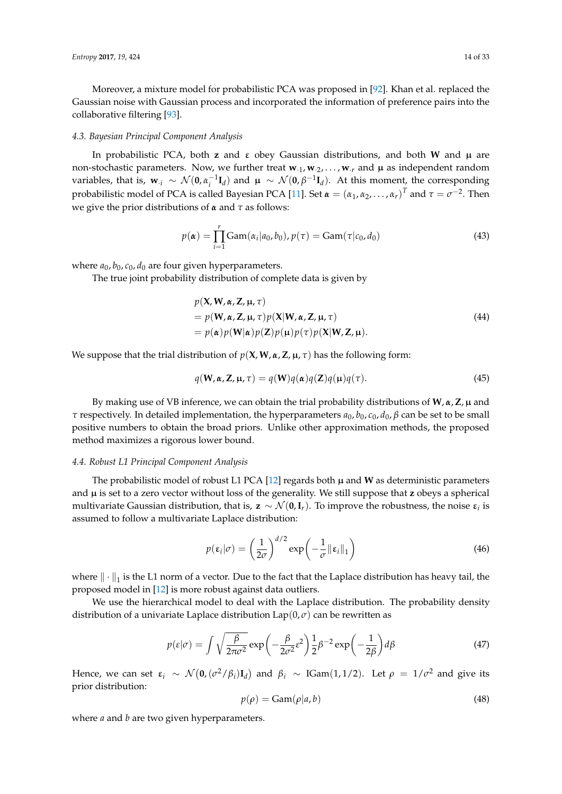Moreover, a mixture model for probabilistic PCA was proposed in [\[92\]](#page-30-16). Khan et al. replaced the Gaussian noise with Gaussian process and incorporated the information of preference pairs into the collaborative filtering [\[93\]](#page-31-0).

#### *4.3. Bayesian Principal Component Analysis*

In probabilistic PCA, both **z** and  $\varepsilon$  obey Gaussian distributions, and both **W** and  $\mu$  are non-stochastic parameters. Now, we further treat  $w_{.1}, w_{.2}, \ldots, w_{.r}$  and  $\mu$  as independent random variables, that is,  $\mathbf{w}_{\cdot i} \sim \mathcal{N}(\mathbf{0}, \alpha_i^{-1} \mathbf{I}_d)$  and  $\mu \sim \mathcal{N}(\mathbf{0}, \beta^{-1} \mathbf{I}_d)$ . At this moment, the corresponding probabilistic model of PCA is called Bayesian PCA [\[11\]](#page-27-10). Set  $\alpha = (\alpha_1, \alpha_2, ..., \alpha_r)^T$  and  $\tau = \sigma^{-2}$ . Then we give the prior distributions of *α* and *τ* as follows:

$$
p(\pmb{\alpha}) = \prod_{i=1}^{r} \text{Gam}(\alpha_i | a_0, b_0), p(\tau) = \text{Gam}(\tau | c_0, d_0)
$$
 (43)

where  $a_0$ ,  $b_0$ ,  $c_0$ ,  $d_0$  are four given hyperparameters.

The true joint probability distribution of complete data is given by

$$
p(\mathbf{X}, \mathbf{W}, \boldsymbol{\alpha}, \mathbf{Z}, \boldsymbol{\mu}, \boldsymbol{\tau})
$$
  
=  $p(\mathbf{W}, \boldsymbol{\alpha}, \mathbf{Z}, \boldsymbol{\mu}, \boldsymbol{\tau}) p(\mathbf{X} | \mathbf{W}, \boldsymbol{\alpha}, \mathbf{Z}, \boldsymbol{\mu}, \boldsymbol{\tau})$   
=  $p(\boldsymbol{\alpha}) p(\mathbf{W} | \boldsymbol{\alpha}) p(\mathbf{Z}) p(\boldsymbol{\mu}) p(\boldsymbol{\tau}) p(\mathbf{X} | \mathbf{W}, \mathbf{Z}, \boldsymbol{\mu}).$  (44)

We suppose that the trial distribution of *p*(**X**,**W**, *α*,**Z**, µ, *τ*) has the following form:

$$
q(\mathbf{W}, \boldsymbol{\alpha}, \mathbf{Z}, \boldsymbol{\mu}, \boldsymbol{\tau}) = q(\mathbf{W})q(\boldsymbol{\alpha})q(\mathbf{Z})q(\boldsymbol{\mu})q(\boldsymbol{\tau}).
$$
\n(45)

By making use of VB inference, we can obtain the trial probability distributions of **W**, *α*, **Z**, µ and *τ* respectively. In detailed implementation, the hyperparameters  $a_0$ ,  $b_0$ ,  $c_0$ ,  $d_0$ ,  $\beta$  can be set to be small positive numbers to obtain the broad priors. Unlike other approximation methods, the proposed method maximizes a rigorous lower bound.

#### *4.4. Robust L1 Principal Component Analysis*

The probabilistic model of robust L1 PCA  $[12]$  regards both  $\mu$  and **W** as deterministic parameters and µ is set to a zero vector without loss of the generality. We still suppose that **z** obeys a spherical multivariate Gaussian distribution, that is,  $z \sim \mathcal{N}(0, I_r)$ . To improve the robustness, the noise  $\varepsilon_i$  is assumed to follow a multivariate Laplace distribution:

$$
p(\varepsilon_i|\sigma) = \left(\frac{1}{2\sigma}\right)^{d/2} \exp\left(-\frac{1}{\sigma} ||\varepsilon_i||_1\right)
$$
(46)

where  $\|\cdot\|_1$  is the L1 norm of a vector. Due to the fact that the Laplace distribution has heavy tail, the proposed model in [\[12\]](#page-27-11) is more robust against data outliers.

We use the hierarchical model to deal with the Laplace distribution. The probability density distribution of a univariate Laplace distribution  $\text{Lap}(0, \sigma)$  can be rewritten as

$$
p(\varepsilon|\sigma) = \int \sqrt{\frac{\beta}{2\pi\sigma^2}} \exp\left(-\frac{\beta}{2\sigma^2}\varepsilon^2\right) \frac{1}{2}\beta^{-2} \exp\left(-\frac{1}{2\beta}\right) d\beta \tag{47}
$$

Hence, we can set  $\varepsilon_i \sim \mathcal{N}(\mathbf{0}, (\sigma^2/\beta_i) \mathbf{I}_d)$  and  $\beta_i \sim \text{IGam}(1, 1/2)$ . Let  $\rho = 1/\sigma^2$  and give its prior distribution:

$$
p(\rho) = \text{Gam}(\rho|a, b) \tag{48}
$$

where *a* and *b* are two given hyperparameters.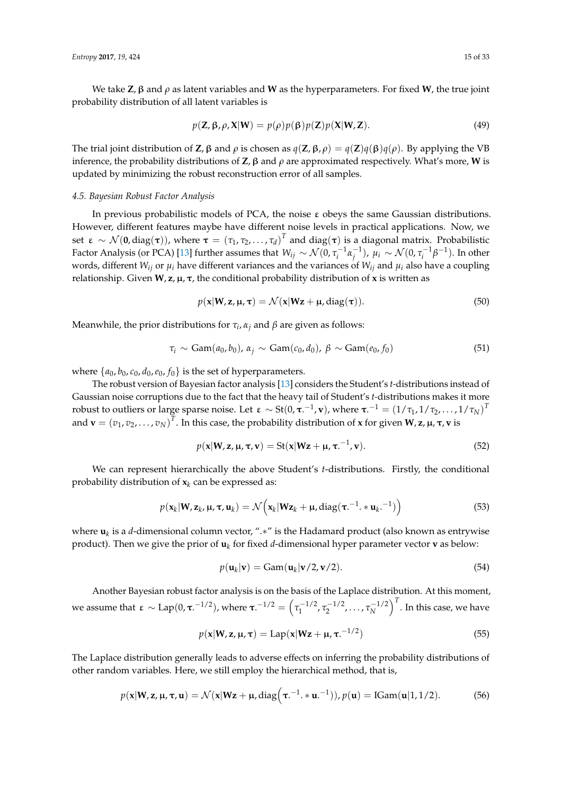We take **Z**, β and *ρ* as latent variables and **W** as the hyperparameters. For fixed **W**, the true joint probability distribution of all latent variables is

$$
p(\mathbf{Z}, \boldsymbol{\beta}, \rho, \mathbf{X} | \mathbf{W}) = p(\rho) p(\boldsymbol{\beta}) p(\mathbf{Z}) p(\mathbf{X} | \mathbf{W}, \mathbf{Z}).
$$
\n(49)

The trial joint distribution of **Z**, β and *ρ* is chosen as *q*(**Z**, β, *ρ*) = *q*(**Z**)*q*(β)*q*(*ρ*). By applying the VB inference, the probability distributions of **Z**, β and *ρ* are approximated respectively. What's more, **W** is updated by minimizing the robust reconstruction error of all samples.

# *4.5. Bayesian Robust Factor Analysis*

In previous probabilistic models of PCA, the noise ε obeys the same Gaussian distributions. However, different features maybe have different noise levels in practical applications. Now, we set ε ∼  $\mathcal{N}(\mathbf{0},\text{diag}(\boldsymbol{\tau}))$ , where  $\boldsymbol{\tau} = (\tau_1, \tau_2, \dots, \tau_d)^T$  and diag( $\boldsymbol{\tau}$ ) is a diagonal matrix. Probabilistic Factor Analysis (or PCA) [\[13\]](#page-28-0) further assumes that  $W_{ij} \sim \mathcal{N}(0,\tau_i^{-1}\alpha_j^{-1})$ ,  $\mu_i \sim \mathcal{N}(0,\tau_i^{-1}\beta^{-1})$ . In other words, different  $W_{ij}$  or  $\mu_i$  have different variances and the variances of  $W_{ij}$  and  $\mu_i$  also have a coupling relationship. Given  $W$ ,  $z$ ,  $\mu$ ,  $\tau$ , the conditional probability distribution of  $x$  is written as

$$
p(\mathbf{x}|\mathbf{W}, \mathbf{z}, \boldsymbol{\mu}, \boldsymbol{\tau}) = \mathcal{N}(\mathbf{x}|\mathbf{Wz} + \boldsymbol{\mu}, \text{diag}(\boldsymbol{\tau})).
$$
\n(50)

Meanwhile, the prior distributions for *τ<sup>i</sup>* , *α<sup>j</sup>* and *β* are given as follows:

$$
\tau_i \sim \text{Gam}(a_0, b_0), \, \alpha_j \sim \text{Gam}(c_0, d_0), \, \beta \sim \text{Gam}(e_0, f_0) \tag{51}
$$

where  $\{a_0, b_0, c_0, d_0, e_0, f_0\}$  is the set of hyperparameters.

The robust version of Bayesian factor analysis [\[13\]](#page-28-0) considers the Student's *t-*distributions instead of Gaussian noise corruptions due to the fact that the heavy tail of Student's *t-*distributions makes it more robust to outliers or large sparse noise. Let ε  $\sim$  St(0, τ. $^{-1}$ , v), where τ. $^{-1}$  = (1/τ<sub>1</sub>, 1/τ<sub>2</sub>, . . . , 1/τ<sub>N</sub>)<sup>T</sup> and  $\mathbf{v} = (v_1, v_2, \dots, v_N)^T$ . In this case, the probability distribution of **x** for given **W**, **z**,  $\mu$ , **τ**, **v** is

$$
p(\mathbf{x}|\mathbf{W},\mathbf{z},\mathbf{\mu},\boldsymbol{\tau},\mathbf{v}) = \mathrm{St}(\mathbf{x}|\mathbf{W}\mathbf{z} + \mathbf{\mu},\boldsymbol{\tau}.^{-1},\mathbf{v}).
$$
 (52)

We can represent hierarchically the above Student's *t*-distributions. Firstly, the conditional probability distribution of  $x_k$  can be expressed as:

$$
p(\mathbf{x}_k|\mathbf{W}, \mathbf{z}_k, \boldsymbol{\mu}, \boldsymbol{\tau}, \mathbf{u}_k) = \mathcal{N}\Big(\mathbf{x}_k|\mathbf{W}\mathbf{z}_k + \boldsymbol{\mu}, \text{diag}(\boldsymbol{\tau}^{-1} \cdot * \mathbf{u}_k \cdot \mathbf{u}_k)\Big) \tag{53}
$$

where **u***<sup>k</sup>* is a *d*-dimensional column vector, ".∗" is the Hadamard product (also known as entrywise product). Then we give the prior of **u***<sup>k</sup>* for fixed *d*-dimensional hyper parameter vector **v** as below:

$$
p(\mathbf{u}_k|\mathbf{v}) = \text{Gam}(\mathbf{u}_k|\mathbf{v}/2, \mathbf{v}/2). \tag{54}
$$

Another Bayesian robust factor analysis is on the basis of the Laplace distribution. At this moment, we assume that ε ∼ Lap(0, τ.<sup>-1/2</sup>), where τ.<sup>-1/2</sup> =  $\left( \tau_1^{-1/2}, \tau_2^{-1/2}, \ldots, \tau_N^{-1/2} \right)^T$ . In this case, we have

$$
p(\mathbf{x}|\mathbf{W}, \mathbf{z}, \boldsymbol{\mu}, \boldsymbol{\tau}) = \text{Lap}(\mathbf{x}|\mathbf{W}\mathbf{z} + \boldsymbol{\mu}, \boldsymbol{\tau}^{-1/2})
$$
\n(55)

The Laplace distribution generally leads to adverse effects on inferring the probability distributions of other random variables. Here, we still employ the hierarchical method, that is,

$$
p(\mathbf{x}|\mathbf{W},\mathbf{z},\mathbf{\mu},\boldsymbol{\tau},\mathbf{u})=\mathcal{N}(\mathbf{x}|\mathbf{W}\mathbf{z}+\mathbf{\mu},\mathrm{diag}\left(\boldsymbol{\tau}^{-1}.\ast\mathbf{u}^{-1}\right)), p(\mathbf{u})=\mathrm{IGam}(\mathbf{u}|1,1/2). \hspace{1cm} (56)
$$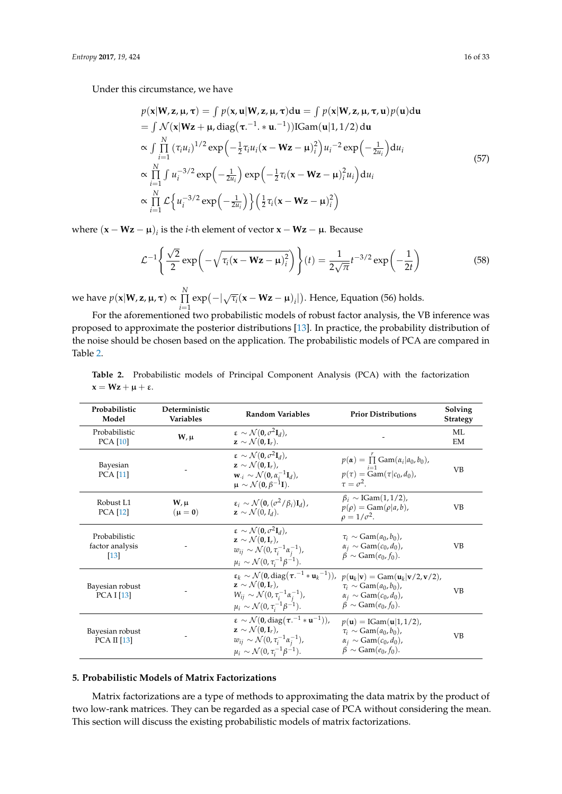Under this circumstance, we have

$$
p(\mathbf{x}|\mathbf{W}, \mathbf{z}, \boldsymbol{\mu}, \boldsymbol{\tau}) = \int p(\mathbf{x}, \mathbf{u}|\mathbf{W}, \mathbf{z}, \boldsymbol{\mu}, \boldsymbol{\tau}) d\mathbf{u} = \int p(\mathbf{x}|\mathbf{W}, \mathbf{z}, \boldsymbol{\mu}, \boldsymbol{\tau}, \mathbf{u}) p(\mathbf{u}) d\mathbf{u}
$$
  
\n
$$
= \int \mathcal{N}(\mathbf{x}|\mathbf{W}\mathbf{z} + \boldsymbol{\mu}, \text{diag}(\boldsymbol{\tau}^{-1} \cdot \mathbf{x} \mathbf{u}^{-1})) \text{IGam}(\mathbf{u}|1, 1/2) d\mathbf{u}
$$
  
\n
$$
\propto \int \prod_{i=1}^{N} (\tau_i u_i)^{1/2} \exp\left(-\frac{1}{2}\tau_i u_i (\mathbf{x} - \mathbf{W}\mathbf{z} - \boldsymbol{\mu})_i^2\right) u_i^{-2} \exp\left(-\frac{1}{2u_i}\right) du_i
$$
  
\n
$$
\propto \prod_{i=1}^{N} \int u_i^{-3/2} \exp\left(-\frac{1}{2u_i}\right) \exp\left(-\frac{1}{2}\tau_i (\mathbf{x} - \mathbf{W}\mathbf{z} - \boldsymbol{\mu})_i^2 u_i\right) du_i
$$
  
\n
$$
\propto \prod_{i=1}^{N} \mathcal{L} \left\{ u_i^{-3/2} \exp\left(-\frac{1}{2u_i}\right) \right\} \left(\frac{1}{2}\tau_i (\mathbf{x} - \mathbf{W}\mathbf{z} - \boldsymbol{\mu})_i^2\right)
$$

where (**x** − **Wz** − µ)*<sup>i</sup>* is the *i-*th element of vector **x** − **Wz** − µ. Because

$$
\mathcal{L}^{-1}\left\{\frac{\sqrt{2}}{2}\exp\left(-\sqrt{\tau_i(\mathbf{x}-\mathbf{Wz}-\mathbf{\mu})_i^2}\right)\right\}(t) = \frac{1}{2\sqrt{\pi}}t^{-3/2}\exp\left(-\frac{1}{2t}\right) \tag{58}
$$

we have  $p(\mathbf{x}|\mathbf{W}, \mathbf{z}, \mathbf{\mu}, \boldsymbol{\tau}) \propto \prod^N$ *i*=1  $\exp(-|\sqrt{\tau_i}(\mathbf{x}-\mathbf{W}\mathbf{z}-\mathbf{\mu})_i|)$ . Hence, Equation (56) holds.

For the aforementioned two probabilistic models of robust factor analysis, the VB inference was proposed to approximate the posterior distributions [\[13\]](#page-28-0). In practice, the probability distribution of the noise should be chosen based on the application. The probabilistic models of PCA are compared in Table [2.](#page-15-1)

<span id="page-15-1"></span>

|                                | <b>Table 2.</b> Probabilistic models of Principal Component Analysis (PCA) with the factorization |  |  |  |  |  |
|--------------------------------|---------------------------------------------------------------------------------------------------|--|--|--|--|--|
| $x = Wz + \mu + \varepsilon$ . |                                                                                                   |  |  |  |  |  |

| Probabilistic<br>Model                                 | Deterministic<br><b>Variables</b> | <b>Random Variables</b>                                                                                                                                                                                                                                         | <b>Prior Distributions</b>                                                                                                                                                                                                                                                                                | Solving<br><b>Strategy</b> |
|--------------------------------------------------------|-----------------------------------|-----------------------------------------------------------------------------------------------------------------------------------------------------------------------------------------------------------------------------------------------------------------|-----------------------------------------------------------------------------------------------------------------------------------------------------------------------------------------------------------------------------------------------------------------------------------------------------------|----------------------------|
| Probabilistic<br>PCA [10]                              | $W, \mu$                          | $\epsilon \sim \mathcal{N}(\mathbf{0}, \sigma^2 \mathbf{I}_d)$ ,<br>$\mathbf{z} \sim \mathcal{N}(\mathbf{0}, \mathbf{I}_r).$                                                                                                                                    |                                                                                                                                                                                                                                                                                                           | МL<br>EM                   |
| Bayesian<br><b>PCA</b> [11]                            |                                   | $\varepsilon \sim \mathcal{N}(\mathbf{0}, \sigma^2 \mathbf{I}_d)$ .<br>$\mathbf{z} \sim \mathcal{N}(\mathbf{0}, \mathbf{I}_r)$ ,<br>$\mathbf{w}_{\cdot i} \sim \mathcal{N}(\mathbf{0}, \alpha_i^{-1} \mathbf{I}_d),$<br>$\mu \sim \mathcal{N}(0, \beta^{-1}I).$ | $p(\boldsymbol{\alpha}) = \prod_{i=1}$ Gam $(\alpha_i   a_0, b_0)$ ,<br>$p(\tau) = \text{Gam}(\tau c_0, d_0),$<br>$\tau = \sigma^2$ .                                                                                                                                                                     | VB                         |
| Robust L1<br><b>PCA</b> [12]                           | $W, \mu$<br>$(\mu = 0)$           | $\epsilon_i \sim \mathcal{N}(\mathbf{0}, (\sigma^2/\beta_i)\mathbf{I}_d),$<br>$\mathbf{z} \sim \mathcal{N}(0, I_d)$ .                                                                                                                                           | $\beta_i \sim \text{IGam}(1,1/2)$ ,<br>$p(\rho) = \text{Gam}(\rho a, b),$<br>$\rho = 1/\sigma^2$ .                                                                                                                                                                                                        | VВ                         |
| Probabilistic<br>factor analysis<br>$\lceil 13 \rceil$ |                                   | $\varepsilon \sim \mathcal{N}(0, \sigma^2 \mathbf{I}_d)$ ,<br>$\mathbf{z} \sim \mathcal{N}(\mathbf{0}, \mathbf{I}_r)$ ,<br>$w_{ij} \sim \mathcal{N}(0, \tau_i^{-1} \alpha_i^{-1}),$<br>$\mu_i \sim \mathcal{N}(0, \tau_i^{-1} \beta^{-1}).$                     | $\tau_i \sim \text{Gam}(a_0, b_0)$ ,<br>$\alpha_i \sim \text{Gam}(c_0, d_0)$ ,<br>$\beta \sim \text{Gam}(e_0, f_0)$ .                                                                                                                                                                                     | VВ                         |
| Bayesian robust<br><b>PCA I [13]</b>                   |                                   | $\mathbf{z} \sim \mathcal{N}(\mathbf{0}, \mathbf{I}_r)$ ,<br>$W_{ij} \sim \mathcal{N}(0, \tau_i^{-1} \alpha_i^{-1}),$<br>$\mu_i \sim \mathcal{N}(0, \tau_i^{-1} \beta^{-1}).$                                                                                   | $\epsilon_k \sim \mathcal{N}(\mathbf{0}, \text{diag}(\tau,^{-1} * \mathbf{u}_k^{-1})), \ \ p(\mathbf{u}_k   \mathbf{v}) = \text{Gam}(\mathbf{u}_k   \mathbf{v}/2, \mathbf{v}/2),$<br>$\tau_i \sim \text{Gam}(a_0, b_0)$ ,<br>$\alpha_i \sim \text{Gam}(c_0, d_0)$ ,<br>$\beta \sim \text{Gam}(e_0, f_0).$ | VB                         |
| Bayesian robust<br>PCA II [13]                         |                                   | $\varepsilon \sim \mathcal{N}(0, \text{diag}(\tau, -1 * \mathbf{u}^{-1})),$<br>$\mathbf{z} \sim \mathcal{N}(\mathbf{0}, \mathbf{I}_r)$ ,<br>$w_{ij} \sim \mathcal{N}(0, \tau_i^{-1} \alpha_i^{-1}),$<br>$\mu_i \sim \mathcal{N}(0, \tau_i^{-1} \beta^{-1}).$    | $p(\mathbf{u}) = \text{IGam}(\mathbf{u} 1,1/2)$ ,<br>$\tau_i \sim \text{Gam}(a_0, b_0)$ ,<br>$\alpha_i \sim \text{Gam}(c_0, d_0)$ ,<br>$\beta \sim \text{Gam}(e_0, f_0).$                                                                                                                                 | <b>VB</b>                  |

# <span id="page-15-0"></span>**5. Probabilistic Models of Matrix Factorizations**

Matrix factorizations are a type of methods to approximating the data matrix by the product of two low-rank matrices. They can be regarded as a special case of PCA without considering the mean. This section will discuss the existing probabilistic models of matrix factorizations.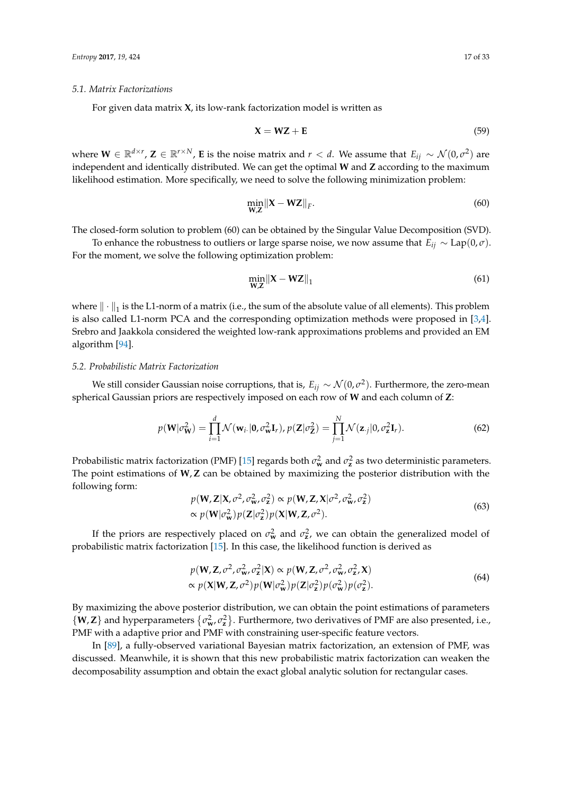#### *5.1. Matrix Factorizations*

For given data matrix **X**, its low-rank factorization model is written as

$$
X = WZ + E \tag{59}
$$

where  $W \in \mathbb{R}^{d \times r}$ ,  $Z \in \mathbb{R}^{r \times N}$ , **E** is the noise matrix and  $r < d$ . We assume that  $E_{ij} \sim \mathcal{N}(0, \sigma^2)$  are independent and identically distributed. We can get the optimal **W** and **Z** according to the maximum likelihood estimation. More specifically, we need to solve the following minimization problem:

$$
\min_{\mathbf{W},\mathbf{Z}} \|\mathbf{X} - \mathbf{W}\mathbf{Z}\|_{F}.\tag{60}
$$

The closed-form solution to problem (60) can be obtained by the Singular Value Decomposition (SVD).

To enhance the robustness to outliers or large sparse noise, we now assume that  $E_{ii} \sim \text{Lap}(0, \sigma)$ . For the moment, we solve the following optimization problem:

$$
\min_{\mathbf{W},\mathbf{Z}} \|\mathbf{X} - \mathbf{W}\mathbf{Z}\|_1\tag{61}
$$

where  $\|\cdot\|_1$  is the L1-norm of a matrix (i.e., the sum of the absolute value of all elements). This problem is also called L1-norm PCA and the corresponding optimization methods were proposed in [\[3,](#page-27-2)[4\]](#page-27-3). Srebro and Jaakkola considered the weighted low-rank approximations problems and provided an EM algorithm [\[94\]](#page-31-1).

# *5.2. Probabilistic Matrix Factorization*

We still consider Gaussian noise corruptions, that is,  $E_{ij}\sim\mathcal{N}(0,\sigma^2).$  Furthermore, the zero-mean spherical Gaussian priors are respectively imposed on each row of **W** and each column of **Z**:

$$
p(\mathbf{W}|\sigma_{\mathbf{W}}^2) = \prod_{i=1}^d \mathcal{N}(\mathbf{w}_i|\mathbf{0}, \sigma_{\mathbf{W}}^2 \mathbf{I}_r), p(\mathbf{Z}|\sigma_{\mathbf{Z}}^2) = \prod_{j=1}^N \mathcal{N}(\mathbf{z}_{\cdot j}|0, \sigma_{\mathbf{z}}^2 \mathbf{I}_r).
$$
 (62)

Probabilistic matrix factorization (PMF) [\[15\]](#page-28-2) regards both  $\sigma_{\bf w}^2$  and  $\sigma_{\bf z}^2$  as two deterministic parameters. The point estimations of **W**,**Z** can be obtained by maximizing the posterior distribution with the following form:

$$
p(\mathbf{W}, \mathbf{Z} | \mathbf{X}, \sigma^2, \sigma^2_{\mathbf{w}}, \sigma^2_{\mathbf{Z}}) \propto p(\mathbf{W}, \mathbf{Z}, \mathbf{X} | \sigma^2, \sigma^2_{\mathbf{w}}, \sigma^2_{\mathbf{Z}})
$$
  
 
$$
\propto p(\mathbf{W} | \sigma^2_{\mathbf{w}}) p(\mathbf{Z} | \sigma^2_{\mathbf{z}}) p(\mathbf{X} | \mathbf{W}, \mathbf{Z}, \sigma^2).
$$
 (63)

If the priors are respectively placed on  $\sigma_{\mathbf{w}}^2$  and  $\sigma_{\mathbf{z}}^2$ , we can obtain the generalized model of probabilistic matrix factorization [\[15\]](#page-28-2). In this case, the likelihood function is derived as

$$
p(\mathbf{W}, \mathbf{Z}, \sigma^2, \sigma^2_{\mathbf{w}}, \sigma^2_{\mathbf{Z}} | \mathbf{X}) \propto p(\mathbf{W}, \mathbf{Z}, \sigma^2, \sigma^2_{\mathbf{w}}, \sigma^2_{\mathbf{Z}}, \mathbf{X})
$$
  
 
$$
\propto p(\mathbf{X} | \mathbf{W}, \mathbf{Z}, \sigma^2) p(\mathbf{W} | \sigma^2_{\mathbf{w}}) p(\mathbf{Z} | \sigma^2_{\mathbf{Z}}) p(\sigma^2_{\mathbf{w}}) p(\sigma^2_{\mathbf{Z}}).
$$
 (64)

By maximizing the above posterior distribution, we can obtain the point estimations of parameters  $\{W, Z\}$  and hyperparameters  $\{\sigma_w^2, \sigma_z^2\}$ . Furthermore, two derivatives of PMF are also presented, i.e., PMF with a adaptive prior and PMF with constraining user-specific feature vectors.

In [\[89\]](#page-30-13), a fully-observed variational Bayesian matrix factorization, an extension of PMF, was discussed. Meanwhile, it is shown that this new probabilistic matrix factorization can weaken the decomposability assumption and obtain the exact global analytic solution for rectangular cases.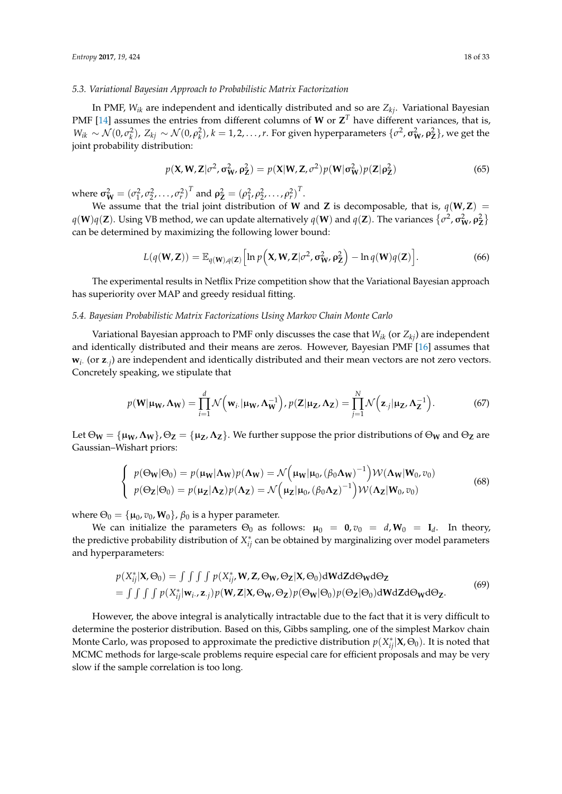#### *5.3. Variational Bayesian Approach to Probabilistic Matrix Factorization*

In PMF, *Wik* are independent and identically distributed and so are *Zkj*. Variational Bayesian PMF [\[14\]](#page-28-1) assumes the entries from different columns of **W** or  $\mathbf{Z}^T$  have different variances, that is,  $W_{ik}$  ∼  $\mathcal{N}(0, \sigma_k^2)$ , Z<sub>kj</sub> ∼  $\mathcal{N}(0, \rho_k^2)$ , k = 1,2,...,r. For given hyperparameters  $\{\sigma^2$ ,  $\sigma_{\mathbf{W}'}^2$ ,  $\rho_{\mathbf{Z}}^2\}$ , we get the joint probability distribution:

$$
p(\mathbf{X}, \mathbf{W}, \mathbf{Z} | \sigma^2, \sigma^2_{\mathbf{W}}, \rho^2_{\mathbf{Z}}) = p(\mathbf{X} | \mathbf{W}, \mathbf{Z}, \sigma^2) p(\mathbf{W} | \sigma^2_{\mathbf{W}}) p(\mathbf{Z} | \rho^2_{\mathbf{Z}})
$$
(65)

where  $\sigma_{\mathbf{W}}^2 = (\sigma_1^2, \sigma_2^2, \dots, \sigma_r^2)^T$  and  $\rho_{\mathbf{Z}}^2 = (\rho_1^2, \rho_2^2, \dots, \rho_r^2)^T$ .

We assume that the trial joint distribution of **W** and **Z** is decomposable, that is,  $q(\mathbf{W}, \mathbf{Z}) =$ *q*(**W**)*q*(**Z**). Using VB method, we can update alternatively *q*(**W**) and *q*(**Z**). The variances  $\{\sigma^2$ ,  $\sigma^2_{\bf W}$ ,  $\rho^2_{\bf Z}\}$ can be determined by maximizing the following lower bound:

$$
L(q(\mathbf{W}, \mathbf{Z})) = \mathbb{E}_{q(\mathbf{W}), q(\mathbf{Z})} \Big[ \ln p\Big( \mathbf{X}, \mathbf{W}, \mathbf{Z} | \sigma^2, \sigma^2_{\mathbf{W}}, \rho^2_{\mathbf{Z}} \Big) - \ln q(\mathbf{W}) q(\mathbf{Z}) \Big]. \tag{66}
$$

The experimental results in Netflix Prize competition show that the Variational Bayesian approach has superiority over MAP and greedy residual fitting.

#### *5.4. Bayesian Probabilistic Matrix Factorizations Using Markov Chain Monte Carlo*

Variational Bayesian approach to PMF only discusses the case that *Wik* (or *Zkj*) are independent and identically distributed and their means are zeros. However, Bayesian PMF [\[16\]](#page-28-3) assumes that **w***i*· (or **z**·*<sup>j</sup>* ) are independent and identically distributed and their mean vectors are not zero vectors. Concretely speaking, we stipulate that

$$
p(\mathbf{W}|\mathbf{\mu_W}, \mathbf{\Lambda_W}) = \prod_{i=1}^d \mathcal{N}\Big(\mathbf{w}_i, |\mathbf{\mu_W}, \mathbf{\Lambda_W^{-1}}\Big), p(\mathbf{Z}|\mathbf{\mu_Z}, \mathbf{\Lambda_Z}) = \prod_{j=1}^N \mathcal{N}\Big(\mathbf{z}_j|\mathbf{\mu_Z}, \mathbf{\Lambda_Z^{-1}}\Big). \tag{67}
$$

Let  $\Theta_W = {\mu_W, \Lambda_W}, \Theta_Z = {\mu_Z, \Lambda_Z}.$  We further suppose the prior distributions of  $\Theta_W$  and  $\Theta_Z$  are Gaussian–Wishart priors:

$$
\begin{cases}\np(\Theta_{\mathbf{W}}|\Theta_{0}) = p(\mu_{\mathbf{W}}|\Lambda_{\mathbf{W}})p(\Lambda_{\mathbf{W}}) = \mathcal{N}\left(\mu_{\mathbf{W}}|\mu_{0}, (\beta_{0}\Lambda_{\mathbf{W}})^{-1}\right) \mathcal{W}(\Lambda_{\mathbf{W}}|\mathbf{W}_{0}, v_{0}) \\
p(\Theta_{\mathbf{Z}}|\Theta_{0}) = p(\mu_{\mathbf{Z}}|\Lambda_{\mathbf{Z}})p(\Lambda_{\mathbf{Z}}) = \mathcal{N}\left(\mu_{\mathbf{Z}}|\mu_{0}, (\beta_{0}\Lambda_{\mathbf{Z}})^{-1}\right) \mathcal{W}(\Lambda_{\mathbf{Z}}|\mathbf{W}_{0}, v_{0})\n\end{cases}
$$
\n(68)

where  $\Theta_0 = {\mu_0, v_0, \mathbf{W}_0}, \beta_0$  is a hyper parameter.

We can initialize the parameters  $\Theta_0$  as follows:  $\mu_0 = 0, v_0 = d, W_0 = I_d$ . In theory, the predictive probability distribution of  $X_{ij}^*$  can be obtained by marginalizing over model parameters and hyperparameters:

$$
p(X_{ij}^*|\mathbf{X},\Theta_0) = \iint \int \int p(X_{ij}^*, \mathbf{W}, \mathbf{Z},\Theta_\mathbf{W},\Theta_\mathbf{Z}|\mathbf{X},\Theta_0) d\mathbf{W} d\mathbf{Z} d\Theta_\mathbf{W} d\Theta_\mathbf{Z}
$$
  
= 
$$
\iint \int \int p(X_{ij}^*|\mathbf{w}_{i\cdot}, \mathbf{z}_{\cdot j}) p(\mathbf{W}, \mathbf{Z}|\mathbf{X},\Theta_\mathbf{W},\Theta_\mathbf{Z}) p(\Theta_\mathbf{W}|\Theta_0) p(\Theta_\mathbf{Z}|\Theta_0) d\mathbf{W} d\mathbf{Z} d\Theta_\mathbf{W} d\Theta_\mathbf{Z}.
$$
 (69)

However, the above integral is analytically intractable due to the fact that it is very difficult to determine the posterior distribution. Based on this, Gibbs sampling, one of the simplest Markov chain Monte Carlo, was proposed to approximate the predictive distribution  $p(X^*_{ij}|\mathbf{X}, \Theta_0)$ . It is noted that MCMC methods for large-scale problems require especial care for efficient proposals and may be very slow if the sample correlation is too long.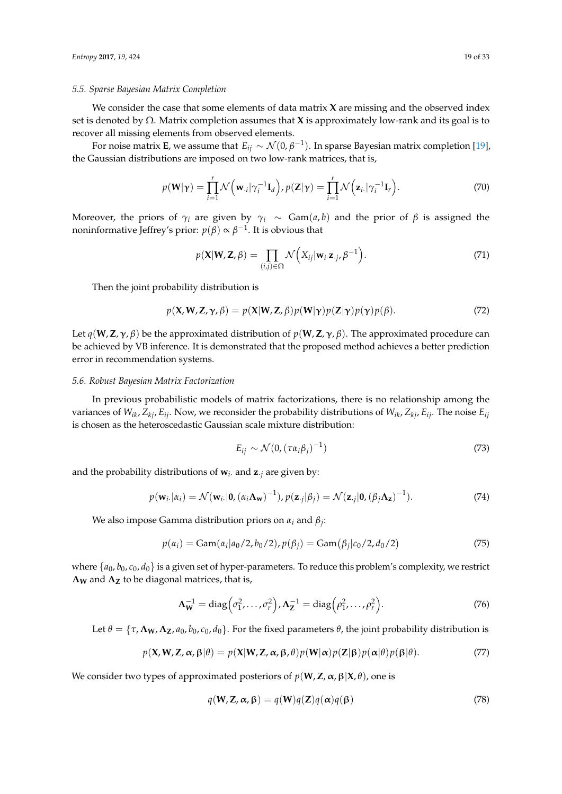## *5.5. Sparse Bayesian Matrix Completion*

We consider the case that some elements of data matrix **X** are missing and the observed index set is denoted by Ω. Matrix completion assumes that **X** is approximately low-rank and its goal is to recover all missing elements from observed elements.

For noise matrix **E**, we assume that  $E_{ij} \sim \mathcal{N}(0, \beta^{-1})$ . In sparse Bayesian matrix completion [\[19\]](#page-28-6), the Gaussian distributions are imposed on two low-rank matrices, that is,

$$
p(\mathbf{W}|\mathbf{\gamma}) = \prod_{i=1}^r \mathcal{N}\left(\mathbf{w}_{\cdot i}|\gamma_i^{-1}\mathbf{I}_d\right), p(\mathbf{Z}|\mathbf{\gamma}) = \prod_{i=1}^r \mathcal{N}\left(\mathbf{z}_{i\cdot}|\gamma_i^{-1}\mathbf{I}_r\right). \tag{70}
$$

Moreover, the priors of  $\gamma_i$  are given by  $\gamma_i \sim \text{Gam}(a, b)$  and the prior of  $\beta$  is assigned the noninformative Jeffrey's prior:  $p(\beta) \propto \beta^{-1}.$  It is obvious that

$$
p(\mathbf{X}|\mathbf{W}, \mathbf{Z}, \beta) = \prod_{(i,j)\in\Omega} \mathcal{N}\Big(X_{ij}|\mathbf{w}_i.\mathbf{z}_{\cdot j}, \beta^{-1}\Big). \tag{71}
$$

Then the joint probability distribution is

$$
p(\mathbf{X}, \mathbf{W}, \mathbf{Z}, \gamma, \beta) = p(\mathbf{X}|\mathbf{W}, \mathbf{Z}, \beta) p(\mathbf{W}|\gamma) p(\mathbf{Z}|\gamma) p(\gamma) p(\beta).
$$
 (72)

Let  $q(\mathbf{W}, \mathbf{Z}, \gamma, \beta)$  be the approximated distribution of  $p(\mathbf{W}, \mathbf{Z}, \gamma, \beta)$ . The approximated procedure can be achieved by VB inference. It is demonstrated that the proposed method achieves a better prediction error in recommendation systems.

#### *5.6. Robust Bayesian Matrix Factorization*

In previous probabilistic models of matrix factorizations, there is no relationship among the variances of  $W_{ik}$ ,  $Z_{ki}$ ,  $E_{ij}$ . Now, we reconsider the probability distributions of  $W_{ik}$ ,  $Z_{ki}$ ,  $E_{ij}$ . The noise  $E_{ij}$ is chosen as the heteroscedastic Gaussian scale mixture distribution:

$$
E_{ij} \sim \mathcal{N}(0, (\tau \alpha_i \beta_j)^{-1})
$$
\n(73)

and the probability distributions of  $w_i$  and  $z_i$  are given by:

$$
p(\mathbf{w}_i,|\alpha_i) = \mathcal{N}(\mathbf{w}_i,|\mathbf{0},(\alpha_i \mathbf{\Lambda_w})^{-1}), p(\mathbf{z}_{.j}|\beta_j) = \mathcal{N}(\mathbf{z}_{.j}|\mathbf{0},(\beta_j \mathbf{\Lambda_z})^{-1}).
$$
\n(74)

We also impose Gamma distribution priors on *α<sup>i</sup>* and *β<sup>j</sup>* :

$$
p(\alpha_i) = \text{Gam}(\alpha_i | a_0/2, b_0/2), p(\beta_j) = \text{Gam}(\beta_j | c_0/2, d_0/2)
$$
 (75)

where  $\{a_0, b_0, c_0, d_0\}$  is a given set of hyper-parameters. To reduce this problem's complexity, we restrict **Λ<sup>W</sup>** and **Λ<sup>Z</sup>** to be diagonal matrices, that is,

$$
\Lambda_{\mathbf{W}}^{-1} = \text{diag}\left(\sigma_1^2, \dots, \sigma_r^2\right), \Lambda_{\mathbf{Z}}^{-1} = \text{diag}\left(\rho_1^2, \dots, \rho_r^2\right). \tag{76}
$$

Let  $\theta = \{\tau, \Lambda_W, \Lambda_Z, a_0, b_0, c_0, d_0\}$ . For the fixed parameters  $\theta$ , the joint probability distribution is

$$
p(\mathbf{X}, \mathbf{W}, \mathbf{Z}, \alpha, \beta | \theta) = p(\mathbf{X} | \mathbf{W}, \mathbf{Z}, \alpha, \beta, \theta) p(\mathbf{W} | \alpha) p(\mathbf{Z} | \beta) p(\alpha | \theta) p(\beta | \theta).
$$
 (77)

We consider two types of approximated posteriors of  $p(\mathbf{W}, \mathbf{Z}, \alpha, \beta | \mathbf{X}, \theta)$ , one is

$$
q(\mathbf{W}, \mathbf{Z}, \alpha, \beta) = q(\mathbf{W})q(\mathbf{Z})q(\alpha)q(\beta)
$$
\n(78)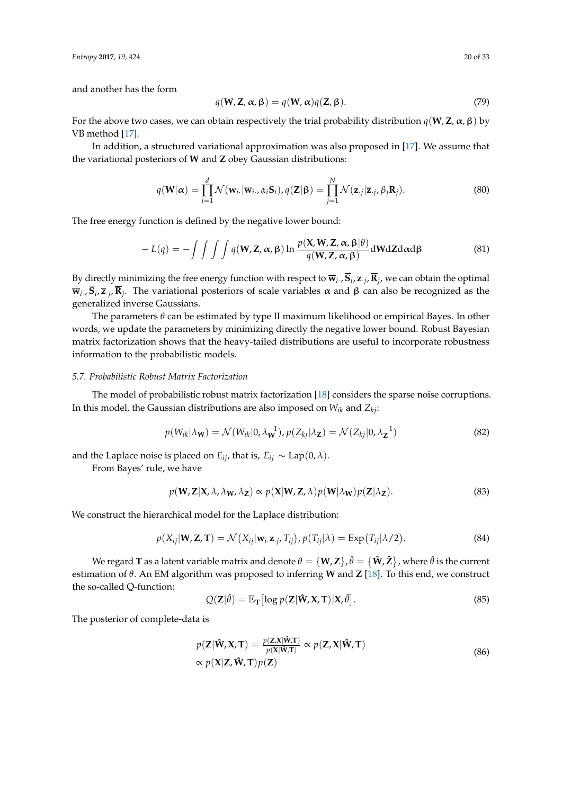and another has the form

$$
q(\mathbf{W}, \mathbf{Z}, \boldsymbol{\alpha}, \boldsymbol{\beta}) = q(\mathbf{W}, \boldsymbol{\alpha})q(\mathbf{Z}, \boldsymbol{\beta}).
$$
\n(79)

For the above two cases, we can obtain respectively the trial probability distribution  $q(\mathbf{W}, \mathbf{Z}, \alpha, \beta)$  by VB method [\[17\]](#page-28-4).

In addition, a structured variational approximation was also proposed in [\[17\]](#page-28-4). We assume that the variational posteriors of **W** and **Z** obey Gaussian distributions:

$$
q(\mathbf{W}|\boldsymbol{\alpha}) = \prod_{i=1}^{d} \mathcal{N}(\mathbf{w}_{i\cdot}|\overline{\mathbf{w}}_{i\cdot}, \alpha_i \overline{\mathbf{S}}_i), q(\mathbf{Z}|\boldsymbol{\beta}) = \prod_{j=1}^{N} \mathcal{N}(\mathbf{z}_{\cdot j}|\overline{\mathbf{z}}_{\cdot j}, \beta_j \overline{\mathbf{R}}_j).
$$
(80)

The free energy function is defined by the negative lower bound:

$$
-L(q) = -\int \int \int \int q(\mathbf{W}, \mathbf{Z}, \alpha, \beta) \ln \frac{p(\mathbf{X}, \mathbf{W}, \mathbf{Z}, \alpha, \beta | \theta)}{q(\mathbf{W}, \mathbf{Z}, \alpha, \beta)} d\mathbf{W} d\mathbf{Z} d\alpha d\beta
$$
(81)

By directly minimizing the free energy function with respect to  $\overline{w}_i$ .,  $S_i$ ,  $\overline{z}_{.j}$ ,  $R_j$ , we can obtain the optimal  $\overline{\mathbf{w}}_i$ ,  $\mathbf{S}_i$ ,  $\overline{\mathbf{z}}_j$ ,  $\mathbf{R}_j$ . The variational posteriors of scale variables α and β can also be recognized as the generalized inverse Gaussians.

The parameters *θ* can be estimated by type II maximum likelihood or empirical Bayes. In other words, we update the parameters by minimizing directly the negative lower bound. Robust Bayesian matrix factorization shows that the heavy-tailed distributions are useful to incorporate robustness information to the probabilistic models.

# *5.7. Probabilistic Robust Matrix Factorization*

The model of probabilistic robust matrix factorization [\[18\]](#page-28-5) considers the sparse noise corruptions. In this model, the Gaussian distributions are also imposed on *Wik* and *Zkj*:

$$
p(W_{ik}|\lambda_{\mathbf{W}}) = \mathcal{N}(W_{ik}|0, \lambda_{\mathbf{W}}^{-1}), p(Z_{kj}|\lambda_{\mathbf{Z}}) = \mathcal{N}(Z_{kj}|0, \lambda_{\mathbf{Z}}^{-1})
$$
\n(82)

and the Laplace noise is placed on *E*<sub>*ij*</sub>, that is, *E*<sub>*ij*</sub> ∼ Lap(0,  $\lambda$ ).

From Bayes' rule, we have

$$
p(\mathbf{W}, \mathbf{Z} | \mathbf{X}, \lambda, \lambda_{\mathbf{W}}, \lambda_{\mathbf{Z}}) \propto p(\mathbf{X} | \mathbf{W}, \mathbf{Z}, \lambda) p(\mathbf{W} | \lambda_{\mathbf{W}}) p(\mathbf{Z} | \lambda_{\mathbf{Z}}).
$$
\n(83)

We construct the hierarchical model for the Laplace distribution:

$$
p(X_{ij}|\mathbf{W},\mathbf{Z},\mathbf{T}) = \mathcal{N}(X_{ij}|\mathbf{w}_i.\mathbf{z}_{\cdot j}, T_{ij}), p(T_{ij}|\lambda) = \text{Exp}(T_{ij}|\lambda/2).
$$
 (84)

We regard  $T$  as a latent variable matrix and denote  $\theta = \{W,Z\}$  ,  $\hat{\theta} = \{\hat{W},\hat{Z}\}$  , where  $\hat{\theta}$  is the current estimation of *θ*. An EM algorithm was proposed to inferring **W** and **Z** [\[18\]](#page-28-5). To this end, we construct the so-called Q-function:

$$
Q(\mathbf{Z}|\hat{\theta}) = \mathbb{E}_{\mathbf{T}}[\log p(\mathbf{Z}|\hat{\mathbf{W}}, \mathbf{X}, \mathbf{T})|\mathbf{X}, \hat{\theta}].
$$
\n(85)

The posterior of complete-data is

$$
p(\mathbf{Z}|\hat{\mathbf{W}}, \mathbf{X}, \mathbf{T}) = \frac{p(\mathbf{Z}, \mathbf{X}|\hat{\mathbf{W}}, \mathbf{T})}{p(\mathbf{X}|\hat{\mathbf{W}}, \mathbf{T})} \propto p(\mathbf{Z}, \mathbf{X}|\hat{\mathbf{W}}, \mathbf{T})
$$
  
 
$$
\propto p(\mathbf{X}|\mathbf{Z}, \hat{\mathbf{W}}, \mathbf{T})p(\mathbf{Z})
$$
 (86)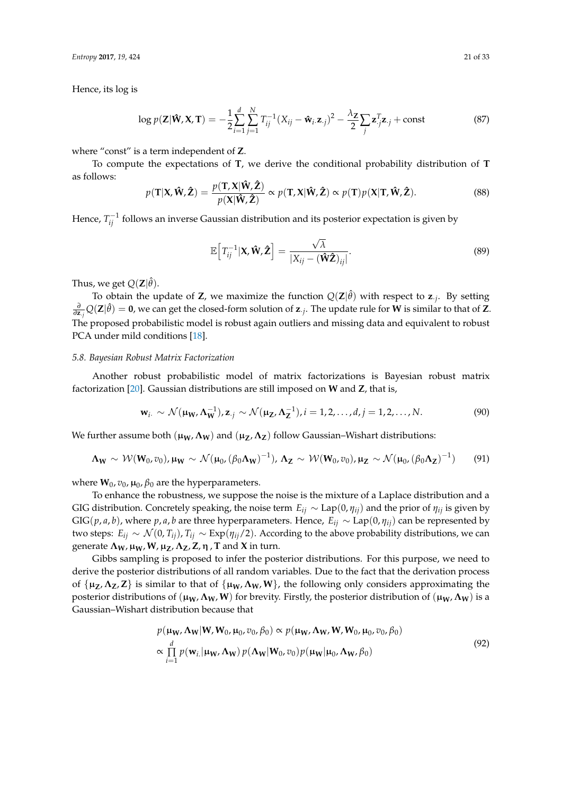*Entropy* **2017**, *19*, 424 21 of 33

Hence, its log is

$$
\log p(\mathbf{Z}|\hat{\mathbf{W}}, \mathbf{X}, \mathbf{T}) = -\frac{1}{2} \sum_{i=1}^{d} \sum_{j=1}^{N} T_{ij}^{-1} (X_{ij} - \hat{\mathbf{w}}_{i\cdot} \mathbf{z}_{\cdot j})^2 - \frac{\lambda_{\mathbf{Z}}}{2} \sum_{j} \mathbf{z}_{\cdot j}^{T} \mathbf{z}_{\cdot j} + \text{const}
$$
(87)

where "const" is a term independent of **Z**.

To compute the expectations of **T**, we derive the conditional probability distribution of **T** as follows:

$$
p(\mathbf{T}|\mathbf{X}, \hat{\mathbf{W}}, \hat{\mathbf{Z}}) = \frac{p(\mathbf{T}, \mathbf{X}|\hat{\mathbf{W}}, \hat{\mathbf{Z}})}{p(\mathbf{X}|\hat{\mathbf{W}}, \hat{\mathbf{Z}})} \propto p(\mathbf{T}, \mathbf{X}|\hat{\mathbf{W}}, \hat{\mathbf{Z}}) \propto p(\mathbf{T})p(\mathbf{X}|\mathbf{T}, \hat{\mathbf{W}}, \hat{\mathbf{Z}}).
$$
 (88)

Hence,  $T_{ij}^{-1}$  follows an inverse Gaussian distribution and its posterior expectation is given by

$$
\mathbb{E}\Big[T_{ij}^{-1}|\mathbf{X},\hat{\mathbf{W}},\hat{\mathbf{Z}}\Big] = \frac{\sqrt{\lambda}}{|\mathbf{X}_{ij} - (\hat{\mathbf{W}}\hat{\mathbf{Z}})_{ij}|}.
$$
\n(89)

Thus, we get  $Q(\mathbf{Z}|\hat{\theta})$ .

To obtain the update of **Z**, we maximize the function  $Q(Z|\hat{\theta})$  with respect to **z**<sub>*j*</sub>. By setting  $\frac{\partial}{\partial z_{.j}}Q(\mathbf{Z}|\hat{\theta}) = \mathbf{0}$ , we can get the closed-form solution of  $\mathbf{z}_{.j}$ . The update rule for **W** is similar to that of **Z**. The proposed probabilistic model is robust again outliers and missing data and equivalent to robust PCA under mild conditions [\[18\]](#page-28-5).

# *5.8. Bayesian Robust Matrix Factorization*

Another robust probabilistic model of matrix factorizations is Bayesian robust matrix factorization [\[20\]](#page-28-7). Gaussian distributions are still imposed on **W** and **Z**, that is,

$$
\mathbf{w}_{i\cdot} \sim \mathcal{N}(\mathbf{\mu}_{\mathbf{W}}, \mathbf{\Lambda}_{\mathbf{W}}^{-1}), \mathbf{z}_{\cdot j} \sim \mathcal{N}(\mathbf{\mu}_{\mathbf{Z}}, \mathbf{\Lambda}_{\mathbf{Z}}^{-1}), i = 1, 2, \dots, d, j = 1, 2, \dots, N. \tag{90}
$$

We further assume both  $(μ<sub>W</sub>, Λ<sub>W</sub>)$  and  $(μ<sub>Z</sub>, Λ<sub>Z</sub>)$  follow Gaussian–Wishart distributions:

$$
\Lambda_{\mathbf{W}} \sim \mathcal{W}(\mathbf{W}_0, v_0), \mu_{\mathbf{W}} \sim \mathcal{N}(\mu_0, (\beta_0 \Lambda_{\mathbf{W}})^{-1}), \Lambda_{\mathbf{Z}} \sim \mathcal{W}(\mathbf{W}_0, v_0), \mu_{\mathbf{Z}} \sim \mathcal{N}(\mu_0, (\beta_0 \Lambda_{\mathbf{Z}})^{-1})
$$
(91)

where  $\mathbf{W}_0$ ,  $v_0$ ,  $\mu_0$ ,  $\beta_0$  are the hyperparameters.

To enhance the robustness, we suppose the noise is the mixture of a Laplace distribution and a GIG distribution. Concretely speaking, the noise term  $E_{ij} \sim \text{Lap}(0, \eta_{ij})$  and the prior of  $\eta_{ij}$  is given by GIG(*p*, *a*, *b*), where *p*, *a*, *b* are three hyperparameters. Hence,  $E_{ij} \sim \text{Lap}(0, \eta_{ij})$  can be represented by two steps:  $E_{ij}$  ∼  $\mathcal{N}(0, T_{ij})$ ,  $T_{ij}$  ∼ Exp( $η_{ij}/2$ ). According to the above probability distributions, we can generate  $Λ_W$ ,  $μ_W$ ,  $W$ ,  $μ_Z$ ,  $Λ_Z$ ,  $Z$ ,  $η$ ,  $T$  and  $X$  in turn.

Gibbs sampling is proposed to infer the posterior distributions. For this purpose, we need to derive the posterior distributions of all random variables. Due to the fact that the derivation process of  $\{\mu_Z, \Lambda_Z, Z\}$  is similar to that of  $\{\mu_W, \Lambda_W, W\}$ , the following only considers approximating the posterior distributions of  $(\mu_W, \Lambda_W, W)$  for brevity. Firstly, the posterior distribution of  $(\mu_W, \Lambda_W)$  is a Gaussian–Wishart distribution because that

$$
p(\mathbf{\mu_W}, \mathbf{\Lambda_W} | \mathbf{W}, \mathbf{W}_0, \mathbf{\mu}_0, v_0, \beta_0) \propto p(\mathbf{\mu_W}, \mathbf{\Lambda_W}, \mathbf{W}, \mathbf{W}_0, \mathbf{\mu}_0, v_0, \beta_0)
$$
  
 
$$
\propto \prod_{i=1}^d p(\mathbf{w}_{i.} | \mathbf{\mu_W}, \mathbf{\Lambda_W}) p(\mathbf{\Lambda_W} | \mathbf{W}_0, v_0) p(\mathbf{\mu_W} | \mathbf{\mu}_0, \mathbf{\Lambda_W}, \beta_0)
$$
 (92)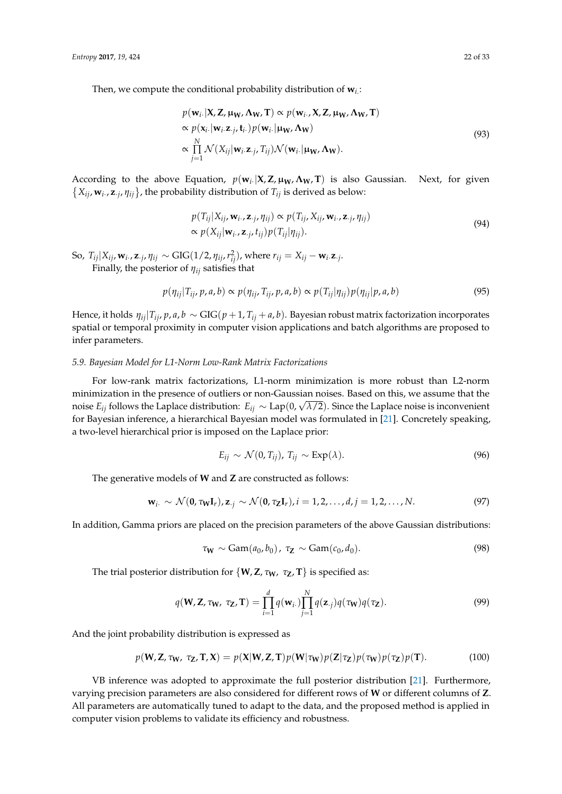Then, we compute the conditional probability distribution of **w***i*. :

$$
p(\mathbf{w}_i, |\mathbf{X}, \mathbf{Z}, \boldsymbol{\mu_W}, \boldsymbol{\Lambda_W}, \mathbf{T}) \propto p(\mathbf{w}_i, \mathbf{X}, \mathbf{Z}, \boldsymbol{\mu_W}, \boldsymbol{\Lambda_W}, \mathbf{T})
$$
  
\n
$$
\propto p(\mathbf{x}_i, |\mathbf{w}_i, \mathbf{z}_{.j}, \mathbf{t}_i) p(\mathbf{w}_i, |\boldsymbol{\mu_W}, \boldsymbol{\Lambda_W})
$$
  
\n
$$
\propto \prod_{j=1}^{N} \mathcal{N}(X_{ij}|\mathbf{w}_i, \mathbf{z}_{.j}, T_{ij}) \mathcal{N}(\mathbf{w}_i, |\boldsymbol{\mu_W}, \boldsymbol{\Lambda_W}).
$$
\n(93)

According to the above Equation,  $p(\mathbf{w}_i|\mathbf{X}, \mathbf{Z}, \mathbf{\mu_W}, \mathbf{\Lambda_W}, \mathbf{T})$  is also Gaussian. Next, for given  $\{X_{ij}, \mathbf{w}_i, \mathbf{z}_{.j}, \eta_{ij}\}$ , the probability distribution of  $T_{ij}$  is derived as below:

$$
p(T_{ij}|X_{ij}, \mathbf{w}_i, \mathbf{z}_{\cdot j}, \eta_{ij}) \propto p(T_{ij}, X_{ij}, \mathbf{w}_i, \mathbf{z}_{\cdot j}, \eta_{ij})
$$
  
 
$$
\propto p(X_{ij}|\mathbf{w}_i, \mathbf{z}_{\cdot j}, t_{ij})p(T_{ij}|\eta_{ij}).
$$
 (94)

So,  $T_{ij}|X_{ij}$ ,  $\mathbf{w}_i$ .,  $\mathbf{z}_{.j}$ ,  $\eta_{ij} \sim$  GIG(1/2,  $\eta_{ij}$ ,  $r_{ij}^2$ ), where  $r_{ij} = X_{ij} - \mathbf{w}_i \mathbf{z}_{.j}$ . Finally, the posterior of *ηij* satisfies that

$$
p(\eta_{ij}|T_{ij}, p, a, b) \propto p(\eta_{ij}, T_{ij}, p, a, b) \propto p(T_{ij}|\eta_{ij})p(\eta_{ij}|p, a, b)
$$
\n(95)

Hence, it holds  $\eta_{ii}|T_{ii}, p, a, b \sim GIG(p+1, T_{ii}+a, b)$ . Bayesian robust matrix factorization incorporates spatial or temporal proximity in computer vision applications and batch algorithms are proposed to infer parameters.

# *5.9. Bayesian Model for L1-Norm Low-Rank Matrix Factorizations*

For low-rank matrix factorizations, L1-norm minimization is more robust than L2-norm minimization in the presence of outliers or non-Gaussian noises. Based on this, we assume that the numinization in the presence of outners of non-Gaussian hoises. Based on this, we assume that the noise  $E_{ij}$  follows the Laplace distribution:  $E_{ij} \sim \text{Lap}(0, \sqrt{\lambda/2})$ . Since the Laplace noise is inconvenient for Bayesian inference, a hierarchical Bayesian model was formulated in [\[21\]](#page-28-8). Concretely speaking, a two-level hierarchical prior is imposed on the Laplace prior:

$$
E_{ij} \sim \mathcal{N}(0, T_{ij}), T_{ij} \sim \text{Exp}(\lambda). \tag{96}
$$

The generative models of **W** and **Z** are constructed as follows:

$$
\mathbf{w}_i. \sim \mathcal{N}(\mathbf{0}, \tau_{\mathbf{W}} \mathbf{I}_r), \mathbf{z}_{.j} \sim \mathcal{N}(\mathbf{0}, \tau_{\mathbf{Z}} \mathbf{I}_r), i = 1, 2, \dots, d, j = 1, 2, \dots, N. \tag{97}
$$

In addition, Gamma priors are placed on the precision parameters of the above Gaussian distributions:

$$
\tau_{\mathbf{W}} \sim \text{Gam}(a_0, b_0), \ \tau_{\mathbf{Z}} \sim \text{Gam}(c_0, d_0). \tag{98}
$$

The trial posterior distribution for  $\{W, Z, \tau_W, \tau_Z, T\}$  is specified as:

$$
q(\mathbf{W}, \mathbf{Z}, \tau_{\mathbf{W}}, \tau_{\mathbf{Z}}, \mathbf{T}) = \prod_{i=1}^{d} q(\mathbf{w}_i) \prod_{j=1}^{N} q(\mathbf{z}_{\cdot j}) q(\tau_{\mathbf{W}}) q(\tau_{\mathbf{Z}}).
$$
\n(99)

And the joint probability distribution is expressed as

$$
p(\mathbf{W}, \mathbf{Z}, \tau_{\mathbf{W}}, \tau_{\mathbf{Z}}, \mathbf{T}, \mathbf{X}) = p(\mathbf{X}|\mathbf{W}, \mathbf{Z}, \mathbf{T})p(\mathbf{W}|\tau_{\mathbf{W}})p(\mathbf{Z}|\tau_{\mathbf{Z}})p(\tau_{\mathbf{W}})p(\tau_{\mathbf{Z}})p(\mathbf{T}).
$$
\n(100)

VB inference was adopted to approximate the full posterior distribution [\[21\]](#page-28-8). Furthermore, varying precision parameters are also considered for different rows of **W** or different columns of **Z**. All parameters are automatically tuned to adapt to the data, and the proposed method is applied in computer vision problems to validate its efficiency and robustness.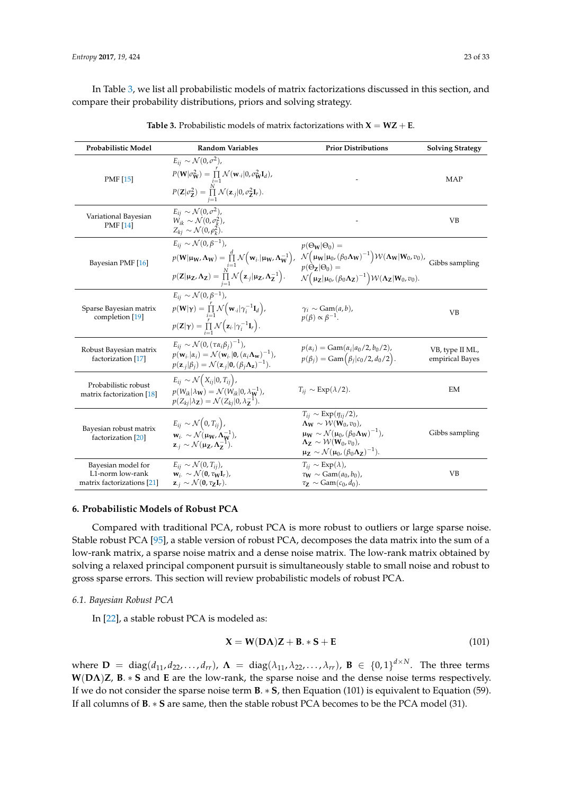In Table [3,](#page-22-1) we list all probabilistic models of matrix factorizations discussed in this section, and compare their probability distributions, priors and solving strategy.

<span id="page-22-1"></span>

| Probabilistic Model                                                  | <b>Random Variables</b>                                                                                                                                                                                                                                                                                                                                                           | <b>Prior Distributions</b>                                                                                                                                                                                                                                                                          | <b>Solving Strategy</b>            |
|----------------------------------------------------------------------|-----------------------------------------------------------------------------------------------------------------------------------------------------------------------------------------------------------------------------------------------------------------------------------------------------------------------------------------------------------------------------------|-----------------------------------------------------------------------------------------------------------------------------------------------------------------------------------------------------------------------------------------------------------------------------------------------------|------------------------------------|
| <b>PMF</b> [15]                                                      | $E_{ij} \sim \mathcal{N}(0, \sigma^2)$ ,<br>$P(\mathbf{W} \sigma_{\mathbf{W}}^2) = \prod_{i=1}^{r} \mathcal{N}(\mathbf{w}_{\cdot i} 0, \sigma_{\mathbf{W}}^2 \mathbf{I}_d),$<br>$P(\mathbf{Z} \sigma_{\mathbf{Z}}^2) = \prod_{j=1}^N \mathcal{N}(\mathbf{z}_{\cdot j} 0, \sigma_{\mathbf{Z}}^2 \mathbf{I}_r).$                                                                    |                                                                                                                                                                                                                                                                                                     | MAP                                |
| Variational Bayesian<br><b>PMF</b> [14]                              | $E_{ii} \sim \mathcal{N}(0, \sigma^2)$ ,<br>$W_{ik} \sim \mathcal{N}(0, \sigma_k^2)$ ,<br>$Z_{kj} \sim \mathcal{N}(0, \rho_k^2)$ .                                                                                                                                                                                                                                                |                                                                                                                                                                                                                                                                                                     | VВ                                 |
| Bayesian PMF [16]                                                    | $E_{ii} \sim \mathcal{N}(0, \beta^{-1}),$<br>$p(\mathbf{W} \mathbf{\mu_W}, \mathbf{\Lambda_W}) = \prod_{i=1}^d \mathcal{N}(\mathbf{w}_i   \mathbf{\mu_W}, \mathbf{\Lambda_W^{-1}}),$<br>$p(\mathbf{Z} \mathbf{\mu}_{\mathbf{Z}}, \mathbf{\Lambda}_{\mathbf{Z}}) = \prod_{i=1}^N \mathcal{N}(\mathbf{z}_{\cdot j} \mathbf{\mu}_{\mathbf{Z}}, \mathbf{\Lambda}_{\mathbf{Z}}^{-1}).$ | $p(\Theta_{\mathbf{W}} \Theta_0) =$<br>$\mathcal{N}(\mu_W \mu_0, (\beta_0 \Lambda_W)^{-1}) \mathcal{W}(\Lambda_W W_0, v_0)$ , Gibbs sampling<br>$p(\Theta_7 \Theta_0) =$<br>$\mathcal{N}(\mu_{\mathbf{Z}} \mu_0, (\beta_0 \Lambda_{\mathbf{Z}})^{-1}) \mathcal{W}(\Lambda_{\mathbf{Z}} W_0, v_0).$  |                                    |
| Sparse Bayesian matrix<br>completion [19]                            | $E_{ii} \sim \mathcal{N}(0, \beta^{-1}),$<br>$p(\mathbf{W} \boldsymbol{\gamma}) = \prod_{i=1}^{r} \mathcal{N}(\mathbf{w}_{\cdot i} \gamma_i^{-1}\mathbf{I}_d),$<br>$p(\mathbf{Z} \boldsymbol{\gamma}) = \prod_{i=1}^r \mathcal{N}(\mathbf{z}_i,  \gamma_i^{-1} \mathbf{I}_r).$                                                                                                    | $\gamma_i \sim \text{Gam}(a, b)$ ,<br>$p(\beta) \propto \beta^{-1}$ .                                                                                                                                                                                                                               | VB                                 |
| Robust Bayesian matrix<br>factorization [17]                         | $E_{ii} \sim \mathcal{N}(0, (\tau \alpha_i \beta_i)^{-1}),$<br>$p(\mathbf{w}_i,  \alpha_i) = \mathcal{N}(\mathbf{w}_i,  \mathbf{0}, (\alpha_i \mathbf{\Lambda_w})^{-1}),$<br>$p(\mathbf{z}_{\cdot i} \beta_i) = \mathcal{N}(\mathbf{z}_{\cdot i} \mathbf{0}, (\beta_i \Lambda_{\mathbf{z}})^{-1}).$                                                                               | $p(\alpha_i) = \text{Gam}(\alpha_i   a_0/2, b_0/2),$<br>$p(\beta_i) = \text{Gam}(\beta_i   c_0 / 2, d_0 / 2).$                                                                                                                                                                                      | VB, type II ML,<br>empirical Bayes |
| Probabilistic robust<br>matrix factorization [18]                    | $E_{ij} \sim \mathcal{N}\big(X_{ij} 0,T_{ij}\big),$<br>$p(W_{ik} \lambda_{\mathbf{W}}) = \mathcal{N}(W_{ik} 0, \lambda_{\mathbf{W}}^{-1}),$<br>$p(Z_{ki} \lambda_{\mathbf{Z}}) = \mathcal{N}(Z_{ki} 0,\lambda_{\mathbf{Z}}^{-1}).$                                                                                                                                                | $T_{ii} \sim \text{Exp}(\lambda/2)$ .                                                                                                                                                                                                                                                               | EM                                 |
| Bayesian robust matrix<br>factorization [20]                         | $E_{ij} \sim \mathcal{N}\big(0, T_{ij}\big),$<br>$\mathbf{w}_i \sim \mathcal{N}(\mathbf{\mu_W}, \mathbf{\Lambda_W^{-1}}),$<br>$\mathbf{z}_{.i} \sim \mathcal{N}(\mathbf{\mu_Z}, \mathbf{\Lambda_Z^{-1}}).$                                                                                                                                                                        | $T_{ij} \sim \text{Exp}(\eta_{ij}/2)$ ,<br>$\Lambda_{\mathbf{W}} \sim \mathcal{W}(\mathbf{W}_0, v_0)$ ,<br>$\mu_W \sim \mathcal{N}(\mu_0, (\beta_0 \Lambda_W)^{-1}),$<br>$\Lambda_{\mathbb{Z}} \sim \mathcal{W}(\mathbf{W}_0, v_0)$ ,<br>$\mu_Z \sim \mathcal{N}(\mu_0, (\beta_0 \Lambda_Z)^{-1}).$ | Gibbs sampling                     |
| Bayesian model for<br>L1-norm low-rank<br>matrix factorizations [21] | $E_{ii} \sim \mathcal{N}(0, T_{ii}),$<br>$\mathbf{w}_{i.} \sim \mathcal{N}(\mathbf{0}, \tau_{\mathbf{W}} \mathbf{I}_{r}).$<br>$\mathbf{z}_{\cdot j} \sim \mathcal{N}(\mathbf{0}, \tau_{\mathbf{Z}} \mathbf{I}_r).$                                                                                                                                                                | $T_{ij} \sim \text{Exp}(\lambda)$ ,<br>$\tau_{\mathbf{W}} \sim \text{Gam}(a_0, b_0)$ ,<br>$\tau_{\mathbf{Z}} \sim \text{Gam}(c_0, d_0).$                                                                                                                                                            | VВ                                 |

**Table 3.** Probabilistic models of matrix factorizations with  $X = WZ + E$ .

# <span id="page-22-0"></span>**6. Probabilistic Models of Robust PCA**

Compared with traditional PCA, robust PCA is more robust to outliers or large sparse noise. Stable robust PCA [\[95\]](#page-31-2), a stable version of robust PCA, decomposes the data matrix into the sum of a low-rank matrix, a sparse noise matrix and a dense noise matrix. The low-rank matrix obtained by solving a relaxed principal component pursuit is simultaneously stable to small noise and robust to gross sparse errors. This section will review probabilistic models of robust PCA.

#### *6.1. Bayesian Robust PCA*

In [\[22\]](#page-28-9), a stable robust PCA is modeled as:

$$
\mathbf{X} = \mathbf{W}(\mathbf{D}\Lambda)\mathbf{Z} + \mathbf{B}.*\mathbf{S} + \mathbf{E}
$$
 (101)

where  $\mathbf{D} = \text{diag}(d_{11}, d_{22}, \ldots, d_{rr})$ ,  $\mathbf{\Lambda} = \text{diag}(\lambda_{11}, \lambda_{22}, \ldots, \lambda_{rr})$ ,  $\mathbf{B} \in \{0, 1\}^{d \times N}$ . The three terms **W**(**DΛ**)**Z**, **B**. ∗ **S** and **E** are the low-rank, the sparse noise and the dense noise terms respectively. If we do not consider the sparse noise term **B**. ∗ **S**, then Equation (101) is equivalent to Equation (59). If all columns of **B**. ∗ **S** are same, then the stable robust PCA becomes to be the PCA model (31).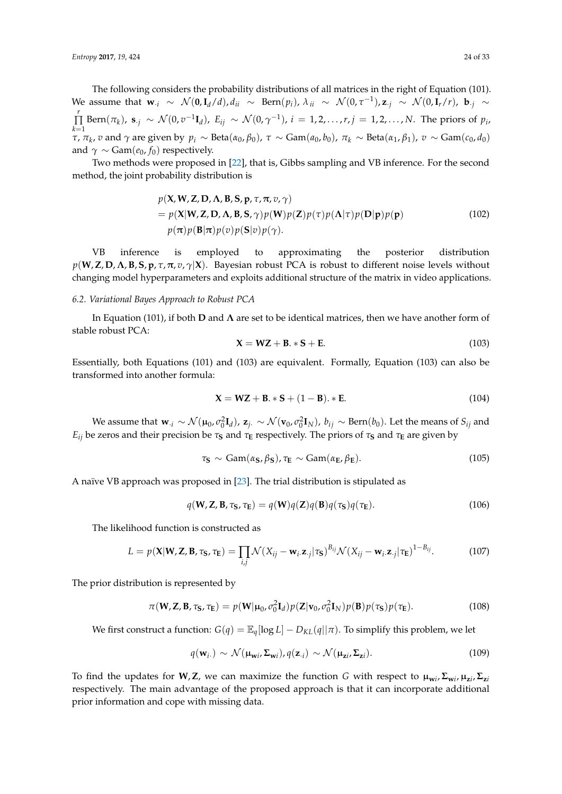The following considers the probability distributions of all matrices in the right of Equation (101). We assume that  $\mathbf{w}_{\cdot i} \sim \mathcal{N}(\mathbf{0}, \mathbf{I}_d/d), d_{ii} \sim \text{Bern}(p_i), \lambda_{ii} \sim \mathcal{N}(0, \tau^{-1}), \mathbf{z}_{\cdot j} \sim \mathcal{N}(0, \mathbf{I}_r/r), \mathbf{b}_{\cdot j} \sim \mathbf{z}_{\cdot j}$ *r* ∏  $\prod_{k=1}^r \text{Bern}(\pi_k)$ ,  $\mathbf{s}_{\cdot j} \sim \mathcal{N}(0, v^{-1} \mathbf{I}_d)$ ,  $E_{ij} \sim \mathcal{N}(0, \gamma^{-1})$ ,  $i = 1, 2, \ldots, r, j = 1, 2, \ldots, N$ . The priors of  $p_i$ ,  $\tau$ ,  $\pi_k$ ,  $v$  and  $\gamma$  are given by  $p_i \sim \text{Beta}(\alpha_0, \beta_0)$ ,  $\tau \sim \text{Gam}(a_0, b_0)$ ,  $\pi_k \sim \text{Beta}(\alpha_1, \beta_1)$ ,  $v \sim \text{Gam}(c_0, d_0)$ and  $\gamma \sim \text{Gam}(e_0, f_0)$  respectively.

Two methods were proposed in [\[22\]](#page-28-9), that is, Gibbs sampling and VB inference. For the second method, the joint probability distribution is

$$
p(\mathbf{X}, \mathbf{W}, \mathbf{Z}, \mathbf{D}, \mathbf{\Lambda}, \mathbf{B}, \mathbf{S}, \mathbf{p}, \tau, \pi, v, \gamma)
$$
  
=  $p(\mathbf{X}|\mathbf{W}, \mathbf{Z}, \mathbf{D}, \mathbf{\Lambda}, \mathbf{B}, \mathbf{S}, \gamma)p(\mathbf{W})p(\mathbf{Z})p(\tau)p(\mathbf{\Lambda}|\tau)p(\mathbf{D}|\mathbf{p})p(\mathbf{p})$   
 $p(\pi)p(\mathbf{B}|\pi)p(v)p(\mathbf{S}|v)p(\gamma).$  (102)

VB inference is employed to approximating the posterior distribution  $p(\mathbf{W}, \mathbf{Z}, \mathbf{D}, \mathbf{\Lambda}, \mathbf{B}, \mathbf{S}, \mathbf{p}, \tau, \pi, v, \gamma | \mathbf{X})$ . Bayesian robust PCA is robust to different noise levels without changing model hyperparameters and exploits additional structure of the matrix in video applications.

# *6.2. Variational Bayes Approach to Robust PCA*

In Equation (101), if both **D** and **Λ** are set to be identical matrices, then we have another form of stable robust PCA:

$$
\mathbf{X} = \mathbf{WZ} + \mathbf{B} \cdot \mathbf{s} + \mathbf{E}.\tag{103}
$$

Essentially, both Equations (101) and (103) are equivalent. Formally, Equation (103) can also be transformed into another formula:

$$
X = WZ + B. * S + (1 - B). * E.
$$
 (104)

We assume that  $\mathbf{w}_{\cdot i} \sim \mathcal{N}(\mathbf{\mu}_0, \sigma_0^2 \mathbf{I}_d)$ ,  $\mathbf{z}_{j\cdot} \sim \mathcal{N}(\mathbf{v}_0, \sigma_0^2 \mathbf{I}_N)$ ,  $b_{ij} \sim \text{Bern}(b_0)$ . Let the means of  $S_{ij}$  and *E*<sub>ij</sub> be zeros and their precision be *τ***s** and *τ***E** respectively. The priors of *τ***s** and *τ***E** are given by

$$
\tau_{\mathbf{S}} \sim \text{Gam}(\alpha_{\mathbf{S}}, \beta_{\mathbf{S}}), \tau_{\mathbf{E}} \sim \text{Gam}(\alpha_{\mathbf{E}}, \beta_{\mathbf{E}}). \tag{105}
$$

A naïve VB approach was proposed in [\[23\]](#page-28-10). The trial distribution is stipulated as

$$
q(\mathbf{W}, \mathbf{Z}, \mathbf{B}, \tau_{\mathbf{S}}, \tau_{\mathbf{E}}) = q(\mathbf{W})q(\mathbf{Z})q(\mathbf{B})q(\tau_{\mathbf{S}})q(\tau_{\mathbf{E}}).
$$
\n(106)

The likelihood function is constructed as

$$
L = p(\mathbf{X}|\mathbf{W}, \mathbf{Z}, \mathbf{B}, \tau_{\mathbf{S}}, \tau_{\mathbf{E}}) = \prod_{i,j} \mathcal{N}(X_{ij} - \mathbf{w}_i \cdot \mathbf{z}_{\cdot j} | \tau_{\mathbf{S}})^{B_{ij}} \mathcal{N}(X_{ij} - \mathbf{w}_i \cdot \mathbf{z}_{\cdot j} | \tau_{\mathbf{E}})^{1 - B_{ij}}.
$$
 (107)

The prior distribution is represented by

$$
\pi(\mathbf{W}, \mathbf{Z}, \mathbf{B}, \tau_{\mathbf{S}}, \tau_{\mathbf{E}}) = p(\mathbf{W} | \mathbf{\mu}_0, \sigma_0^2 \mathbf{I}_d) p(\mathbf{Z} | \mathbf{v}_0, \sigma_0^2 \mathbf{I}_N) p(\mathbf{B}) p(\tau_{\mathbf{S}}) p(\tau_{\mathbf{E}}).
$$
(108)

We first construct a function:  $G(q) = \mathbb{E}_q[\log L] - D_{KL}(q||\pi)$ . To simplify this problem, we let

$$
q(\mathbf{w}_{i\cdot}) \sim \mathcal{N}(\mathbf{\mu}_{\mathbf{w}i\cdot} \mathbf{\Sigma}_{\mathbf{w}i}), q(\mathbf{z}_{\cdot i}) \sim \mathcal{N}(\mathbf{\mu}_{\mathbf{z}i\cdot} \mathbf{\Sigma}_{\mathbf{z}i}).
$$
\n(109)

To find the updates for **W**, **Z**, we can maximize the function G with respect to  $\mu_{wi}$ ,  $\Sigma_{wi}$ ,  $\mu_{zi}$ ,  $\Sigma_{zi}$ respectively. The main advantage of the proposed approach is that it can incorporate additional prior information and cope with missing data.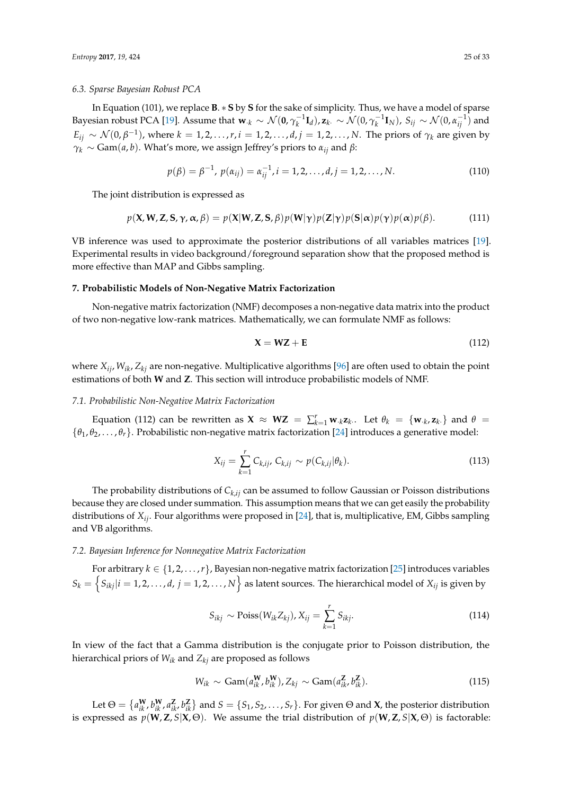#### *6.3. Sparse Bayesian Robust PCA*

In Equation (101), we replace **B**. ∗ **S** by **S** for the sake of simplicity. Thus, we have a model of sparse Bayesian robust PCA [\[19\]](#page-28-6). Assume that  $\mathbf{w}_{\cdot k} \sim \mathcal{N}(\mathbf{0}, \gamma_k^{-1} \mathbf{I}_d)$ ,  $\mathbf{z}_k$ .  $\sim \mathcal{N}(0, \gamma_k^{-1} \mathbf{I}_N)$ ,  $S_{ij} \sim \mathcal{N}(0, \alpha_{ij}^{-1})$  and  $E_{ij} \sim \mathcal{N}(0, \beta^{-1})$ , where  $k = 1, 2, \ldots, r$ ,  $i = 1, 2, \ldots, d$ ,  $j = 1, 2, \ldots, N$ . The priors of  $\gamma_k$  are given by  $\gamma_k \sim \text{Gam}(a, b)$ . What's more, we assign Jeffrey's priors to  $\alpha_{ij}$  and  $\beta$ :

$$
p(\beta) = \beta^{-1}, \ p(\alpha_{ij}) = \alpha_{ij}^{-1}, i = 1, 2, ..., d, j = 1, 2, ..., N.
$$
 (110)

The joint distribution is expressed as

$$
p(\mathbf{X}, \mathbf{W}, \mathbf{Z}, \mathbf{S}, \gamma, \alpha, \beta) = p(\mathbf{X}|\mathbf{W}, \mathbf{Z}, \mathbf{S}, \beta) p(\mathbf{W}|\gamma) p(\mathbf{Z}|\gamma) p(\mathbf{S}|\alpha) p(\gamma) p(\alpha) p(\beta).
$$
 (111)

VB inference was used to approximate the posterior distributions of all variables matrices [\[19\]](#page-28-6). Experimental results in video background/foreground separation show that the proposed method is more effective than MAP and Gibbs sampling.

# <span id="page-24-0"></span>**7. Probabilistic Models of Non-Negative Matrix Factorization**

Non-negative matrix factorization (NMF) decomposes a non-negative data matrix into the product of two non-negative low-rank matrices. Mathematically, we can formulate NMF as follows:

$$
X = WZ + E \tag{112}
$$

where *Xij*, *Wik*, *Zkj* are non-negative. Multiplicative algorithms [\[96\]](#page-31-3) are often used to obtain the point estimations of both **W** and **Z**. This section will introduce probabilistic models of NMF.

#### *7.1. Probabilistic Non-Negative Matrix Factorization*

Equation (112) can be rewritten as  $\mathbf{X} \approx \mathbf{WZ} = \sum_{k=1}^{r} \mathbf{w}_{k,k} \mathbf{z}_{k}$ . Let  $\theta_k = {\mathbf{w}_{k,k} \mathbf{z}_{k}}$  and  $\theta =$ {*θ*1, *θ*2, . . . , *θr*}. Probabilistic non-negative matrix factorization [\[24\]](#page-28-11) introduces a generative model:

$$
X_{ij} = \sum_{k=1}^{r} C_{k,ij}, \ C_{k,ij} \sim p(C_{k,ij}|\theta_k).
$$
 (113)

The probability distributions of *Ck*,*ij* can be assumed to follow Gaussian or Poisson distributions because they are closed under summation. This assumption means that we can get easily the probability distributions of *Xij*. Four algorithms were proposed in [\[24\]](#page-28-11), that is, multiplicative, EM, Gibbs sampling and VB algorithms.

# *7.2. Bayesian Inference for Nonnegative Matrix Factorization*

For arbitrary  $k \in \{1, 2, ..., r\}$ , Bayesian non-negative matrix factorization [\[25\]](#page-28-20) introduces variables  $S_k = \left\{S_{ikj}|i=1,2,\ldots,d, \, j=1,2,\ldots,N\right\}$  as latent sources. The hierarchical model of  $X_{ij}$  is given by

$$
S_{ikj} \sim \text{Poiss}(W_{ik}Z_{kj}), X_{ij} = \sum_{k=1}^{r} S_{ikj}.
$$
 (114)

In view of the fact that a Gamma distribution is the conjugate prior to Poisson distribution, the hierarchical priors of *Wik* and *Zkj* are proposed as follows

$$
W_{ik} \sim \text{Gam}(a_{ik}^{\mathbf{W}}, b_{ik}^{\mathbf{W}}), Z_{kj} \sim \text{Gam}(a_{ik}^{\mathbf{Z}}, b_{ik}^{\mathbf{Z}}). \tag{115}
$$

Let  $\Theta = \{a_{ik}^W, b_{ik}^W, a_{ik'}^Z, b_{ik}^Z\}$  and  $S = \{S_1, S_2, \ldots, S_r\}$ . For given  $\Theta$  and  $X$ , the posterior distribution is expressed as  $p(\mathbf{W}, \mathbf{Z}, S | \mathbf{X}, \Theta)$ . We assume the trial distribution of  $p(\mathbf{W}, \mathbf{Z}, S | \mathbf{X}, \Theta)$  is factorable: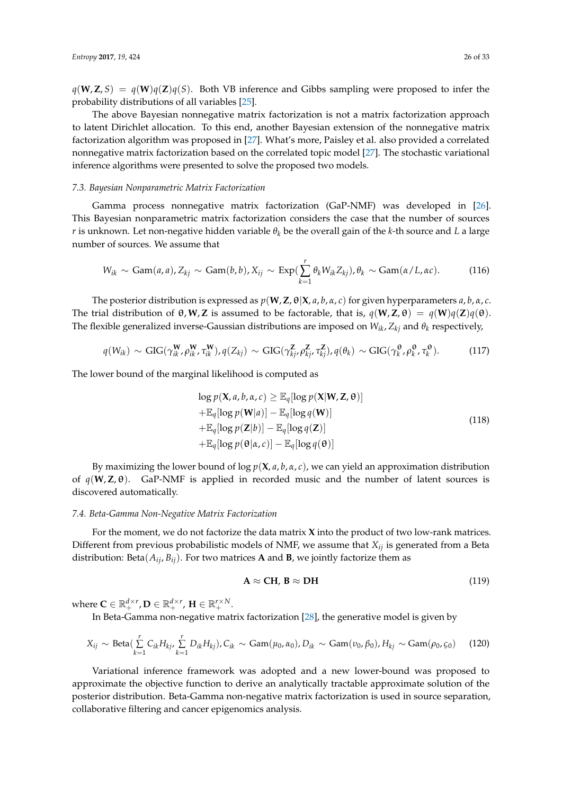$q(\mathbf{W}, \mathbf{Z}, S) = q(\mathbf{W})q(\mathbf{Z})q(S)$ . Both VB inference and Gibbs sampling were proposed to infer the probability distributions of all variables [\[25\]](#page-28-20).

The above Bayesian nonnegative matrix factorization is not a matrix factorization approach to latent Dirichlet allocation. To this end, another Bayesian extension of the nonnegative matrix factorization algorithm was proposed in [\[27\]](#page-28-21). What's more, Paisley et al. also provided a correlated nonnegative matrix factorization based on the correlated topic model [\[27\]](#page-28-21). The stochastic variational inference algorithms were presented to solve the proposed two models.

# *7.3. Bayesian Nonparametric Matrix Factorization*

Gamma process nonnegative matrix factorization (GaP-NMF) was developed in [\[26\]](#page-28-22). This Bayesian nonparametric matrix factorization considers the case that the number of sources *r* is unknown. Let non-negative hidden variable *θ<sup>k</sup>* be the overall gain of the *k-*th source and *L* a large number of sources. We assume that

$$
W_{ik} \sim \text{Gam}(a, a), Z_{kj} \sim \text{Gam}(b, b), X_{ij} \sim \text{Exp}(\sum_{k=1}^{r} \theta_k W_{ik} Z_{kj}), \theta_k \sim \text{Gam}(\alpha / L, \alpha c). \tag{116}
$$

The posterior distribution is expressed as  $p(\mathbf{W}, \mathbf{Z}, \boldsymbol{\theta} | \mathbf{X}, a, b, \alpha, c)$  for given hyperparameters  $a, b, \alpha, c$ . The trial distribution of θ,**W**,**Z** is assumed to be factorable, that is, *q*(**W**,**Z**, θ) = *q*(**W**)*q*(**Z**)*q*(θ). The flexible generalized inverse-Gaussian distributions are imposed on *Wik*, *Zkj* and *θ<sup>k</sup>* respectively,

$$
q(W_{ik}) \sim \text{GIG}(\gamma_{ik}^{\mathbf{W}}, \rho_{ik}^{\mathbf{W}}, \tau_{ik}^{\mathbf{W}}), q(Z_{kj}) \sim \text{GIG}(\gamma_{kj}^{\mathbf{Z}}, \rho_{kj}^{\mathbf{Z}}, \tau_{kj}^{\mathbf{Z}}), q(\theta_k) \sim \text{GIG}(\gamma_k^{\theta}, \rho_k^{\theta}, \tau_k^{\theta}).
$$
 (117)

The lower bound of the marginal likelihood is computed as

$$
\log p(\mathbf{X}, a, b, \alpha, c) \ge \mathbb{E}_q[\log p(\mathbf{X}|\mathbf{W}, \mathbf{Z}, \boldsymbol{\theta})]
$$
  
+ $\mathbb{E}_q[\log p(\mathbf{W}|a)] - \mathbb{E}_q[\log q(\mathbf{W})]$   
+ $\mathbb{E}_q[\log p(\mathbf{Z}|b)] - \mathbb{E}_q[\log q(\mathbf{Z})]$   
+ $\mathbb{E}_q[\log p(\boldsymbol{\theta}|\alpha, c)] - \mathbb{E}_q[\log q(\boldsymbol{\theta})]$  (118)

By maximizing the lower bound of  $\log p(\mathbf{X}, a, b, \alpha, c)$ , we can yield an approximation distribution of  $q(W, Z, \theta)$ . GaP-NMF is applied in recorded music and the number of latent sources is discovered automatically.

# *7.4. Beta-Gamma Non-Negative Matrix Factorization*

For the moment, we do not factorize the data matrix **X** into the product of two low-rank matrices. Different from previous probabilistic models of NMF, we assume that *Xij* is generated from a Beta distribution: Beta $(A_{ij}, B_{ij})$ . For two matrices **A** and **B**, we jointly factorize them as

$$
\mathbf{A} \approx \mathbf{C} \mathbf{H}, \, \mathbf{B} \approx \mathbf{D} \mathbf{H} \tag{119}
$$

where  $\mathbf{C} \in \mathbb{R}_+^{d \times r}$ ,  $\mathbf{D} \in \mathbb{R}_+^{d \times r}$ ,  $\mathbf{H} \in \mathbb{R}_+^{r \times N}$ .

In Beta-Gamma non-negative matrix factorization [\[28\]](#page-28-12), the generative model is given by

$$
X_{ij} \sim \text{Beta}(\sum_{k=1}^{r} C_{ik} H_{kj}, \sum_{k=1}^{r} D_{ik} H_{kj}), C_{ik} \sim \text{Gam}(\mu_0, \alpha_0), D_{ik} \sim \text{Gam}(v_0, \beta_0), H_{kj} \sim \text{Gam}(\rho_0, \varsigma_0)
$$
 (120)

Variational inference framework was adopted and a new lower-bound was proposed to approximate the objective function to derive an analytically tractable approximate solution of the posterior distribution. Beta-Gamma non-negative matrix factorization is used in source separation, collaborative filtering and cancer epigenomics analysis.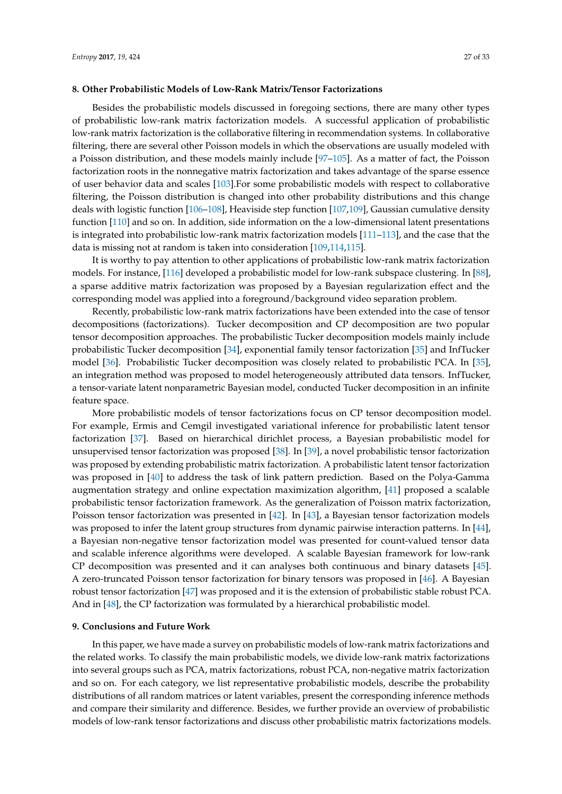## <span id="page-26-0"></span>**8. Other Probabilistic Models of Low-Rank Matrix/Tensor Factorizations**

Besides the probabilistic models discussed in foregoing sections, there are many other types of probabilistic low-rank matrix factorization models. A successful application of probabilistic low-rank matrix factorization is the collaborative filtering in recommendation systems. In collaborative filtering, there are several other Poisson models in which the observations are usually modeled with a Poisson distribution, and these models mainly include [\[97](#page-31-4)[–105\]](#page-31-5). As a matter of fact, the Poisson factorization roots in the nonnegative matrix factorization and takes advantage of the sparse essence of user behavior data and scales [\[103\]](#page-31-6).For some probabilistic models with respect to collaborative filtering, the Poisson distribution is changed into other probability distributions and this change deals with logistic function [\[106–](#page-31-7)[108\]](#page-31-8), Heaviside step function [\[107,](#page-31-9)[109\]](#page-31-10), Gaussian cumulative density function [\[110\]](#page-31-11) and so on. In addition, side information on the a low-dimensional latent presentations is integrated into probabilistic low-rank matrix factorization models [\[111](#page-31-12)[–113\]](#page-31-13), and the case that the data is missing not at random is taken into consideration [\[109,](#page-31-10)[114](#page-31-14)[,115\]](#page-32-0).

It is worthy to pay attention to other applications of probabilistic low-rank matrix factorization models. For instance, [\[116\]](#page-32-1) developed a probabilistic model for low-rank subspace clustering. In [\[88\]](#page-30-12), a sparse additive matrix factorization was proposed by a Bayesian regularization effect and the corresponding model was applied into a foreground/background video separation problem.

Recently, probabilistic low-rank matrix factorizations have been extended into the case of tensor decompositions (factorizations). Tucker decomposition and CP decomposition are two popular tensor decomposition approaches. The probabilistic Tucker decomposition models mainly include probabilistic Tucker decomposition [\[34\]](#page-28-18), exponential family tensor factorization [\[35\]](#page-28-23) and InfTucker model [\[36\]](#page-28-19). Probabilistic Tucker decomposition was closely related to probabilistic PCA. In [\[35\]](#page-28-23), an integration method was proposed to model heterogeneously attributed data tensors. InfTucker, a tensor-variate latent nonparametric Bayesian model, conducted Tucker decomposition in an infinite feature space.

More probabilistic models of tensor factorizations focus on CP tensor decomposition model. For example, Ermis and Cemgil investigated variational inference for probabilistic latent tensor factorization [\[37\]](#page-29-0). Based on hierarchical dirichlet process, a Bayesian probabilistic model for unsupervised tensor factorization was proposed [\[38\]](#page-29-6). In [\[39\]](#page-29-7), a novel probabilistic tensor factorization was proposed by extending probabilistic matrix factorization. A probabilistic latent tensor factorization was proposed in [\[40\]](#page-29-8) to address the task of link pattern prediction. Based on the Polya-Gamma augmentation strategy and online expectation maximization algorithm, [\[41\]](#page-29-9) proposed a scalable probabilistic tensor factorization framework. As the generalization of Poisson matrix factorization, Poisson tensor factorization was presented in [\[42\]](#page-29-10). In [\[43\]](#page-29-11), a Bayesian tensor factorization models was proposed to infer the latent group structures from dynamic pairwise interaction patterns. In [\[44\]](#page-29-12), a Bayesian non-negative tensor factorization model was presented for count-valued tensor data and scalable inference algorithms were developed. A scalable Bayesian framework for low-rank CP decomposition was presented and it can analyses both continuous and binary datasets [\[45\]](#page-29-13). A zero-truncated Poisson tensor factorization for binary tensors was proposed in [\[46\]](#page-29-14). A Bayesian robust tensor factorization [\[47\]](#page-29-15) was proposed and it is the extension of probabilistic stable robust PCA. And in [\[48\]](#page-29-1), the CP factorization was formulated by a hierarchical probabilistic model.

#### <span id="page-26-1"></span>**9. Conclusions and Future Work**

In this paper, we have made a survey on probabilistic models of low-rank matrix factorizations and the related works. To classify the main probabilistic models, we divide low-rank matrix factorizations into several groups such as PCA, matrix factorizations, robust PCA, non-negative matrix factorization and so on. For each category, we list representative probabilistic models, describe the probability distributions of all random matrices or latent variables, present the corresponding inference methods and compare their similarity and difference. Besides, we further provide an overview of probabilistic models of low-rank tensor factorizations and discuss other probabilistic matrix factorizations models.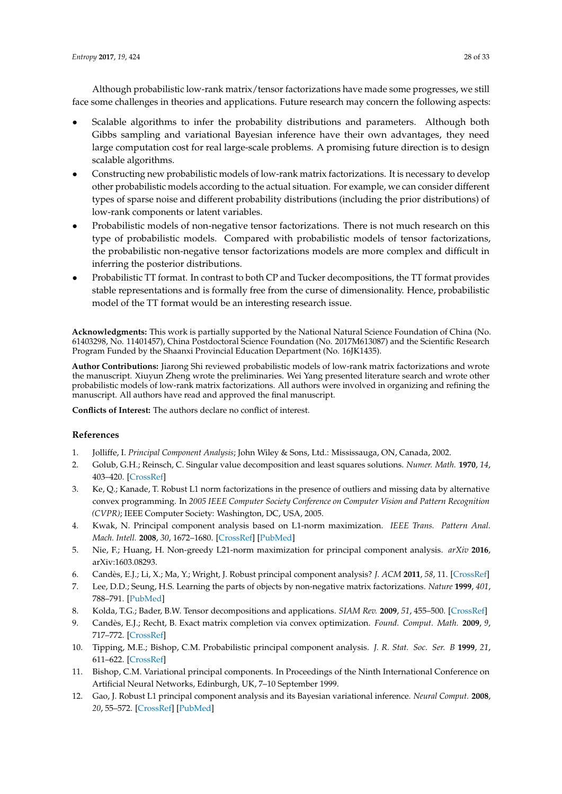Although probabilistic low-rank matrix/tensor factorizations have made some progresses, we still face some challenges in theories and applications. Future research may concern the following aspects:

- Scalable algorithms to infer the probability distributions and parameters. Although both Gibbs sampling and variational Bayesian inference have their own advantages, they need large computation cost for real large-scale problems. A promising future direction is to design scalable algorithms.
- Constructing new probabilistic models of low-rank matrix factorizations. It is necessary to develop other probabilistic models according to the actual situation. For example, we can consider different types of sparse noise and different probability distributions (including the prior distributions) of low-rank components or latent variables.
- Probabilistic models of non-negative tensor factorizations. There is not much research on this type of probabilistic models. Compared with probabilistic models of tensor factorizations, the probabilistic non-negative tensor factorizations models are more complex and difficult in inferring the posterior distributions.
- Probabilistic TT format. In contrast to both CP and Tucker decompositions, the TT format provides stable representations and is formally free from the curse of dimensionality. Hence, probabilistic model of the TT format would be an interesting research issue.

**Acknowledgments:** This work is partially supported by the National Natural Science Foundation of China (No. 61403298, No. 11401457), China Postdoctoral Science Foundation (No. 2017M613087) and the Scientific Research Program Funded by the Shaanxi Provincial Education Department (No. 16JK1435).

**Author Contributions:** Jiarong Shi reviewed probabilistic models of low-rank matrix factorizations and wrote the manuscript. Xiuyun Zheng wrote the preliminaries. Wei Yang presented literature search and wrote other probabilistic models of low-rank matrix factorizations. All authors were involved in organizing and refining the manuscript. All authors have read and approved the final manuscript.

**Conflicts of Interest:** The authors declare no conflict of interest.

# **References**

- <span id="page-27-0"></span>1. Jolliffe, I. *Principal Component Analysis*; John Wiley & Sons, Ltd.: Mississauga, ON, Canada, 2002.
- <span id="page-27-1"></span>2. Golub, G.H.; Reinsch, C. Singular value decomposition and least squares solutions. *Numer. Math.* **1970**, *14*, 403–420. [\[CrossRef\]](http://dx.doi.org/10.1007/BF02163027)
- <span id="page-27-2"></span>3. Ke, Q.; Kanade, T. Robust L1 norm factorizations in the presence of outliers and missing data by alternative convex programming. In *2005 IEEE Computer Society Conference on Computer Vision and Pattern Recognition (CVPR)*; IEEE Computer Society: Washington, DC, USA, 2005.
- <span id="page-27-3"></span>4. Kwak, N. Principal component analysis based on L1-norm maximization. *IEEE Trans. Pattern Anal. Mach. Intell.* **2008**, *30*, 1672–1680. [\[CrossRef\]](http://dx.doi.org/10.1109/TPAMI.2008.114) [\[PubMed\]](http://www.ncbi.nlm.nih.gov/pubmed/18617723)
- <span id="page-27-4"></span>5. Nie, F.; Huang, H. Non-greedy L21-norm maximization for principal component analysis. *arXiv* **2016**, arXiv:1603.08293.
- <span id="page-27-5"></span>6. Candès, E.J.; Li, X.; Ma, Y.; Wright, J. Robust principal component analysis? *J. ACM* **2011**, *58*, 11. [\[CrossRef\]](http://dx.doi.org/10.1145/1970392.1970395)
- <span id="page-27-6"></span>7. Lee, D.D.; Seung, H.S. Learning the parts of objects by non-negative matrix factorizations. *Nature* **1999**, *401*, 788–791. [\[PubMed\]](http://www.ncbi.nlm.nih.gov/pubmed/10548103)
- <span id="page-27-7"></span>8. Kolda, T.G.; Bader, B.W. Tensor decompositions and applications. *SIAM Rev.* **2009**, *51*, 455–500. [\[CrossRef\]](http://dx.doi.org/10.1137/07070111X)
- <span id="page-27-8"></span>9. Candès, E.J.; Recht, B. Exact matrix completion via convex optimization. *Found. Comput. Math.* **2009**, *9*, 717–772. [\[CrossRef\]](http://dx.doi.org/10.1007/s10208-009-9045-5)
- <span id="page-27-9"></span>10. Tipping, M.E.; Bishop, C.M. Probabilistic principal component analysis. *J. R. Stat. Soc. Ser. B* **1999**, *21*, 611–622. [\[CrossRef\]](http://dx.doi.org/10.1111/1467-9868.00196)
- <span id="page-27-10"></span>11. Bishop, C.M. Variational principal components. In Proceedings of the Ninth International Conference on Artificial Neural Networks, Edinburgh, UK, 7–10 September 1999.
- <span id="page-27-11"></span>12. Gao, J. Robust L1 principal component analysis and its Bayesian variational inference. *Neural Comput.* **2008**, *20*, 55–572. [\[CrossRef\]](http://dx.doi.org/10.1162/neco.2007.11-06-397) [\[PubMed\]](http://www.ncbi.nlm.nih.gov/pubmed/18045015)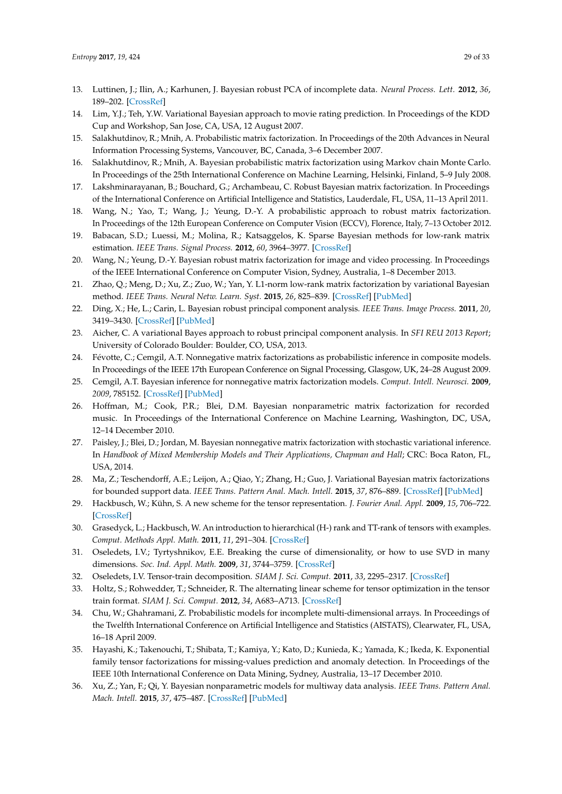- <span id="page-28-0"></span>13. Luttinen, J.; Ilin, A.; Karhunen, J. Bayesian robust PCA of incomplete data. *Neural Process. Lett.* **2012**, *36*, 189–202. [\[CrossRef\]](http://dx.doi.org/10.1007/s11063-012-9230-4)
- <span id="page-28-1"></span>14. Lim, Y.J.; Teh, Y.W. Variational Bayesian approach to movie rating prediction. In Proceedings of the KDD Cup and Workshop, San Jose, CA, USA, 12 August 2007.
- <span id="page-28-2"></span>15. Salakhutdinov, R.; Mnih, A. Probabilistic matrix factorization. In Proceedings of the 20th Advances in Neural Information Processing Systems, Vancouver, BC, Canada, 3–6 December 2007.
- <span id="page-28-3"></span>16. Salakhutdinov, R.; Mnih, A. Bayesian probabilistic matrix factorization using Markov chain Monte Carlo. In Proceedings of the 25th International Conference on Machine Learning, Helsinki, Finland, 5–9 July 2008.
- <span id="page-28-4"></span>17. Lakshminarayanan, B.; Bouchard, G.; Archambeau, C. Robust Bayesian matrix factorization. In Proceedings of the International Conference on Artificial Intelligence and Statistics, Lauderdale, FL, USA, 11–13 April 2011.
- <span id="page-28-5"></span>18. Wang, N.; Yao, T.; Wang, J.; Yeung, D.-Y. A probabilistic approach to robust matrix factorization. In Proceedings of the 12th European Conference on Computer Vision (ECCV), Florence, Italy, 7–13 October 2012.
- <span id="page-28-6"></span>19. Babacan, S.D.; Luessi, M.; Molina, R.; Katsaggelos, K. Sparse Bayesian methods for low-rank matrix estimation. *IEEE Trans. Signal Process.* **2012**, *60*, 3964–3977. [\[CrossRef\]](http://dx.doi.org/10.1109/TSP.2012.2197748)
- <span id="page-28-7"></span>20. Wang, N.; Yeung, D.-Y. Bayesian robust matrix factorization for image and video processing. In Proceedings of the IEEE International Conference on Computer Vision, Sydney, Australia, 1–8 December 2013.
- <span id="page-28-8"></span>21. Zhao, Q.; Meng, D.; Xu, Z.; Zuo, W.; Yan, Y. L1-norm low-rank matrix factorization by variational Bayesian method. *IEEE Trans. Neural Netw. Learn. Syst.* **2015**, *26*, 825–839. [\[CrossRef\]](http://dx.doi.org/10.1109/TNNLS.2014.2387376) [\[PubMed\]](http://www.ncbi.nlm.nih.gov/pubmed/25608312)
- <span id="page-28-9"></span>22. Ding, X.; He, L.; Carin, L. Bayesian robust principal component analysis. *IEEE Trans. Image Process.* **2011**, *20*, 3419–3430. [\[CrossRef\]](http://dx.doi.org/10.1109/TIP.2011.2156801) [\[PubMed\]](http://www.ncbi.nlm.nih.gov/pubmed/21606026)
- <span id="page-28-10"></span>23. Aicher, C. A variational Bayes approach to robust principal component analysis. In *SFI REU 2013 Report*; University of Colorado Boulder: Boulder, CO, USA, 2013.
- <span id="page-28-11"></span>24. Févotte, C.; Cemgil, A.T. Nonnegative matrix factorizations as probabilistic inference in composite models. In Proceedings of the IEEE 17th European Conference on Signal Processing, Glasgow, UK, 24–28 August 2009.
- <span id="page-28-20"></span>25. Cemgil, A.T. Bayesian inference for nonnegative matrix factorization models. *Comput. Intell. Neurosci.* **2009**, *2009*, 785152. [\[CrossRef\]](http://dx.doi.org/10.1155/2009/785152) [\[PubMed\]](http://www.ncbi.nlm.nih.gov/pubmed/19536273)
- <span id="page-28-22"></span>26. Hoffman, M.; Cook, P.R.; Blei, D.M. Bayesian nonparametric matrix factorization for recorded music. In Proceedings of the International Conference on Machine Learning, Washington, DC, USA, 12–14 December 2010.
- <span id="page-28-21"></span>27. Paisley, J.; Blei, D.; Jordan, M. Bayesian nonnegative matrix factorization with stochastic variational inference. In *Handbook of Mixed Membership Models and Their Applications, Chapman and Hall*; CRC: Boca Raton, FL, USA, 2014.
- <span id="page-28-12"></span>28. Ma, Z.; Teschendorff, A.E.; Leijon, A.; Qiao, Y.; Zhang, H.; Guo, J. Variational Bayesian matrix factorizations for bounded support data. *IEEE Trans. Pattern Anal. Mach. Intell.* **2015**, *37*, 876–889. [\[CrossRef\]](http://dx.doi.org/10.1109/TPAMI.2014.2353639) [\[PubMed\]](http://www.ncbi.nlm.nih.gov/pubmed/26353300)
- <span id="page-28-13"></span>29. Hackbusch, W.; Kühn, S. A new scheme for the tensor representation. *J. Fourier Anal. Appl.* **2009**, *15*, 706–722. [\[CrossRef\]](http://dx.doi.org/10.1007/s00041-009-9094-9)
- <span id="page-28-14"></span>30. Grasedyck, L.; Hackbusch, W. An introduction to hierarchical (H-) rank and TT-rank of tensors with examples. *Comput. Methods Appl. Math.* **2011**, *11*, 291–304. [\[CrossRef\]](http://dx.doi.org/10.2478/cmam-2011-0016)
- <span id="page-28-15"></span>31. Oseledets, I.V.; Tyrtyshnikov, E.E. Breaking the curse of dimensionality, or how to use SVD in many dimensions. *Soc. Ind. Appl. Math.* **2009**, *31*, 3744–3759. [\[CrossRef\]](http://dx.doi.org/10.1137/090748330)
- <span id="page-28-17"></span><span id="page-28-16"></span>32. Oseledets, I.V. Tensor-train decomposition. *SIAM J. Sci. Comput.* **2011**, *33*, 2295–2317. [\[CrossRef\]](http://dx.doi.org/10.1137/090752286)
- 33. Holtz, S.; Rohwedder, T.; Schneider, R. The alternating linear scheme for tensor optimization in the tensor train format. *SIAM J. Sci. Comput.* **2012**, *34*, A683–A713. [\[CrossRef\]](http://dx.doi.org/10.1137/100818893)
- <span id="page-28-18"></span>34. Chu, W.; Ghahramani, Z. Probabilistic models for incomplete multi-dimensional arrays. In Proceedings of the Twelfth International Conference on Artificial Intelligence and Statistics (AISTATS), Clearwater, FL, USA, 16–18 April 2009.
- <span id="page-28-23"></span>35. Hayashi, K.; Takenouchi, T.; Shibata, T.; Kamiya, Y.; Kato, D.; Kunieda, K.; Yamada, K.; Ikeda, K. Exponential family tensor factorizations for missing-values prediction and anomaly detection. In Proceedings of the IEEE 10th International Conference on Data Mining, Sydney, Australia, 13–17 December 2010.
- <span id="page-28-19"></span>36. Xu, Z.; Yan, F.; Qi, Y. Bayesian nonparametric models for multiway data analysis. *IEEE Trans. Pattern Anal. Mach. Intell.* **2015**, *37*, 475–487. [\[CrossRef\]](http://dx.doi.org/10.1109/TPAMI.2013.201) [\[PubMed\]](http://www.ncbi.nlm.nih.gov/pubmed/26353255)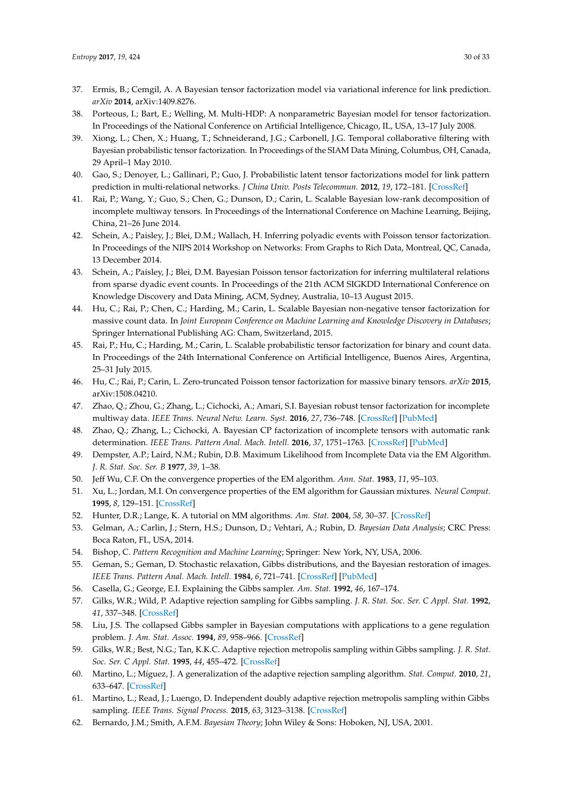- <span id="page-29-0"></span>37. Ermis, B.; Cemgil, A. A Bayesian tensor factorization model via variational inference for link prediction. *arXiv* **2014**, arXiv:1409.8276.
- <span id="page-29-6"></span>38. Porteous, I.; Bart, E.; Welling, M. Multi-HDP: A nonparametric Bayesian model for tensor factorization. In Proceedings of the National Conference on Artificial Intelligence, Chicago, IL, USA, 13–17 July 2008.
- <span id="page-29-7"></span>39. Xiong, L.; Chen, X.; Huang, T.; Schneiderand, J.G.; Carbonell, J.G. Temporal collaborative filtering with Bayesian probabilistic tensor factorization. In Proceedings of the SIAM Data Mining, Columbus, OH, Canada, 29 April–1 May 2010.
- <span id="page-29-8"></span>40. Gao, S.; Denoyer, L.; Gallinari, P.; Guo, J. Probabilistic latent tensor factorizations model for link pattern prediction in multi-relational networks. *J China Univ. Posts Telecommun.* **2012**, *19*, 172–181. [\[CrossRef\]](http://dx.doi.org/10.1016/S1005-8885(11)60425-1)
- <span id="page-29-9"></span>41. Rai, P.; Wang, Y.; Guo, S.; Chen, G.; Dunson, D.; Carin, L. Scalable Bayesian low-rank decomposition of incomplete multiway tensors. In Proceedings of the International Conference on Machine Learning, Beijing, China, 21–26 June 2014.
- <span id="page-29-10"></span>42. Schein, A.; Paisley, J.; Blei, D.M.; Wallach, H. Inferring polyadic events with Poisson tensor factorization. In Proceedings of the NIPS 2014 Workshop on Networks: From Graphs to Rich Data, Montreal, QC, Canada, 13 December 2014.
- <span id="page-29-11"></span>43. Schein, A.; Paisley, J.; Blei, D.M. Bayesian Poisson tensor factorization for inferring multilateral relations from sparse dyadic event counts. In Proceedings of the 21th ACM SIGKDD International Conference on Knowledge Discovery and Data Mining, ACM, Sydney, Australia, 10–13 August 2015.
- <span id="page-29-12"></span>44. Hu, C.; Rai, P.; Chen, C.; Harding, M.; Carin, L. Scalable Bayesian non-negative tensor factorization for massive count data. In *Joint European Conference on Machine Learning and Knowledge Discovery in Databases*; Springer International Publishing AG: Cham, Switzerland, 2015.
- <span id="page-29-13"></span>45. Rai, P.; Hu, C.; Harding, M.; Carin, L. Scalable probabilistic tensor factorization for binary and count data. In Proceedings of the 24th International Conference on Artificial Intelligence, Buenos Aires, Argentina, 25–31 July 2015.
- <span id="page-29-14"></span>46. Hu, C.; Rai, P.; Carin, L. Zero-truncated Poisson tensor factorization for massive binary tensors. *arXiv* **2015**, arXiv:1508.04210.
- <span id="page-29-15"></span>47. Zhao, Q.; Zhou, G.; Zhang, L.; Cichocki, A.; Amari, S.I. Bayesian robust tensor factorization for incomplete multiway data. *IEEE Trans. Neural Netw. Learn. Syst.* **2016**, *27*, 736–748. [\[CrossRef\]](http://dx.doi.org/10.1109/TNNLS.2015.2423694) [\[PubMed\]](http://www.ncbi.nlm.nih.gov/pubmed/26068876)
- <span id="page-29-1"></span>48. Zhao, Q.; Zhang, L.; Cichocki, A. Bayesian CP factorization of incomplete tensors with automatic rank determination. *IEEE Trans. Pattern Anal. Mach. Intell.* **2016**, *37*, 1751–1763. [\[CrossRef\]](http://dx.doi.org/10.1109/TPAMI.2015.2392756) [\[PubMed\]](http://www.ncbi.nlm.nih.gov/pubmed/26353124)
- <span id="page-29-2"></span>49. Dempster, A.P.; Laird, N.M.; Rubin, D.B. Maximum Likelihood from Incomplete Data via the EM Algorithm. *J. R. Stat. Soc. Ser. B* **1977**, *39*, 1–38.
- 50. Jeff Wu, C.F. On the convergence properties of the EM algorithm. *Ann. Stat.* **1983**, *11*, 95–103.
- 51. Xu, L.; Jordan, M.I. On convergence properties of the EM algorithm for Gaussian mixtures. *Neural Comput.* **1995**, *8*, 129–151. [\[CrossRef\]](http://dx.doi.org/10.1162/neco.1996.8.1.129)
- 52. Hunter, D.R.; Lange, K. A tutorial on MM algorithms. *Am. Stat.* **2004**, *58*, 30–37. [\[CrossRef\]](http://dx.doi.org/10.1198/0003130042836)
- <span id="page-29-5"></span>53. Gelman, A.; Carlin, J.; Stern, H.S.; Dunson, D.; Vehtari, A.; Rubin, D. *Bayesian Data Analysis*; CRC Press: Boca Raton, FL, USA, 2014.
- <span id="page-29-3"></span>54. Bishop, C. *Pattern Recognition and Machine Learning*; Springer: New York, NY, USA, 2006.
- 55. Geman, S.; Geman, D. Stochastic relaxation, Gibbs distributions, and the Bayesian restoration of images. *IEEE Trans. Pattern Anal. Mach. Intell.* **1984**, *6*, 721–741. [\[CrossRef\]](http://dx.doi.org/10.1109/TPAMI.1984.4767596) [\[PubMed\]](http://www.ncbi.nlm.nih.gov/pubmed/22499653)
- 56. Casella, G.; George, E.I. Explaining the Gibbs sampler. *Am. Stat.* **1992**, *46*, 167–174.
- 57. Gilks, W.R.; Wild, P. Adaptive rejection sampling for Gibbs sampling. *J. R. Stat. Soc. Ser. C Appl. Stat.* **1992**, *41*, 337–348. [\[CrossRef\]](http://dx.doi.org/10.2307/2347565)
- 58. Liu, J.S. The collapsed Gibbs sampler in Bayesian computations with applications to a gene regulation problem. *J. Am. Stat. Assoc.* **1994**, *89*, 958–966. [\[CrossRef\]](http://dx.doi.org/10.1080/01621459.1994.10476829)
- 59. Gilks, W.R.; Best, N.G.; Tan, K.K.C. Adaptive rejection metropolis sampling within Gibbs sampling. *J. R. Stat. Soc. Ser. C Appl. Stat.* **1995**, *44*, 455–472. [\[CrossRef\]](http://dx.doi.org/10.2307/2986138)
- 60. Martino, L.; Míguez, J. A generalization of the adaptive rejection sampling algorithm. *Stat. Comput.* **2010**, *21*, 633–647. [\[CrossRef\]](http://dx.doi.org/10.1007/s11222-010-9197-9)
- 61. Martino, L.; Read, J.; Luengo, D. Independent doubly adaptive rejection metropolis sampling within Gibbs sampling. *IEEE Trans. Signal Process.* **2015**, *63*, 3123–3138. [\[CrossRef\]](http://dx.doi.org/10.1109/TSP.2015.2420537)
- <span id="page-29-4"></span>62. Bernardo, J.M.; Smith, A.F.M. *Bayesian Theory*; John Wiley & Sons: Hoboken, NJ, USA, 2001.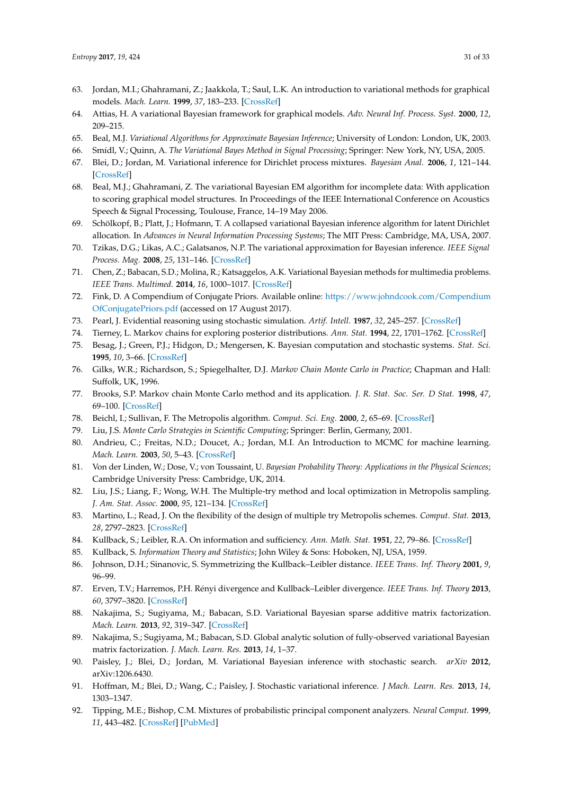- 63. Jordan, M.I.; Ghahramani, Z.; Jaakkola, T.; Saul, L.K. An introduction to variational methods for graphical models. *Mach. Learn.* **1999**, *37*, 183–233. [\[CrossRef\]](http://dx.doi.org/10.1023/A:1007665907178)
- 64. Attias, H. A variational Bayesian framework for graphical models. *Adv. Neural Inf. Process. Syst.* **2000**, *12*, 209–215.
- 65. Beal, M.J. *Variational Algorithms for Approximate Bayesian Inference*; University of London: London, UK, 2003.
- <span id="page-30-2"></span>66. Smídl, V.; Quinn, A. *The Variational Bayes Method in Signal Processing*; Springer: New York, NY, USA, 2005.
- 67. Blei, D.; Jordan, M. Variational inference for Dirichlet process mixtures. *Bayesian Anal.* **2006**, *1*, 121–144. [\[CrossRef\]](http://dx.doi.org/10.1214/06-BA104)
- 68. Beal, M.J.; Ghahramani, Z. The variational Bayesian EM algorithm for incomplete data: With application to scoring graphical model structures. In Proceedings of the IEEE International Conference on Acoustics Speech & Signal Processing, Toulouse, France, 14–19 May 2006.
- 69. Schölkopf, B.; Platt, J.; Hofmann, T. A collapsed variational Bayesian inference algorithm for latent Dirichlet allocation. In *Advances in Neural Information Processing Systems*; The MIT Press: Cambridge, MA, USA, 2007.
- <span id="page-30-1"></span>70. Tzikas, D.G.; Likas, A.C.; Galatsanos, N.P. The variational approximation for Bayesian inference. *IEEE Signal Process. Mag.* **2008**, *25*, 131–146. [\[CrossRef\]](http://dx.doi.org/10.1109/MSP.2008.929620)
- <span id="page-30-0"></span>71. Chen, Z.; Babacan, S.D.; Molina, R.; Katsaggelos, A.K. Variational Bayesian methods for multimedia problems. *IEEE Trans. Multimed.* **2014**, *16*, 1000–1017. [\[CrossRef\]](http://dx.doi.org/10.1109/TMM.2014.2307692)
- <span id="page-30-3"></span>72. Fink, D. A Compendium of Conjugate Priors. Available online: <https://www.johndcook.com/Compendium> <OfConjugatePriors.pdf> (accessed on 17 August 2017).
- <span id="page-30-4"></span>73. Pearl, J. Evidential reasoning using stochastic simulation. *Artif. Intell.* **1987**, *32*, 245–257. [\[CrossRef\]](http://dx.doi.org/10.1016/0004-3702(87)90012-9)
- 74. Tierney, L. Markov chains for exploring posterior distributions. *Ann. Stat.* **1994**, *22*, 1701–1762. [\[CrossRef\]](http://dx.doi.org/10.1214/aos/1176325750)
- 75. Besag, J.; Green, P.J.; Hidgon, D.; Mengersen, K. Bayesian computation and stochastic systems. *Stat. Sci.* **1995**, *10*, 3–66. [\[CrossRef\]](http://dx.doi.org/10.1214/ss/1177010123)
- 76. Gilks, W.R.; Richardson, S.; Spiegelhalter, D.J. *Markov Chain Monte Carlo in Practice*; Chapman and Hall: Suffolk, UK, 1996.
- 77. Brooks, S.P. Markov chain Monte Carlo method and its application. *J. R. Stat. Soc. Ser. D Stat.* **1998**, *47*, 69–100. [\[CrossRef\]](http://dx.doi.org/10.1111/1467-9884.00117)
- 78. Beichl, I.; Sullivan, F. The Metropolis algorithm. *Comput. Sci. Eng.* **2000**, *2*, 65–69. [\[CrossRef\]](http://dx.doi.org/10.1109/5992.814660)
- <span id="page-30-5"></span>79. Liu, J.S. *Monte Carlo Strategies in Scientific Computing*; Springer: Berlin, Germany, 2001.
- 80. Andrieu, C.; Freitas, N.D.; Doucet, A.; Jordan, M.I. An Introduction to MCMC for machine learning. *Mach. Learn.* **2003**, *50*, 5–43. [\[CrossRef\]](http://dx.doi.org/10.1023/A:1020281327116)
- <span id="page-30-6"></span>81. Von der Linden, W.; Dose, V.; von Toussaint, U. *Bayesian Probability Theory: Applications in the Physical Sciences*; Cambridge University Press: Cambridge, UK, 2014.
- <span id="page-30-7"></span>82. Liu, J.S.; Liang, F.; Wong, W.H. The Multiple-try method and local optimization in Metropolis sampling. *J. Am. Stat. Assoc.* **2000**, *95*, 121–134. [\[CrossRef\]](http://dx.doi.org/10.1080/01621459.2000.10473908)
- <span id="page-30-8"></span>83. Martino, L.; Read, J. On the flexibility of the design of multiple try Metropolis schemes. *Comput. Stat.* **2013**, *28*, 2797–2823. [\[CrossRef\]](http://dx.doi.org/10.1007/s00180-013-0429-2)
- <span id="page-30-9"></span>84. Kullback, S.; Leibler, R.A. On information and sufficiency. *Ann. Math. Stat.* **1951**, *22*, 79–86. [\[CrossRef\]](http://dx.doi.org/10.1214/aoms/1177729694)
- <span id="page-30-11"></span>85. Kullback, S. *Information Theory and Statistics*; John Wiley & Sons: Hoboken, NJ, USA, 1959.
- 86. Johnson, D.H.; Sinanovic, S. Symmetrizing the Kullback–Leibler distance. *IEEE Trans. Inf. Theory* **2001**, *9*, 96–99.
- <span id="page-30-10"></span>87. Erven, T.V.; Harremos, P.H. Rényi divergence and Kullback–Leibler divergence. *IEEE Trans. Inf. Theory* **2013**, *60*, 3797–3820. [\[CrossRef\]](http://dx.doi.org/10.1109/TIT.2014.2320500)
- <span id="page-30-12"></span>88. Nakajima, S.; Sugiyama, M.; Babacan, S.D. Variational Bayesian sparse additive matrix factorization. *Mach. Learn.* **2013**, *92*, 319–347. [\[CrossRef\]](http://dx.doi.org/10.1007/s10994-013-5347-6)
- <span id="page-30-13"></span>89. Nakajima, S.; Sugiyama, M.; Babacan, S.D. Global analytic solution of fully-observed variational Bayesian matrix factorization. *J. Mach. Learn. Res.* **2013**, *14*, 1–37.
- <span id="page-30-14"></span>90. Paisley, J.; Blei, D.; Jordan, M. Variational Bayesian inference with stochastic search. *arXiv* **2012**, arXiv:1206.6430.
- <span id="page-30-15"></span>91. Hoffman, M.; Blei, D.; Wang, C.; Paisley, J. Stochastic variational inference. *J Mach. Learn. Res.* **2013**, *14*, 1303–1347.
- <span id="page-30-16"></span>92. Tipping, M.E.; Bishop, C.M. Mixtures of probabilistic principal component analyzers. *Neural Comput.* **1999**, *11*, 443–482. [\[CrossRef\]](http://dx.doi.org/10.1162/089976699300016728) [\[PubMed\]](http://www.ncbi.nlm.nih.gov/pubmed/9950739)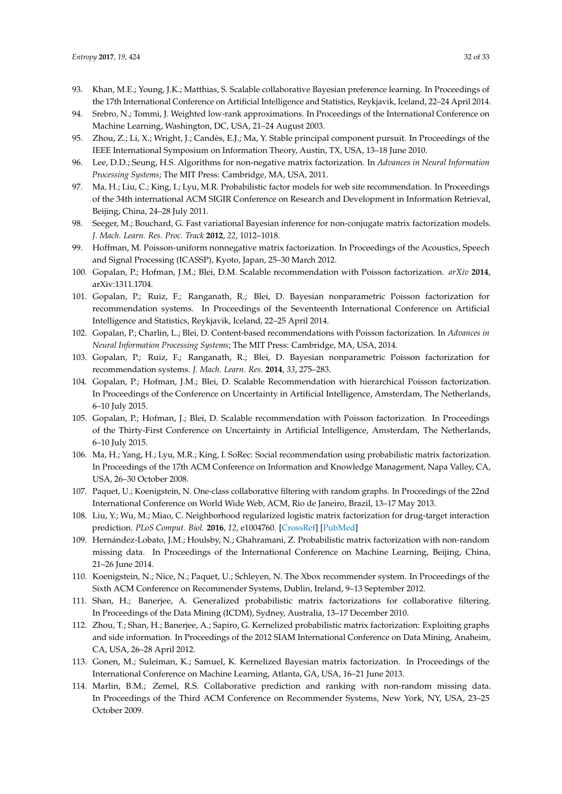- <span id="page-31-0"></span>93. Khan, M.E.; Young, J.K.; Matthias, S. Scalable collaborative Bayesian preference learning. In Proceedings of the 17th International Conference on Artificial Intelligence and Statistics, Reykjavik, Iceland, 22–24 April 2014.
- <span id="page-31-1"></span>94. Srebro, N.; Tommi, J. Weighted low-rank approximations. In Proceedings of the International Conference on Machine Learning, Washington, DC, USA, 21–24 August 2003.
- <span id="page-31-2"></span>95. Zhou, Z.; Li, X.; Wright, J.; Candès, E.J.; Ma, Y. Stable principal component pursuit. In Proceedings of the IEEE International Symposium on Information Theory, Austin, TX, USA, 13–18 June 2010.
- <span id="page-31-3"></span>96. Lee, D.D.; Seung, H.S. Algorithms for non-negative matrix factorization. In *Advances in Neural Information Processing Systems*; The MIT Press: Cambridge, MA, USA, 2011.
- <span id="page-31-4"></span>97. Ma, H.; Liu, C.; King, I.; Lyu, M.R. Probabilistic factor models for web site recommendation. In Proceedings of the 34th international ACM SIGIR Conference on Research and Development in Information Retrieval, Beijing, China, 24–28 July 2011.
- 98. Seeger, M.; Bouchard, G. Fast variational Bayesian inference for non-conjugate matrix factorization models. *J. Mach. Learn. Res. Proc. Track* **2012**, *22*, 1012–1018.
- 99. Hoffman, M. Poisson-uniform nonnegative matrix factorization. In Proceedings of the Acoustics, Speech and Signal Processing (ICASSP), Kyoto, Japan, 25–30 March 2012.
- 100. Gopalan, P.; Hofman, J.M.; Blei, D.M. Scalable recommendation with Poisson factorization. *arXiv* **2014**, arXiv:1311.1704.
- 101. Gopalan, P.; Ruiz, F.; Ranganath, R.; Blei, D. Bayesian nonparametric Poisson factorization for recommendation systems. In Proceedings of the Seventeenth International Conference on Artificial Intelligence and Statistics, Reykjavik, Iceland, 22–25 April 2014.
- 102. Gopalan, P.; Charlin, L.; Blei, D. Content-based recommendations with Poisson factorization. In *Advances in Neural Information Processing Systems*; The MIT Press: Cambridge, MA, USA, 2014.
- <span id="page-31-6"></span>103. Gopalan, P.; Ruiz, F.; Ranganath, R.; Blei, D. Bayesian nonparametric Poisson factorization for recommendation systems. *J. Mach. Learn. Res.* **2014**, *33*, 275–283.
- 104. Gopalan, P.; Hofman, J.M.; Blei, D. Scalable Recommendation with hierarchical Poisson factorization. In Proceedings of the Conference on Uncertainty in Artificial Intelligence, Amsterdam, The Netherlands, 6–10 July 2015.
- <span id="page-31-5"></span>105. Gopalan, P.; Hofman, J.; Blei, D. Scalable recommendation with Poisson factorization. In Proceedings of the Thirty-First Conference on Uncertainty in Artificial Intelligence, Amsterdam, The Netherlands, 6–10 July 2015.
- <span id="page-31-7"></span>106. Ma, H.; Yang, H.; Lyu, M.R.; King, I. SoRec: Social recommendation using probabilistic matrix factorization. In Proceedings of the 17th ACM Conference on Information and Knowledge Management, Napa Valley, CA, USA, 26–30 October 2008.
- <span id="page-31-9"></span>107. Paquet, U.; Koenigstein, N. One-class collaborative filtering with random graphs. In Proceedings of the 22nd International Conference on World Wide Web, ACM, Rio de Janeiro, Brazil, 13–17 May 2013.
- <span id="page-31-8"></span>108. Liu, Y.; Wu, M.; Miao, C. Neighborhood regularized logistic matrix factorization for drug-target interaction prediction. *PLoS Comput. Biol.* **2016**, *12*, e1004760. [\[CrossRef\]](http://dx.doi.org/10.1371/journal.pcbi.1004760) [\[PubMed\]](http://www.ncbi.nlm.nih.gov/pubmed/26872142)
- <span id="page-31-10"></span>109. Hernández-Lobato, J.M.; Houlsby, N.; Ghahramani, Z. Probabilistic matrix factorization with non-random missing data. In Proceedings of the International Conference on Machine Learning, Beijing, China, 21–26 June 2014.
- <span id="page-31-11"></span>110. Koenigstein, N.; Nice, N.; Paquet, U.; Schleyen, N. The Xbox recommender system. In Proceedings of the Sixth ACM Conference on Recommender Systems, Dublin, Ireland, 9–13 September 2012.
- <span id="page-31-12"></span>111. Shan, H.; Banerjee, A. Generalized probabilistic matrix factorizations for collaborative filtering. In Proceedings of the Data Mining (ICDM), Sydney, Australia, 13–17 December 2010.
- 112. Zhou, T.; Shan, H.; Banerjee, A.; Sapiro, G. Kernelized probabilistic matrix factorization: Exploiting graphs and side information. In Proceedings of the 2012 SIAM International Conference on Data Mining, Anaheim, CA, USA, 26–28 April 2012.
- <span id="page-31-13"></span>113. Gonen, M.; Suleiman, K.; Samuel, K. Kernelized Bayesian matrix factorization. In Proceedings of the International Conference on Machine Learning, Atlanta, GA, USA, 16–21 June 2013.
- <span id="page-31-14"></span>114. Marlin, B.M.; Zemel, R.S. Collaborative prediction and ranking with non-random missing data. In Proceedings of the Third ACM Conference on Recommender Systems, New York, NY, USA, 23–25 October 2009.